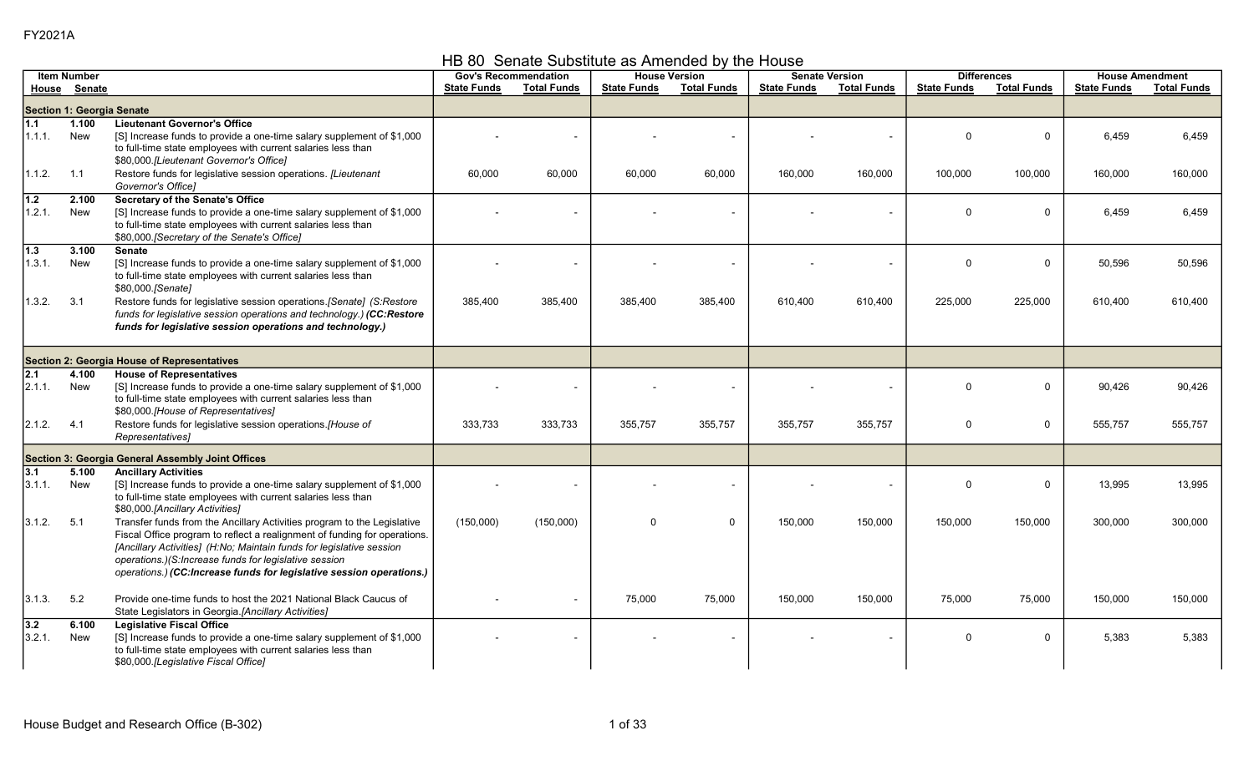HB 80 Senate Substitute as Amended by the House

|                 | <b>Item Number</b>                          |                                                                                                                                                                                                                                                                                                                                                               |                    | <b>Gov's Recommendation</b> |                    | <b>House Version</b> |                    | <b>Senate Version</b>    |                    | <b>Differences</b> |                    | <b>House Amendment</b> |
|-----------------|---------------------------------------------|---------------------------------------------------------------------------------------------------------------------------------------------------------------------------------------------------------------------------------------------------------------------------------------------------------------------------------------------------------------|--------------------|-----------------------------|--------------------|----------------------|--------------------|--------------------------|--------------------|--------------------|--------------------|------------------------|
|                 | House Senate                                |                                                                                                                                                                                                                                                                                                                                                               | <b>State Funds</b> | <b>Total Funds</b>          | <b>State Funds</b> | <b>Total Funds</b>   | <b>State Funds</b> | <b>Total Funds</b>       | <b>State Funds</b> | <b>Total Funds</b> | <b>State Funds</b> | <b>Total Funds</b>     |
|                 | Section 1: Georgia Senate                   |                                                                                                                                                                                                                                                                                                                                                               |                    |                             |                    |                      |                    |                          |                    |                    |                    |                        |
| 1.1<br>1.1.1.   | 1.100<br><b>New</b>                         | <b>Lieutenant Governor's Office</b><br>[S] Increase funds to provide a one-time salary supplement of \$1,000<br>to full-time state employees with current salaries less than<br>\$80,000.[Lieutenant Governor's Office]                                                                                                                                       |                    |                             |                    |                      |                    |                          | $\Omega$           | $\mathbf 0$        | 6,459              | 6,459                  |
| 1.1.2.          | 1.1                                         | Restore funds for legislative session operations. [Lieutenant<br>Governor's Office]                                                                                                                                                                                                                                                                           | 60,000             | 60,000                      | 60,000             | 60,000               | 160,000            | 160,000                  | 100,000            | 100,000            | 160,000            | 160,000                |
| 1.2<br>1.2.1.   | 2.100<br>New                                | <b>Secretary of the Senate's Office</b><br>[S] Increase funds to provide a one-time salary supplement of \$1,000<br>to full-time state employees with current salaries less than<br>\$80,000. [Secretary of the Senate's Office]                                                                                                                              |                    |                             |                    |                      |                    |                          | $\Omega$           | $\overline{0}$     | 6,459              | 6,459                  |
| $1.3$<br>1.3.1. | 3.100<br>New                                | <b>Senate</b><br>[S] Increase funds to provide a one-time salary supplement of \$1,000<br>to full-time state employees with current salaries less than<br>\$80,000.[Senate]                                                                                                                                                                                   |                    |                             |                    |                      |                    |                          | $\Omega$           | $\overline{0}$     | 50,596             | 50,596                 |
| 1.3.2.          | 3.1                                         | Restore funds for legislative session operations.[Senate] (S:Restore<br>funds for legislative session operations and technology.) (CC:Restore<br>funds for legislative session operations and technology.)                                                                                                                                                    | 385,400            | 385,400                     | 385,400            | 385,400              | 610,400            | 610,400                  | 225,000            | 225,000            | 610,400            | 610,400                |
|                 | Section 2: Georgia House of Representatives |                                                                                                                                                                                                                                                                                                                                                               |                    |                             |                    |                      |                    |                          |                    |                    |                    |                        |
| 2.1<br> 2.1.1   | 4.100<br>New                                | <b>House of Representatives</b><br>[S] Increase funds to provide a one-time salary supplement of \$1,000<br>to full-time state employees with current salaries less than<br>\$80,000.[House of Representatives]                                                                                                                                               |                    |                             |                    |                      |                    | $\overline{\phantom{a}}$ | $\Omega$           | $\mathbf 0$        | 90,426             | 90,426                 |
| 2.1.2.          | 4.1                                         | Restore funds for legislative session operations.[House of<br>Representatives]                                                                                                                                                                                                                                                                                | 333,733            | 333,733                     | 355,757            | 355,757              | 355,757            | 355,757                  | 0                  | $\mathbf 0$        | 555,757            | 555,757                |
|                 |                                             | Section 3: Georgia General Assembly Joint Offices                                                                                                                                                                                                                                                                                                             |                    |                             |                    |                      |                    |                          |                    |                    |                    |                        |
| 3.1             | 5.100                                       | <b>Ancillary Activities</b>                                                                                                                                                                                                                                                                                                                                   |                    |                             |                    |                      |                    |                          |                    |                    |                    |                        |
| 3.1.1           | New                                         | [S] Increase funds to provide a one-time salary supplement of \$1,000<br>to full-time state employees with current salaries less than<br>\$80,000 [Ancillary Activities]                                                                                                                                                                                      |                    |                             |                    |                      |                    |                          | $\Omega$           | $\Omega$           | 13,995             | 13,995                 |
| 3.1.2.          | 5.1                                         | Transfer funds from the Ancillary Activities program to the Legislative<br>Fiscal Office program to reflect a realignment of funding for operations.<br>[Ancillary Activities] (H:No; Maintain funds for legislative session<br>operations.)(S:Increase funds for legislative session<br>operations.) (CC:Increase funds for legislative session operations.) | (150,000)          | (150,000)                   | $\Omega$           | $\mathbf 0$          | 150,000            | 150,000                  | 150,000            | 150,000            | 300,000            | 300,000                |
| 3.1.3.          | 5.2                                         | Provide one-time funds to host the 2021 National Black Caucus of<br>State Legislators in Georgia.[Ancillary Activities]                                                                                                                                                                                                                                       |                    | $\sim$                      | 75,000             | 75,000               | 150,000            | 150,000                  | 75,000             | 75,000             | 150,000            | 150,000                |
| 3.2<br>3.2.1.   | 6.100<br>New                                | <b>Legislative Fiscal Office</b><br>[S] Increase funds to provide a one-time salary supplement of \$1,000<br>to full-time state employees with current salaries less than<br>\$80,000.[Legislative Fiscal Office]                                                                                                                                             |                    |                             |                    |                      |                    |                          | $\Omega$           | $\mathbf 0$        | 5,383              | 5,383                  |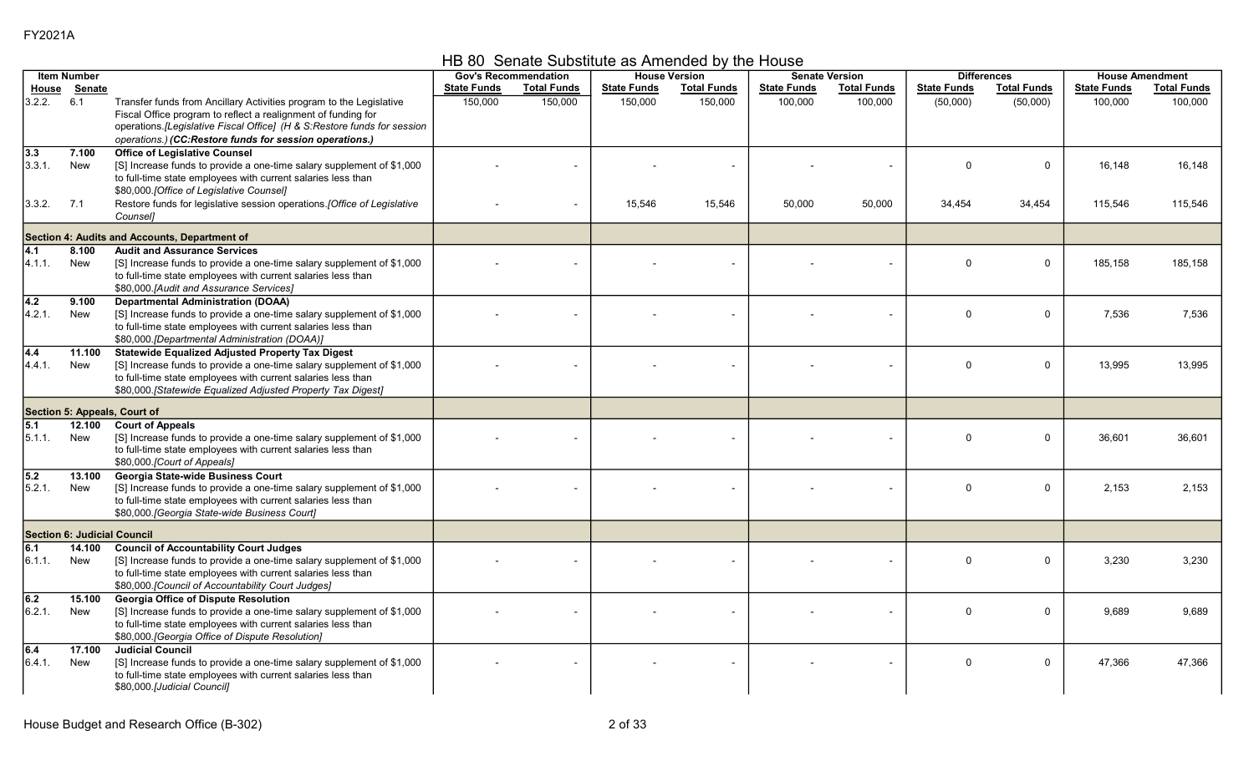HB 80 Senate Substitute as Amended by the House

|                  | <b>Item Number</b>                 |                                                                                       | <b>Gov's Recommendation</b> |                          |                    | <b>House Version</b> |                    | <b>Senate Version</b> |                    | <b>Differences</b> |                    | <b>House Amendment</b> |
|------------------|------------------------------------|---------------------------------------------------------------------------------------|-----------------------------|--------------------------|--------------------|----------------------|--------------------|-----------------------|--------------------|--------------------|--------------------|------------------------|
| House            | Senate                             |                                                                                       | <b>State Funds</b>          | <b>Total Funds</b>       | <b>State Funds</b> | <b>Total Funds</b>   | <b>State Funds</b> | <b>Total Funds</b>    | <b>State Funds</b> | <b>Total Funds</b> | <b>State Funds</b> | <b>Total Funds</b>     |
| 3.2.2.           | 6.1                                | Transfer funds from Ancillary Activities program to the Legislative                   | 150,000                     | 150,000                  | 150,000            | 150,000              | 100,000            | 100,000               | (50,000)           | (50,000)           | 100,000            | 100,000                |
|                  |                                    | Fiscal Office program to reflect a realignment of funding for                         |                             |                          |                    |                      |                    |                       |                    |                    |                    |                        |
|                  |                                    | operations. [Legislative Fiscal Office] (H & S:Restore funds for session              |                             |                          |                    |                      |                    |                       |                    |                    |                    |                        |
|                  |                                    | operations.) (CC:Restore funds for session operations.)                               |                             |                          |                    |                      |                    |                       |                    |                    |                    |                        |
| 3.3              | 7.100                              | <b>Office of Legislative Counsel</b>                                                  |                             |                          |                    |                      |                    |                       |                    |                    |                    |                        |
| 3.3.1.           | New                                | [S] Increase funds to provide a one-time salary supplement of \$1,000                 |                             |                          |                    |                      |                    |                       | $\Omega$           | $\mathbf 0$        | 16,148             | 16,148                 |
|                  |                                    | to full-time state employees with current salaries less than                          |                             |                          |                    |                      |                    |                       |                    |                    |                    |                        |
|                  |                                    | \$80,000.[Office of Legislative Counsel]                                              |                             |                          |                    |                      |                    |                       |                    |                    |                    |                        |
| 3.3.2.           | 7.1                                | Restore funds for legislative session operations. [Office of Legislative              |                             | $\overline{\phantom{a}}$ | 15,546             | 15,546               | 50,000             | 50,000                | 34,454             | 34,454             | 115,546            | 115,546                |
|                  |                                    | Counsel]                                                                              |                             |                          |                    |                      |                    |                       |                    |                    |                    |                        |
|                  |                                    |                                                                                       |                             |                          |                    |                      |                    |                       |                    |                    |                    |                        |
|                  |                                    | Section 4: Audits and Accounts, Department of                                         |                             |                          |                    |                      |                    |                       |                    |                    |                    |                        |
| 4.1              | 8.100                              | <b>Audit and Assurance Services</b>                                                   |                             |                          |                    |                      |                    |                       | $\Omega$           |                    |                    |                        |
| 4.1.1.           | New                                | [S] Increase funds to provide a one-time salary supplement of \$1,000                 |                             |                          |                    |                      |                    |                       |                    | $\mathbf 0$        | 185,158            | 185,158                |
|                  |                                    | to full-time state employees with current salaries less than                          |                             |                          |                    |                      |                    |                       |                    |                    |                    |                        |
|                  | 9.100                              | \$80,000. [Audit and Assurance Services]<br><b>Departmental Administration (DOAA)</b> |                             |                          |                    |                      |                    |                       |                    |                    |                    |                        |
| 4.2<br>4.2.1.    | New                                | [S] Increase funds to provide a one-time salary supplement of \$1,000                 |                             |                          |                    |                      |                    |                       | $\Omega$           | $\mathbf 0$        | 7,536              | 7,536                  |
|                  |                                    | to full-time state employees with current salaries less than                          |                             |                          |                    |                      |                    |                       |                    |                    |                    |                        |
|                  |                                    | \$80,000.[Departmental Administration (DOAA)]                                         |                             |                          |                    |                      |                    |                       |                    |                    |                    |                        |
| $\overline{4.4}$ | 11.100                             | <b>Statewide Equalized Adjusted Property Tax Digest</b>                               |                             |                          |                    |                      |                    |                       |                    |                    |                    |                        |
| 4.4.1.           | New                                | [S] Increase funds to provide a one-time salary supplement of \$1,000                 |                             |                          |                    |                      |                    |                       | $\Omega$           | $\mathbf 0$        | 13,995             | 13,995                 |
|                  |                                    | to full-time state employees with current salaries less than                          |                             |                          |                    |                      |                    |                       |                    |                    |                    |                        |
|                  |                                    | \$80,000.[Statewide Equalized Adjusted Property Tax Digest]                           |                             |                          |                    |                      |                    |                       |                    |                    |                    |                        |
|                  |                                    |                                                                                       |                             |                          |                    |                      |                    |                       |                    |                    |                    |                        |
|                  |                                    | Section 5: Appeals, Court of                                                          |                             |                          |                    |                      |                    |                       |                    |                    |                    |                        |
| 5.1              | 12.100                             | <b>Court of Appeals</b>                                                               |                             |                          |                    |                      |                    |                       |                    |                    |                    |                        |
| 5.1.1.           | <b>New</b>                         | [S] Increase funds to provide a one-time salary supplement of \$1,000                 |                             |                          |                    |                      |                    |                       | $\Omega$           | $\mathbf 0$        | 36,601             | 36,601                 |
|                  |                                    | to full-time state employees with current salaries less than                          |                             |                          |                    |                      |                    |                       |                    |                    |                    |                        |
|                  |                                    | \$80,000.[Court of Appeals]                                                           |                             |                          |                    |                      |                    |                       |                    |                    |                    |                        |
| 5.2              | 13.100                             | Georgia State-wide Business Court                                                     |                             |                          |                    |                      |                    |                       |                    |                    |                    |                        |
| 5.2.1.           | New                                | [S] Increase funds to provide a one-time salary supplement of \$1,000                 |                             |                          |                    |                      |                    |                       | $\Omega$           | $\mathbf 0$        | 2,153              | 2,153                  |
|                  |                                    | to full-time state employees with current salaries less than                          |                             |                          |                    |                      |                    |                       |                    |                    |                    |                        |
|                  |                                    | \$80,000. [Georgia State-wide Business Court]                                         |                             |                          |                    |                      |                    |                       |                    |                    |                    |                        |
|                  | <b>Section 6: Judicial Council</b> |                                                                                       |                             |                          |                    |                      |                    |                       |                    |                    |                    |                        |
| 6.1              | 14.100                             | <b>Council of Accountability Court Judges</b>                                         |                             |                          |                    |                      |                    |                       |                    |                    |                    |                        |
| 6.1.1.           | New                                | [S] Increase funds to provide a one-time salary supplement of \$1,000                 |                             |                          |                    |                      |                    |                       | $\Omega$           | $\mathbf 0$        | 3.230              | 3,230                  |
|                  |                                    | to full-time state employees with current salaries less than                          |                             |                          |                    |                      |                    |                       |                    |                    |                    |                        |
|                  |                                    | \$80,000.[Council of Accountability Court Judges]                                     |                             |                          |                    |                      |                    |                       |                    |                    |                    |                        |
| 6.2              | 15.100                             | <b>Georgia Office of Dispute Resolution</b>                                           |                             |                          |                    |                      |                    |                       |                    |                    |                    |                        |
| 6.2.1.           | New                                | [S] Increase funds to provide a one-time salary supplement of \$1,000                 |                             |                          |                    |                      |                    |                       | $\Omega$           | $\Omega$           | 9,689              | 9,689                  |
|                  |                                    | to full-time state employees with current salaries less than                          |                             |                          |                    |                      |                    |                       |                    |                    |                    |                        |
|                  |                                    | \$80,000. [Georgia Office of Dispute Resolution]                                      |                             |                          |                    |                      |                    |                       |                    |                    |                    |                        |
| 6.4              | 17.100                             | <b>Judicial Council</b>                                                               |                             |                          |                    |                      |                    |                       |                    |                    |                    |                        |
| 6.4.1.           | New                                | [S] Increase funds to provide a one-time salary supplement of \$1,000                 |                             |                          |                    |                      |                    |                       | $\Omega$           | $\Omega$           | 47,366             | 47,366                 |
|                  |                                    | to full-time state employees with current salaries less than                          |                             |                          |                    |                      |                    |                       |                    |                    |                    |                        |
|                  |                                    | \$80,000.[Judicial Council]                                                           |                             |                          |                    |                      |                    |                       |                    |                    |                    |                        |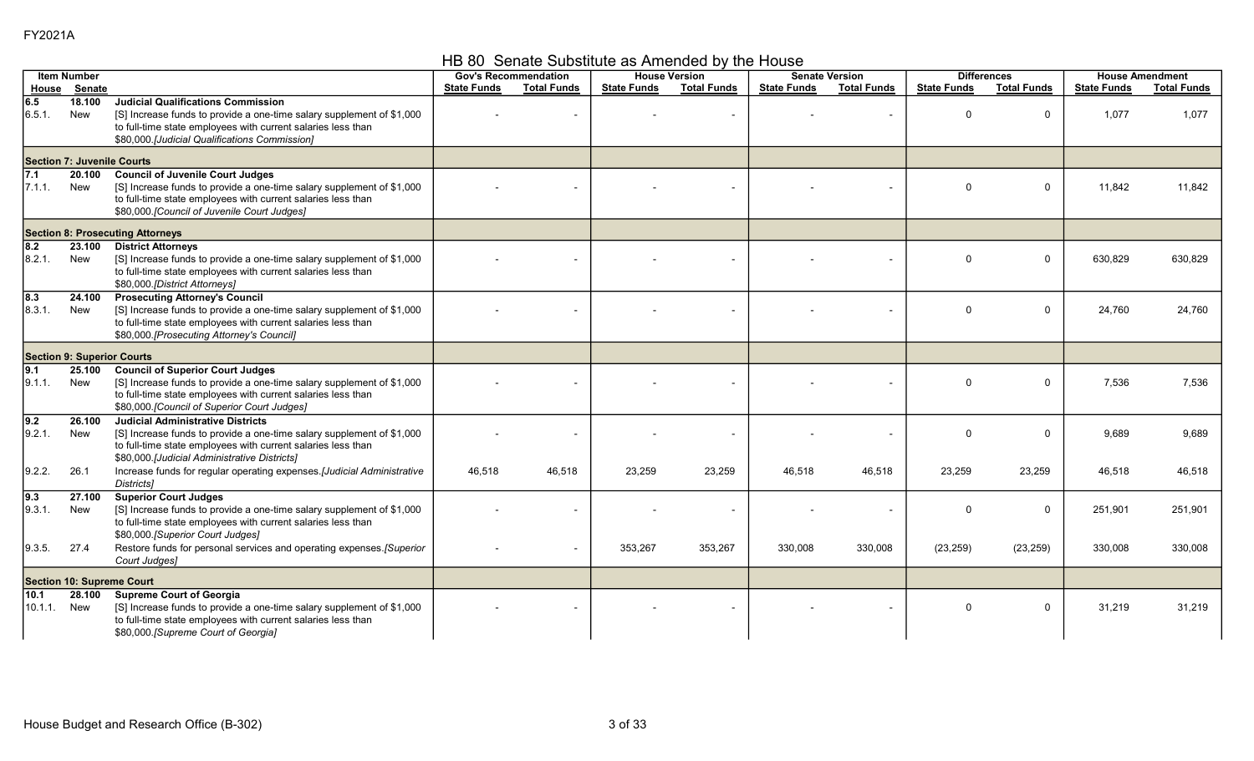HB 80 Senate Substitute as Amended by the House

|                            | <b>Item Number</b>                |                                                                                                                                                                                                                                     | <b>Gov's Recommendation</b> |                          |                    | <b>House Version</b> |                    | <b>Senate Version</b> |                    | <b>Differences</b> |                    | <b>House Amendment</b> |
|----------------------------|-----------------------------------|-------------------------------------------------------------------------------------------------------------------------------------------------------------------------------------------------------------------------------------|-----------------------------|--------------------------|--------------------|----------------------|--------------------|-----------------------|--------------------|--------------------|--------------------|------------------------|
|                            | House Senate                      |                                                                                                                                                                                                                                     | <b>State Funds</b>          | <b>Total Funds</b>       | <b>State Funds</b> | <b>Total Funds</b>   | <b>State Funds</b> | <b>Total Funds</b>    | <b>State Funds</b> | <b>Total Funds</b> | <b>State Funds</b> | <b>Total Funds</b>     |
| 6.5<br>6.5.1.              | 18.100<br>New                     | <b>Judicial Qualifications Commission</b><br>[S] Increase funds to provide a one-time salary supplement of \$1,000<br>to full-time state employees with current salaries less than<br>\$80,000 [Judicial Qualifications Commission] |                             |                          |                    |                      |                    |                       | $\Omega$           | 0                  | 1,077              | 1,077                  |
|                            | <b>Section 7: Juvenile Courts</b> |                                                                                                                                                                                                                                     |                             |                          |                    |                      |                    |                       |                    |                    |                    |                        |
| $\sqrt{7.1}$<br>7.1.1.     | 20.100<br>New                     | <b>Council of Juvenile Court Judges</b><br>[S] Increase funds to provide a one-time salary supplement of \$1,000<br>to full-time state employees with current salaries less than<br>\$80,000. [Council of Juvenile Court Judges]    |                             |                          |                    |                      |                    |                       | $\Omega$           | $\mathbf{0}$       | 11,842             | 11,842                 |
|                            |                                   | <b>Section 8: Prosecuting Attorneys</b>                                                                                                                                                                                             |                             |                          |                    |                      |                    |                       |                    |                    |                    |                        |
| $\overline{8.2}$<br>8.2.1  | 23.100<br>New                     | <b>District Attorneys</b><br>[S] Increase funds to provide a one-time salary supplement of \$1,000<br>to full-time state employees with current salaries less than<br>\$80,000.[District Attorneys]                                 |                             |                          |                    |                      |                    |                       | $\Omega$           | 0                  | 630,829            | 630,829                |
| $\overline{8.3}$<br>8.3.1. | 24.100<br>New                     | <b>Prosecuting Attorney's Council</b><br>[S] Increase funds to provide a one-time salary supplement of \$1,000<br>to full-time state employees with current salaries less than<br>\$80,000.[Prosecuting Attorney's Council]         |                             |                          |                    |                      |                    |                       | $\Omega$           | 0                  | 24,760             | 24,760                 |
|                            | <b>Section 9: Superior Courts</b> |                                                                                                                                                                                                                                     |                             |                          |                    |                      |                    |                       |                    |                    |                    |                        |
| 9.1<br>9.1.1.              | 25.100<br>New                     | <b>Council of Superior Court Judges</b><br>[S] Increase funds to provide a one-time salary supplement of \$1,000<br>to full-time state employees with current salaries less than<br>\$80,000 [Council of Superior Court Judges]     |                             |                          |                    |                      |                    |                       | $\Omega$           | 0                  | 7,536              | 7,536                  |
| $\overline{9.2}$<br>9.2.1. | 26.100<br>New                     | <b>Judicial Administrative Districts</b><br>[S] Increase funds to provide a one-time salary supplement of \$1,000<br>to full-time state employees with current salaries less than<br>\$80,000 [Judicial Administrative Districts]   |                             |                          |                    | $\sim$               |                    |                       | $\Omega$           | $\mathbf{0}$       | 9.689              | 9.689                  |
| 9.2.2.                     | 26.1                              | Increase funds for regular operating expenses.[Judicial Administrative<br><b>Districts1</b>                                                                                                                                         | 46,518                      | 46.518                   | 23,259             | 23,259               | 46,518             | 46,518                | 23,259             | 23,259             | 46,518             | 46,518                 |
| 9.3<br>9.3.1.              | 27.100<br>New                     | <b>Superior Court Judges</b><br>[S] Increase funds to provide a one-time salary supplement of \$1,000<br>to full-time state employees with current salaries less than<br>\$80,000. [Superior Court Judges]                          |                             |                          |                    |                      |                    |                       | $\Omega$           | 0                  | 251,901            | 251,901                |
| 9.3.5.                     | 27.4                              | Restore funds for personal services and operating expenses. [Superior<br>Court Judges]                                                                                                                                              |                             | $\overline{\phantom{a}}$ | 353,267            | 353,267              | 330,008            | 330,008               | (23, 259)          | (23, 259)          | 330,008            | 330,008                |
|                            |                                   | <b>Section 10: Supreme Court</b>                                                                                                                                                                                                    |                             |                          |                    |                      |                    |                       |                    |                    |                    |                        |
| 10.1<br>10.1.1.            | 28.100<br>New                     | <b>Supreme Court of Georgia</b><br>[S] Increase funds to provide a one-time salary supplement of \$1,000<br>to full-time state employees with current salaries less than<br>\$80,000.[Supreme Court of Georgia]                     |                             |                          |                    |                      |                    |                       | $\Omega$           | 0                  | 31,219             | 31,219                 |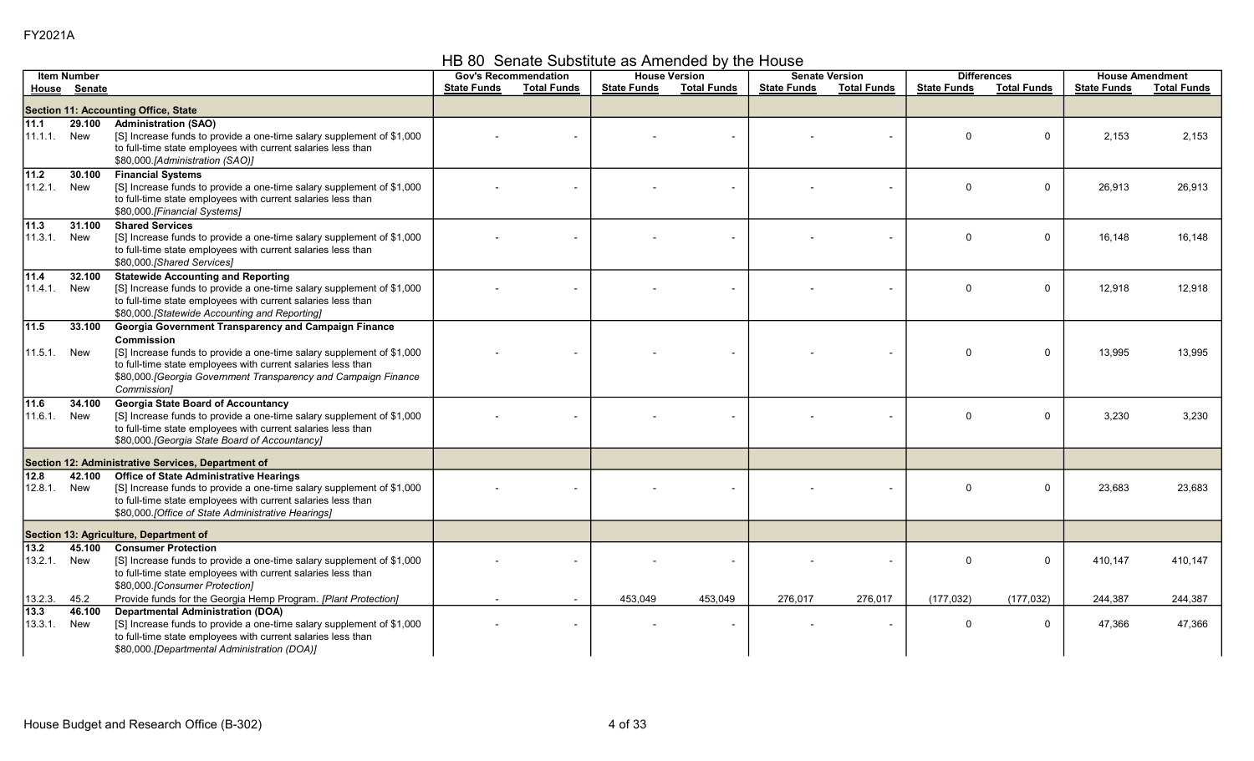HB 80 Senate Substitute as Amended by the House

|                              | <b>Item Number</b> |                                                                                                                                                                                                                                                                                               |                    | <b>Gov's Recommendation</b> |                    | <b>House Version</b> |                    | <b>Senate Version</b><br><b>Differences</b><br><b>House Amendment</b> |                    |                    |                    |                    |
|------------------------------|--------------------|-----------------------------------------------------------------------------------------------------------------------------------------------------------------------------------------------------------------------------------------------------------------------------------------------|--------------------|-----------------------------|--------------------|----------------------|--------------------|-----------------------------------------------------------------------|--------------------|--------------------|--------------------|--------------------|
|                              | House Senate       |                                                                                                                                                                                                                                                                                               | <b>State Funds</b> | <b>Total Funds</b>          | <b>State Funds</b> | <b>Total Funds</b>   | <b>State Funds</b> | <b>Total Funds</b>                                                    | <b>State Funds</b> | <b>Total Funds</b> | <b>State Funds</b> | <b>Total Funds</b> |
|                              |                    | Section 11: Accounting Office, State                                                                                                                                                                                                                                                          |                    |                             |                    |                      |                    |                                                                       |                    |                    |                    |                    |
| 11.1<br>11.1.1.              | 29.100<br>New      | <b>Administration (SAO)</b><br>[S] Increase funds to provide a one-time salary supplement of \$1,000<br>to full-time state employees with current salaries less than<br>\$80,000.[Administration (SAO)]                                                                                       |                    |                             |                    |                      |                    |                                                                       | $\Omega$           | $\mathbf 0$        | 2,153              | 2,153              |
| 11.2<br>11.2.1.              | 30.100<br>New      | <b>Financial Systems</b><br>[S] Increase funds to provide a one-time salary supplement of \$1,000<br>to full-time state employees with current salaries less than<br>\$80,000.[Financial Systems]                                                                                             |                    |                             |                    |                      |                    |                                                                       | $\mathbf 0$        | 0                  | 26,913             | 26,913             |
| 11.3<br>11.3.1.              | 31.100<br>New      | <b>Shared Services</b><br>[S] Increase funds to provide a one-time salary supplement of \$1,000<br>to full-time state employees with current salaries less than<br>\$80,000 [Shared Services]                                                                                                 |                    |                             |                    |                      |                    |                                                                       | $\Omega$           | $\mathbf 0$        | 16,148             | 16,148             |
| 11.4<br>11.4.1.              | 32.100<br>New      | <b>Statewide Accounting and Reporting</b><br>[S] Increase funds to provide a one-time salary supplement of \$1,000<br>to full-time state employees with current salaries less than<br>\$80,000. [Statewide Accounting and Reporting]                                                          |                    |                             |                    |                      |                    |                                                                       | $\mathbf 0$        | 0                  | 12,918             | 12,918             |
| 11.5<br>11.5.1. New          | 33.100             | Georgia Government Transparency and Campaign Finance<br>Commission<br>[S] Increase funds to provide a one-time salary supplement of \$1,000<br>to full-time state employees with current salaries less than<br>\$80,000. [Georgia Government Transparency and Campaign Finance<br>Commission] |                    |                             |                    |                      |                    |                                                                       | $\Omega$           | $\mathbf 0$        | 13,995             | 13,995             |
| 11.6<br>11.6.1.              | 34.100<br>New      | <b>Georgia State Board of Accountancy</b><br>[S] Increase funds to provide a one-time salary supplement of \$1,000<br>to full-time state employees with current salaries less than<br>\$80,000. [Georgia State Board of Accountancy]                                                          |                    |                             |                    |                      |                    |                                                                       | $\Omega$           | $\mathbf 0$        | 3,230              | 3,230              |
|                              |                    | Section 12: Administrative Services, Department of                                                                                                                                                                                                                                            |                    |                             |                    |                      |                    |                                                                       |                    |                    |                    |                    |
| $\sqrt{12.8}$<br>12.8.1.     | 42.100<br>New      | <b>Office of State Administrative Hearings</b><br>[S] Increase funds to provide a one-time salary supplement of \$1,000<br>to full-time state employees with current salaries less than<br>\$80,000 [Office of State Administrative Hearings]                                                 |                    |                             |                    |                      |                    |                                                                       | $\Omega$           | 0                  | 23,683             | 23,683             |
|                              |                    | Section 13: Agriculture, Department of                                                                                                                                                                                                                                                        |                    |                             |                    |                      |                    |                                                                       |                    |                    |                    |                    |
| $\overline{13.2}$<br>13.2.1. | 45.100<br>New      | <b>Consumer Protection</b><br>[S] Increase funds to provide a one-time salary supplement of \$1,000<br>to full-time state employees with current salaries less than<br>\$80,000 [Consumer Protection]                                                                                         |                    |                             |                    |                      |                    |                                                                       | $\Omega$           | $\mathbf 0$        | 410,147            | 410,147            |
| 13.2.3.                      | 45.2               | Provide funds for the Georgia Hemp Program. [Plant Protection]                                                                                                                                                                                                                                |                    | $\sim$                      | 453,049            | 453,049              | 276,017            | 276,017                                                               | (177, 032)         | (177, 032)         | 244,387            | 244,387            |
| $\sqrt{13.3}$<br>13.3.1.     | 46.100<br>New      | <b>Departmental Administration (DOA)</b><br>[S] Increase funds to provide a one-time salary supplement of \$1,000<br>to full-time state employees with current salaries less than<br>\$80,000.[Departmental Administration (DOA)]                                                             |                    |                             |                    |                      |                    |                                                                       | 0                  | 0                  | 47,366             | 47,366             |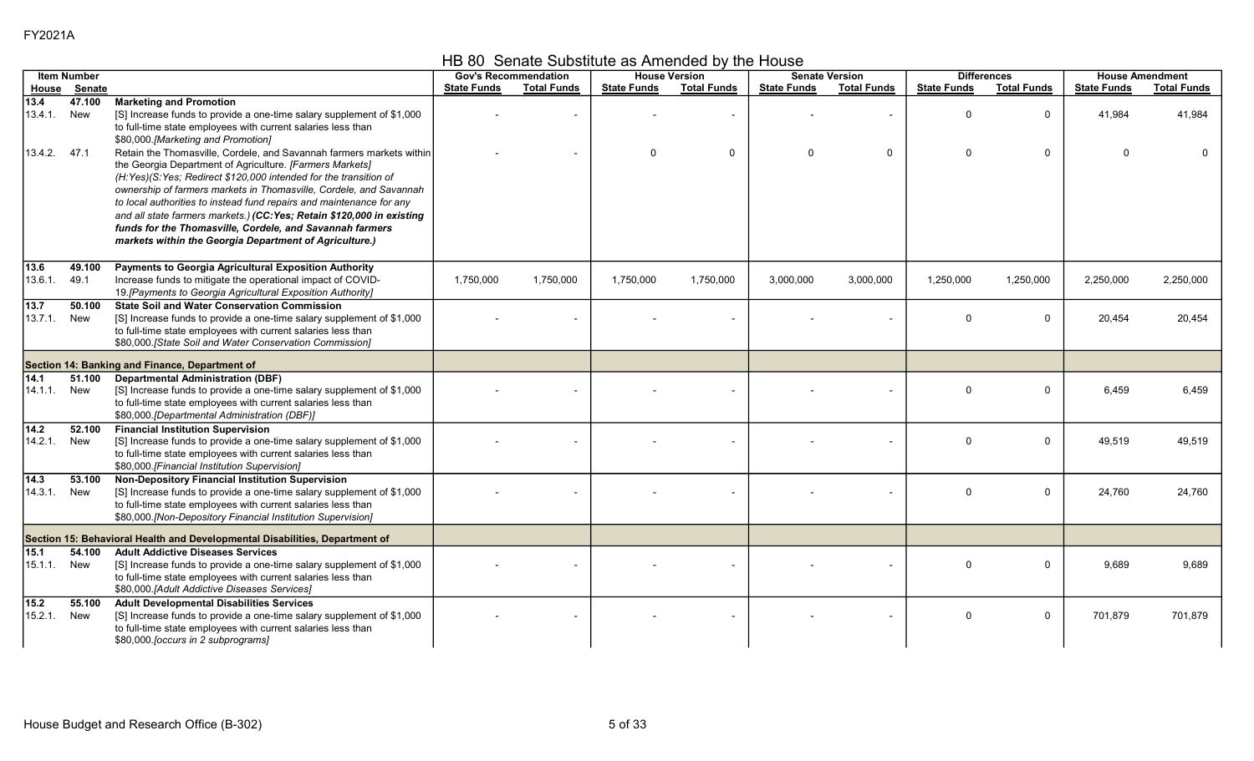HB 80 Senate Substitute as Amended by the House

|                            | <b>Item Number</b>                             |                                                                                                                                                                                                                                                                                                                                                                                                                                                                            |                    | <b>Gov's Recommendation</b> | <b>House Version</b> |                    |                    | <b>Senate Version</b> | <b>Differences</b>   |                             |                    | <b>House Amendment</b> |
|----------------------------|------------------------------------------------|----------------------------------------------------------------------------------------------------------------------------------------------------------------------------------------------------------------------------------------------------------------------------------------------------------------------------------------------------------------------------------------------------------------------------------------------------------------------------|--------------------|-----------------------------|----------------------|--------------------|--------------------|-----------------------|----------------------|-----------------------------|--------------------|------------------------|
| <u>House</u>               | Senate                                         |                                                                                                                                                                                                                                                                                                                                                                                                                                                                            | <b>State Funds</b> | <b>Total Funds</b>          | <b>State Funds</b>   | <b>Total Funds</b> | <b>State Funds</b> | <b>Total Funds</b>    | <b>State Funds</b>   | <b>Total Funds</b>          | <b>State Funds</b> | <b>Total Funds</b>     |
| 13.4<br>13.4.1.<br>13.4.2. | 47.100<br>New<br>47.1                          | <b>Marketing and Promotion</b><br>[S] Increase funds to provide a one-time salary supplement of \$1,000<br>to full-time state employees with current salaries less than<br>\$80,000.[Marketing and Promotion]<br>Retain the Thomasville, Cordele, and Savannah farmers markets within                                                                                                                                                                                      |                    |                             | $\Omega$             | $\mathbf 0$        | $\Omega$           | $\mathbf 0$           | $\Omega$<br>$\Omega$ | $\mathbf 0$<br>$\mathbf{0}$ | 41,984<br>$\Omega$ | 41,984                 |
|                            |                                                | the Georgia Department of Agriculture. [Farmers Markets]<br>(H:Yes)(S:Yes; Redirect \$120,000 intended for the transition of<br>ownership of farmers markets in Thomasville, Cordele, and Savannah<br>to local authorities to instead fund repairs and maintenance for any<br>and all state farmers markets.) (CC: Yes; Retain \$120,000 in existing<br>funds for the Thomasville, Cordele, and Savannah farmers<br>markets within the Georgia Department of Agriculture.) |                    |                             |                      |                    |                    |                       |                      |                             |                    |                        |
| 13.6<br>13.6.1.            | 49.100<br>49.1                                 | Payments to Georgia Agricultural Exposition Authority<br>Increase funds to mitigate the operational impact of COVID-<br>19. [Payments to Georgia Agricultural Exposition Authority]                                                                                                                                                                                                                                                                                        | 1,750,000          | 1,750,000                   | 1,750,000            | 1,750,000          | 3,000,000          | 3,000,000             | 1,250,000            | 1,250,000                   | 2,250,000          | 2,250,000              |
| 13.7<br>13.7.1             | 50.100<br>New                                  | <b>State Soil and Water Conservation Commission</b><br>[S] Increase funds to provide a one-time salary supplement of \$1,000<br>to full-time state employees with current salaries less than<br>\$80,000. [State Soil and Water Conservation Commission]                                                                                                                                                                                                                   |                    |                             |                      |                    |                    |                       | $\Omega$             | 0                           | 20,454             | 20,454                 |
|                            | Section 14: Banking and Finance, Department of |                                                                                                                                                                                                                                                                                                                                                                                                                                                                            |                    |                             |                      |                    |                    |                       |                      |                             |                    |                        |
| 14.1<br>14.1.1.            | 51.100<br>New                                  | <b>Departmental Administration (DBF)</b><br>[S] Increase funds to provide a one-time salary supplement of \$1,000<br>to full-time state employees with current salaries less than<br>\$80,000.[Departmental Administration (DBF)]                                                                                                                                                                                                                                          |                    |                             |                      |                    |                    |                       | $\Omega$             | 0                           | 6,459              | 6,459                  |
| $14.2$<br>14.2.1.          | 52.100<br>New                                  | <b>Financial Institution Supervision</b><br>[S] Increase funds to provide a one-time salary supplement of \$1,000<br>to full-time state employees with current salaries less than<br>\$80,000.[Financial Institution Supervision]                                                                                                                                                                                                                                          |                    |                             |                      |                    |                    |                       | $\Omega$             | $\mathbf 0$                 | 49,519             | 49,519                 |
| $\sqrt{14.3}$<br>14 3 1    | 53.100<br>New                                  | Non-Depository Financial Institution Supervision<br>[S] Increase funds to provide a one-time salary supplement of \$1,000<br>to full-time state employees with current salaries less than<br>\$80,000.[Non-Depository Financial Institution Supervision]                                                                                                                                                                                                                   |                    |                             |                      |                    |                    |                       | $\Omega$             | $\Omega$                    | 24,760             | 24,760                 |
|                            |                                                | Section 15: Behavioral Health and Developmental Disabilities, Department of                                                                                                                                                                                                                                                                                                                                                                                                |                    |                             |                      |                    |                    |                       |                      |                             |                    |                        |
| 15.1<br>15.1.1.            | 54.100<br>New                                  | <b>Adult Addictive Diseases Services</b><br>[S] Increase funds to provide a one-time salary supplement of \$1,000<br>to full-time state employees with current salaries less than<br>\$80,000.[Adult Addictive Diseases Services]                                                                                                                                                                                                                                          |                    |                             |                      |                    |                    |                       | $\Omega$             | 0                           | 9,689              | 9,689                  |
| 15.2<br>15.2.1.            | 55.100<br>New                                  | <b>Adult Developmental Disabilities Services</b><br>[S] Increase funds to provide a one-time salary supplement of \$1,000<br>to full-time state employees with current salaries less than<br>\$80,000 [occurs in 2 subprograms]                                                                                                                                                                                                                                            |                    |                             |                      |                    |                    |                       | $\Omega$             | 0                           | 701,879            | 701,879                |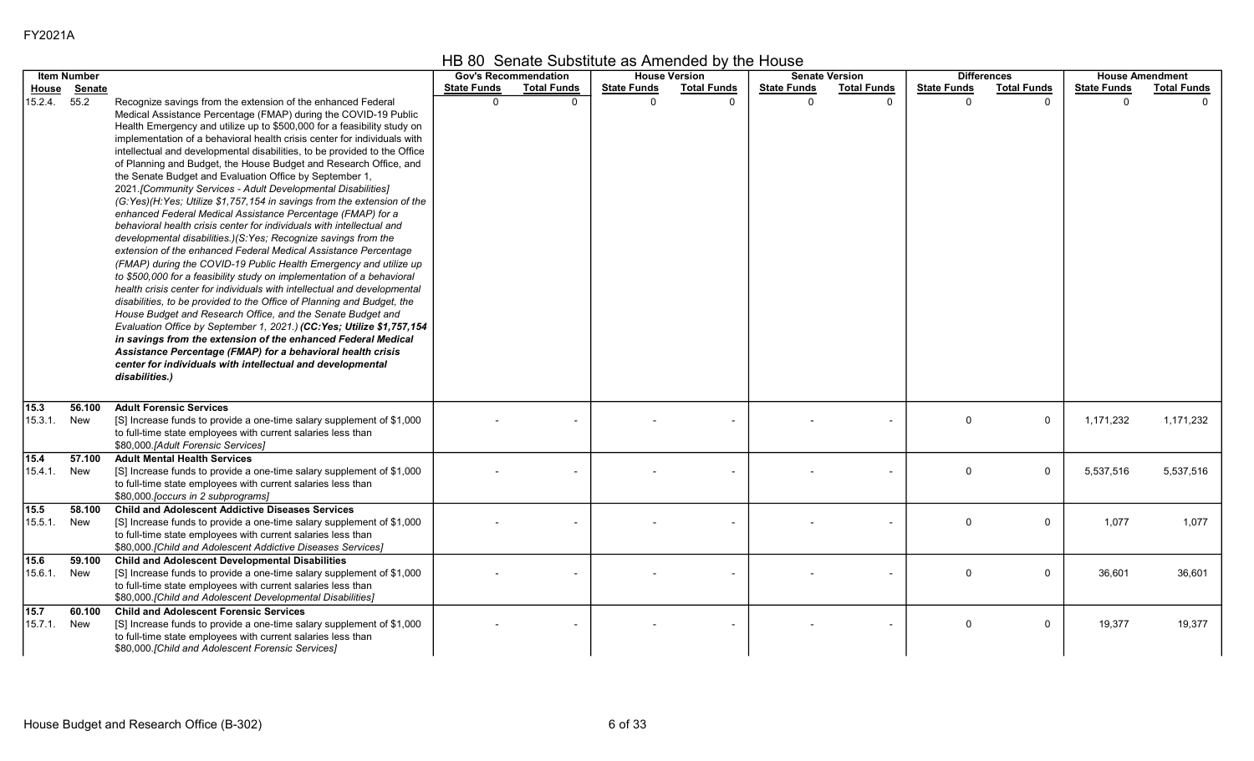| ־02 |
|-----|
|-----|

|                 | <b>Item Number</b> |                                                                                                                                                                                                                                                                                                                                                                                                                                                                                                                                                                                                                                                                                                                                                                                                                                                                                                                                                                                                                                                                                                                                                                                                                                                                                                                                                                                                                                                                                                                                                                                           |                    | <b>Gov's Recommendation</b> |                    | <b>House Version</b> |                    | <b>Senate Version</b> |                    | <b>Differences</b> |                    | <b>House Amendment</b> |
|-----------------|--------------------|-------------------------------------------------------------------------------------------------------------------------------------------------------------------------------------------------------------------------------------------------------------------------------------------------------------------------------------------------------------------------------------------------------------------------------------------------------------------------------------------------------------------------------------------------------------------------------------------------------------------------------------------------------------------------------------------------------------------------------------------------------------------------------------------------------------------------------------------------------------------------------------------------------------------------------------------------------------------------------------------------------------------------------------------------------------------------------------------------------------------------------------------------------------------------------------------------------------------------------------------------------------------------------------------------------------------------------------------------------------------------------------------------------------------------------------------------------------------------------------------------------------------------------------------------------------------------------------------|--------------------|-----------------------------|--------------------|----------------------|--------------------|-----------------------|--------------------|--------------------|--------------------|------------------------|
| <u>House</u>    | <b>Senate</b>      |                                                                                                                                                                                                                                                                                                                                                                                                                                                                                                                                                                                                                                                                                                                                                                                                                                                                                                                                                                                                                                                                                                                                                                                                                                                                                                                                                                                                                                                                                                                                                                                           | <b>State Funds</b> | <b>Total Funds</b>          | <b>State Funds</b> | <b>Total Funds</b>   | <b>State Funds</b> | <b>Total Funds</b>    | <b>State Funds</b> | <b>Total Funds</b> | <b>State Funds</b> | <b>Total Funds</b>     |
| 15.2.4.         | 55.2               | Recognize savings from the extension of the enhanced Federal<br>Medical Assistance Percentage (FMAP) during the COVID-19 Public<br>Health Emergency and utilize up to \$500,000 for a feasibility study on<br>implementation of a behavioral health crisis center for individuals with<br>intellectual and developmental disabilities, to be provided to the Office<br>of Planning and Budget, the House Budget and Research Office, and<br>the Senate Budget and Evaluation Office by September 1,<br>2021. [Community Services - Adult Developmental Disabilities]<br>(G:Yes)(H:Yes; Utilize \$1,757,154 in savings from the extension of the<br>enhanced Federal Medical Assistance Percentage (FMAP) for a<br>behavioral health crisis center for individuals with intellectual and<br>developmental disabilities.)(S:Yes; Recognize savings from the<br>extension of the enhanced Federal Medical Assistance Percentage<br>(FMAP) during the COVID-19 Public Health Emergency and utilize up<br>to \$500,000 for a feasibility study on implementation of a behavioral<br>health crisis center for individuals with intellectual and developmental<br>disabilities, to be provided to the Office of Planning and Budget, the<br>House Budget and Research Office, and the Senate Budget and<br>Evaluation Office by September 1, 2021.) (CC:Yes; Utilize \$1,757,154<br>in savings from the extension of the enhanced Federal Medical<br>Assistance Percentage (FMAP) for a behavioral health crisis<br>center for individuals with intellectual and developmental<br>disabilities.) | $\Omega$           |                             | $\Omega$           |                      | $\Omega$           |                       | $\Omega$           |                    | $\Omega$           |                        |
| 15.3<br>15.3.1. | 56.100<br>New      | <b>Adult Forensic Services</b><br>[S] Increase funds to provide a one-time salary supplement of \$1,000<br>to full-time state employees with current salaries less than<br>\$80,000.[Adult Forensic Services]                                                                                                                                                                                                                                                                                                                                                                                                                                                                                                                                                                                                                                                                                                                                                                                                                                                                                                                                                                                                                                                                                                                                                                                                                                                                                                                                                                             |                    |                             |                    |                      |                    |                       | $\Omega$           | $\pmb{0}$          | 1,171,232          | 1,171,232              |
| 15.4<br>15.4.1. | 57.100<br>New      | <b>Adult Mental Health Services</b><br>[S] Increase funds to provide a one-time salary supplement of \$1,000<br>to full-time state employees with current salaries less than<br>\$80,000 [occurs in 2 subprograms]                                                                                                                                                                                                                                                                                                                                                                                                                                                                                                                                                                                                                                                                                                                                                                                                                                                                                                                                                                                                                                                                                                                                                                                                                                                                                                                                                                        |                    |                             |                    |                      |                    |                       | $\mathbf{0}$       | $\mathbf 0$        | 5,537,516          | 5,537,516              |
| 15.5<br>15.5.1. | 58.100<br>New      | <b>Child and Adolescent Addictive Diseases Services</b><br>[S] Increase funds to provide a one-time salary supplement of \$1,000<br>to full-time state employees with current salaries less than<br>\$80,000. [Child and Adolescent Addictive Diseases Services]                                                                                                                                                                                                                                                                                                                                                                                                                                                                                                                                                                                                                                                                                                                                                                                                                                                                                                                                                                                                                                                                                                                                                                                                                                                                                                                          |                    |                             |                    |                      |                    |                       | $\mathbf{0}$       | 0                  | 1,077              | 1,077                  |
| 15.6<br>15.6.1. | 59.100<br>New      | <b>Child and Adolescent Developmental Disabilities</b><br>[S] Increase funds to provide a one-time salary supplement of \$1,000<br>to full-time state employees with current salaries less than<br>\$80,000.[Child and Adolescent Developmental Disabilities]                                                                                                                                                                                                                                                                                                                                                                                                                                                                                                                                                                                                                                                                                                                                                                                                                                                                                                                                                                                                                                                                                                                                                                                                                                                                                                                             |                    |                             |                    |                      |                    |                       | $\mathbf{0}$       | $\mathbf 0$        | 36,601             | 36,601                 |
| 15.7<br>15.7.1. | 60.100<br>New      | <b>Child and Adolescent Forensic Services</b><br>[S] Increase funds to provide a one-time salary supplement of \$1,000<br>to full-time state employees with current salaries less than                                                                                                                                                                                                                                                                                                                                                                                                                                                                                                                                                                                                                                                                                                                                                                                                                                                                                                                                                                                                                                                                                                                                                                                                                                                                                                                                                                                                    |                    |                             |                    |                      |                    |                       | $\Omega$           | $\mathbf 0$        | 19,377             | 19,377                 |

## HB 80 Senate Substitute as Amended by the House

\$80,000.[Child and Adolescent Forensic Services]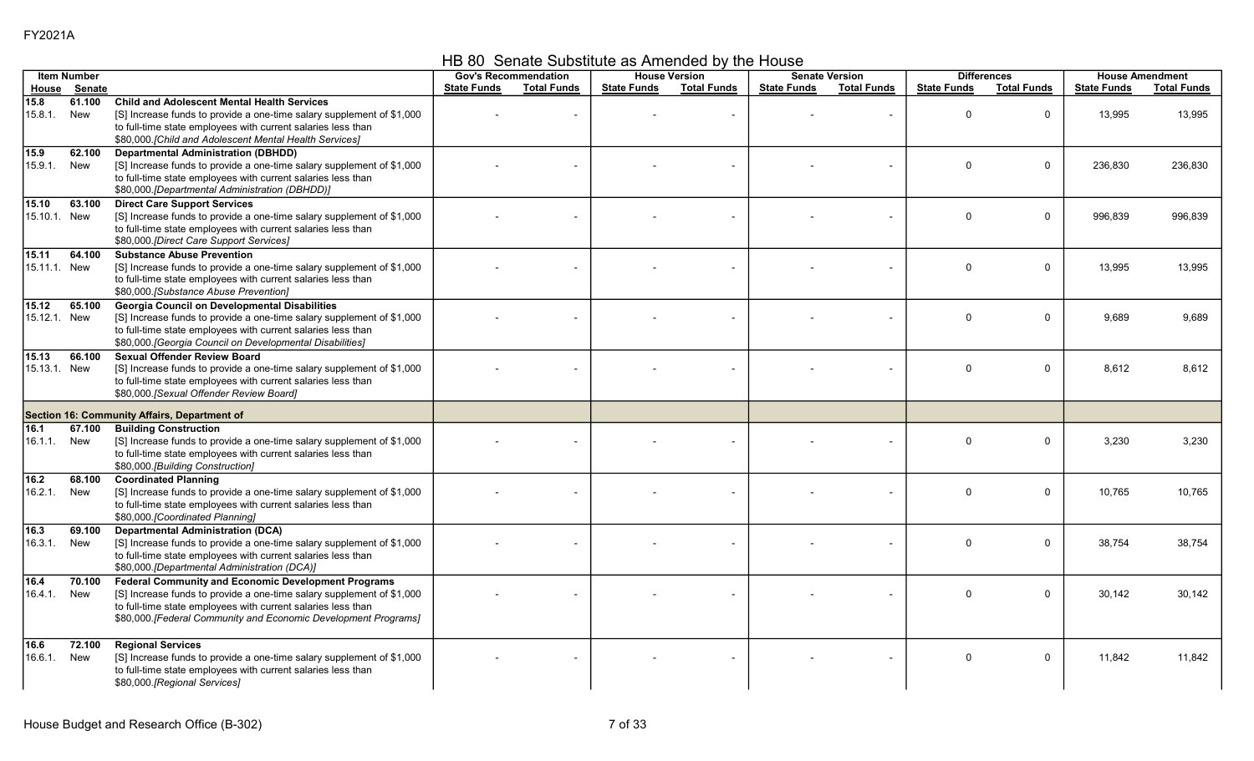HB 80 Senate Substitute as Amended by the House

|                              | <b>Item Number</b> |                                                                                                                                                                                                                                                                       |                    | <b>Gov's Recommendation</b> |                    | <b>House Version</b> |                    | <b>Senate Version</b> | <b>Differences</b> |                    |                    | <b>House Amendment</b> |
|------------------------------|--------------------|-----------------------------------------------------------------------------------------------------------------------------------------------------------------------------------------------------------------------------------------------------------------------|--------------------|-----------------------------|--------------------|----------------------|--------------------|-----------------------|--------------------|--------------------|--------------------|------------------------|
| House                        | <b>Senate</b>      |                                                                                                                                                                                                                                                                       | <b>State Funds</b> | <b>Total Funds</b>          | <b>State Funds</b> | <b>Total Funds</b>   | <b>State Funds</b> | <b>Total Funds</b>    | <b>State Funds</b> | <b>Total Funds</b> | <b>State Funds</b> | <b>Total Funds</b>     |
| 15.8<br>15.8.1.              | 61.100<br>New      | <b>Child and Adolescent Mental Health Services</b><br>[S] Increase funds to provide a one-time salary supplement of \$1,000<br>to full-time state employees with current salaries less than<br>\$80,000. [Child and Adolescent Mental Health Services]                |                    |                             |                    |                      |                    |                       | $\mathbf{0}$       | $\mathbf 0$        | 13,995             | 13,995                 |
| $\sqrt{15.9}$<br>15.9.1.     | 62.100<br>New      | <b>Departmental Administration (DBHDD)</b><br>[S] Increase funds to provide a one-time salary supplement of \$1,000<br>to full-time state employees with current salaries less than<br>\$80,000.[Departmental Administration (DBHDD)]                                 |                    |                             |                    |                      |                    |                       | $\Omega$           | $\Omega$           | 236.830            | 236.830                |
| 15.10<br>15.10.1. New        | 63.100             | <b>Direct Care Support Services</b><br>[S] Increase funds to provide a one-time salary supplement of \$1,000<br>to full-time state employees with current salaries less than<br>\$80,000.[Direct Care Support Services]                                               |                    |                             |                    |                      |                    |                       | $\mathbf{0}$       | $\mathbf 0$        | 996,839            | 996,839                |
| 15.11<br>15.11.1. New        | 64.100             | <b>Substance Abuse Prevention</b><br>[S] Increase funds to provide a one-time salary supplement of \$1,000<br>to full-time state employees with current salaries less than<br>\$80,000.[Substance Abuse Prevention]                                                   |                    |                             |                    |                      |                    |                       | $\mathbf 0$        | $\mathbf 0$        | 13,995             | 13,995                 |
| 15.12<br>15.12.1. New        | 65.100             | Georgia Council on Developmental Disabilities<br>[S] Increase funds to provide a one-time salary supplement of \$1,000<br>to full-time state employees with current salaries less than<br>\$80,000. [Georgia Council on Developmental Disabilities]                   |                    |                             |                    |                      |                    |                       | $\mathbf{0}$       | $\Omega$           | 9,689              | 9,689                  |
| 15.13<br>15.13.1. New        | 66.100             | <b>Sexual Offender Review Board</b><br>[S] Increase funds to provide a one-time salary supplement of \$1,000<br>to full-time state employees with current salaries less than<br>\$80,000 [Sexual Offender Review Board]                                               |                    |                             |                    |                      |                    |                       | $\Omega$           | $\mathbf 0$        | 8,612              | 8,612                  |
|                              |                    | Section 16: Community Affairs, Department of                                                                                                                                                                                                                          |                    |                             |                    |                      |                    |                       |                    |                    |                    |                        |
| 16.1<br>16.1.1.              | 67.100<br>New      | <b>Building Construction</b><br>[S] Increase funds to provide a one-time salary supplement of \$1,000<br>to full-time state employees with current salaries less than<br>\$80,000.[Building Construction]                                                             |                    |                             |                    |                      |                    |                       | $\mathbf{0}$       | $\mathbf 0$        | 3,230              | 3,230                  |
| $\overline{16.2}$<br>16.2.1. | 68.100<br>New      | <b>Coordinated Planning</b><br>[S] Increase funds to provide a one-time salary supplement of \$1,000<br>to full-time state employees with current salaries less than<br>\$80,000 [Coordinated Planning]                                                               |                    |                             |                    |                      |                    |                       | $\mathbf{0}$       | $\mathbf 0$        | 10,765             | 10,765                 |
| 16.3<br>16.3.1.              | 69.100<br>New      | <b>Departmental Administration (DCA)</b><br>[S] Increase funds to provide a one-time salary supplement of \$1,000<br>to full-time state employees with current salaries less than<br>\$80,000.[Departmental Administration (DCA)]                                     |                    |                             |                    |                      |                    |                       | $\Omega$           | $\Omega$           | 38,754             | 38,754                 |
| 16.4<br>16.4.1.              | 70.100<br>New      | <b>Federal Community and Economic Development Programs</b><br>[S] Increase funds to provide a one-time salary supplement of \$1,000<br>to full-time state employees with current salaries less than<br>\$80,000.[Federal Community and Economic Development Programs] |                    |                             |                    |                      |                    |                       | $\Omega$           | $\mathbf 0$        | 30,142             | 30,142                 |
| 16.6<br>16.6.1.              | 72.100<br>New      | <b>Regional Services</b><br>[S] Increase funds to provide a one-time salary supplement of \$1,000<br>to full-time state employees with current salaries less than<br>\$80,000.[Regional Services]                                                                     |                    |                             |                    |                      |                    |                       | $\mathbf 0$        | $\mathbf 0$        | 11,842             | 11.842                 |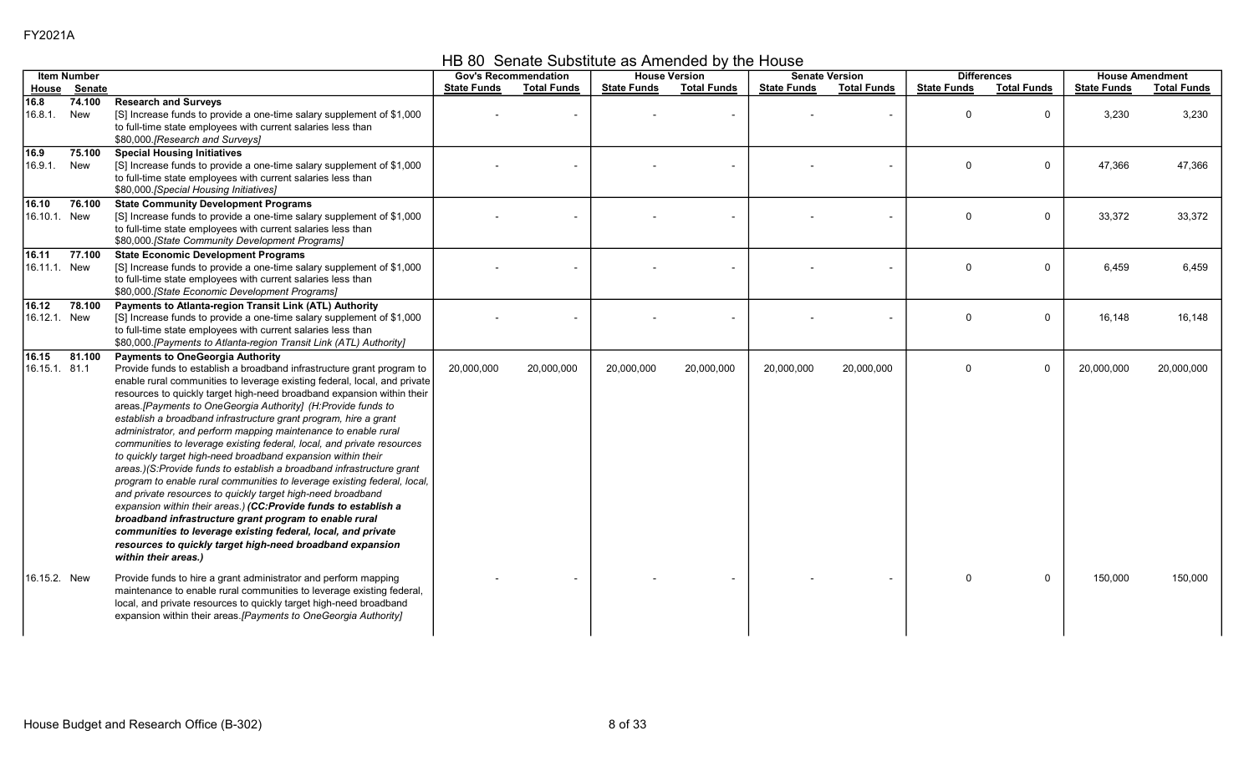HB 80 Senate Substitute as Amended by the House

|                       | <b>Item Number</b> |                                                                                                                                                                                                                                                                                                                                                                                                                                                                                                                                                                                                                                                                                                                                                                                                                                                                                                                                                                                                                                                                                                                                |                    | <b>Gov's Recommendation</b> |                    | <b>House Version</b> |                    | <b>Senate Version</b> |                    | <b>Differences</b> |                    | <b>House Amendment</b> |
|-----------------------|--------------------|--------------------------------------------------------------------------------------------------------------------------------------------------------------------------------------------------------------------------------------------------------------------------------------------------------------------------------------------------------------------------------------------------------------------------------------------------------------------------------------------------------------------------------------------------------------------------------------------------------------------------------------------------------------------------------------------------------------------------------------------------------------------------------------------------------------------------------------------------------------------------------------------------------------------------------------------------------------------------------------------------------------------------------------------------------------------------------------------------------------------------------|--------------------|-----------------------------|--------------------|----------------------|--------------------|-----------------------|--------------------|--------------------|--------------------|------------------------|
|                       | House Senate       |                                                                                                                                                                                                                                                                                                                                                                                                                                                                                                                                                                                                                                                                                                                                                                                                                                                                                                                                                                                                                                                                                                                                | <b>State Funds</b> | <b>Total Funds</b>          | <b>State Funds</b> | <b>Total Funds</b>   | <b>State Funds</b> | <b>Total Funds</b>    | <b>State Funds</b> | <b>Total Funds</b> | <b>State Funds</b> | <b>Total Funds</b>     |
| 16.8<br>16.8.1.       | 74.100<br>New      | <b>Research and Surveys</b><br>[S] Increase funds to provide a one-time salary supplement of \$1,000<br>to full-time state employees with current salaries less than<br>\$80,000. [Research and Surveys]                                                                                                                                                                                                                                                                                                                                                                                                                                                                                                                                                                                                                                                                                                                                                                                                                                                                                                                       |                    |                             |                    |                      |                    |                       | $\mathbf 0$        | $\mathbf 0$        | 3,230              | 3,230                  |
| 16.9<br>16.9.1.       | 75.100<br>New      | <b>Special Housing Initiatives</b><br>[S] Increase funds to provide a one-time salary supplement of \$1,000<br>to full-time state employees with current salaries less than<br>\$80,000. [Special Housing Initiatives]                                                                                                                                                                                                                                                                                                                                                                                                                                                                                                                                                                                                                                                                                                                                                                                                                                                                                                         |                    |                             |                    |                      |                    |                       | $\mathbf 0$        | $\mathbf 0$        | 47,366             | 47,366                 |
| 16.10<br>16.10.1. New | 76.100             | <b>State Community Development Programs</b><br>[S] Increase funds to provide a one-time salary supplement of \$1,000<br>to full-time state employees with current salaries less than<br>\$80,000.[State Community Development Programs]                                                                                                                                                                                                                                                                                                                                                                                                                                                                                                                                                                                                                                                                                                                                                                                                                                                                                        |                    |                             |                    |                      |                    |                       | $\Omega$           | $\mathbf 0$        | 33,372             | 33,372                 |
| 16.11<br>16.11.1 New  | 77.100             | <b>State Economic Development Programs</b><br>[S] Increase funds to provide a one-time salary supplement of \$1,000<br>to full-time state employees with current salaries less than<br>\$80,000 [State Economic Development Programs]                                                                                                                                                                                                                                                                                                                                                                                                                                                                                                                                                                                                                                                                                                                                                                                                                                                                                          |                    |                             |                    |                      |                    |                       | $\mathbf 0$        | $\mathbf 0$        | 6,459              | 6,459                  |
| 16.12<br>16.12.1. New | 78.100             | Payments to Atlanta-region Transit Link (ATL) Authority<br>[S] Increase funds to provide a one-time salary supplement of \$1,000<br>to full-time state employees with current salaries less than<br>\$80,000.[Payments to Atlanta-region Transit Link (ATL) Authority]                                                                                                                                                                                                                                                                                                                                                                                                                                                                                                                                                                                                                                                                                                                                                                                                                                                         |                    |                             |                    |                      |                    |                       | $\Omega$           | $\mathbf{0}$       | 16,148             | 16,148                 |
| 16.15<br>16.15.1 81.1 | 81.100             | <b>Payments to OneGeorgia Authority</b><br>Provide funds to establish a broadband infrastructure grant program to<br>enable rural communities to leverage existing federal, local, and private<br>resources to quickly target high-need broadband expansion within their<br>areas.[Payments to OneGeorgia Authority] (H:Provide funds to<br>establish a broadband infrastructure grant program, hire a grant<br>administrator, and perform mapping maintenance to enable rural<br>communities to leverage existing federal, local, and private resources<br>to quickly target high-need broadband expansion within their<br>areas.)(S:Provide funds to establish a broadband infrastructure grant<br>program to enable rural communities to leverage existing federal, local,<br>and private resources to quickly target high-need broadband<br>expansion within their areas.) (CC:Provide funds to establish a<br>broadband infrastructure grant program to enable rural<br>communities to leverage existing federal, local, and private<br>resources to quickly target high-need broadband expansion<br>within their areas.) | 20,000,000         | 20,000,000                  | 20,000,000         | 20,000,000           | 20,000,000         | 20,000,000            | $\mathbf 0$        | $\mathbf 0$        | 20,000,000         | 20,000,000             |
| 16.15.2. New          |                    | Provide funds to hire a grant administrator and perform mapping<br>maintenance to enable rural communities to leverage existing federal,<br>local, and private resources to quickly target high-need broadband<br>expansion within their areas. [Payments to OneGeorgia Authority]                                                                                                                                                                                                                                                                                                                                                                                                                                                                                                                                                                                                                                                                                                                                                                                                                                             |                    |                             |                    |                      |                    |                       | $\Omega$           | $\mathbf 0$        | 150,000            | 150,000                |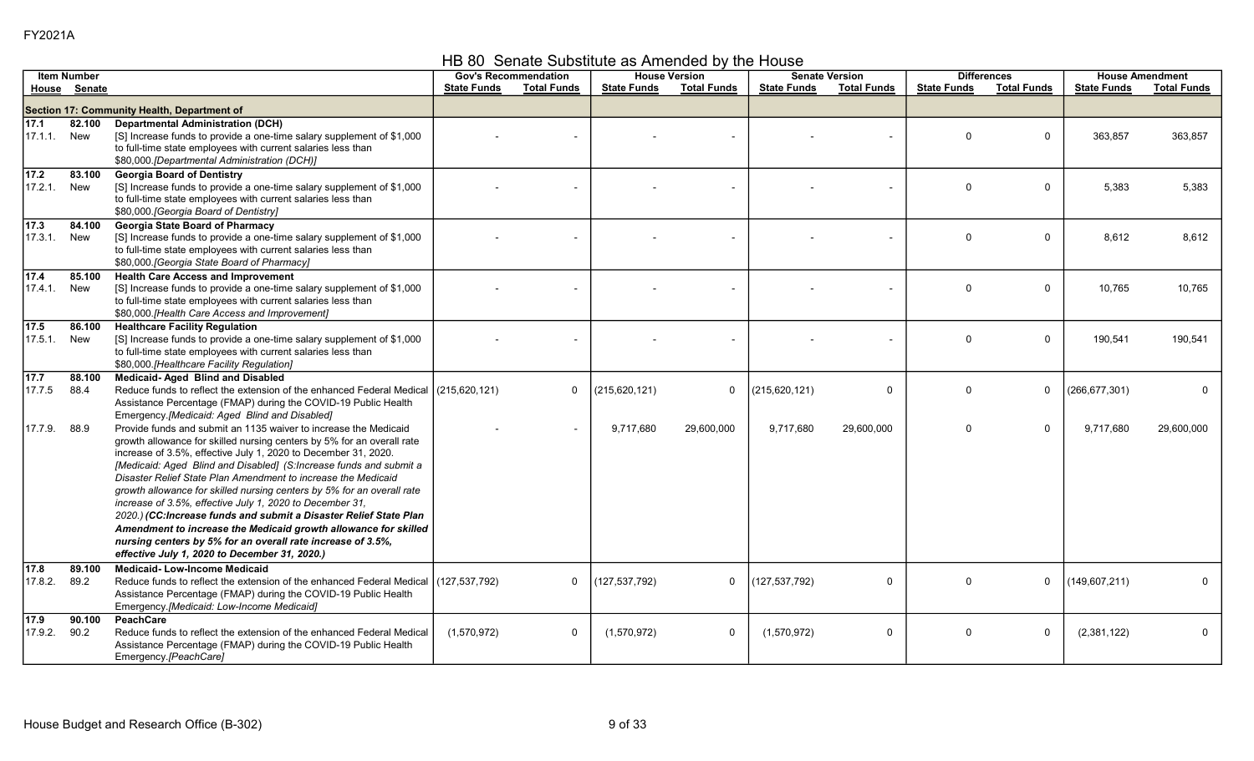HB 80 Senate Substitute as Amended by the House

|                              | <b>Item Number</b> |                                                                                                                                                                                                                                                                                                                                                                                                                                                                                                                                                                                                                                                                                                                                                    | <b>Gov's Recommendation</b> |                          |                    | <b>House Version</b> |                    | <b>Senate Version</b> | <b>Differences</b> |                    |                    | <b>House Amendment</b> |
|------------------------------|--------------------|----------------------------------------------------------------------------------------------------------------------------------------------------------------------------------------------------------------------------------------------------------------------------------------------------------------------------------------------------------------------------------------------------------------------------------------------------------------------------------------------------------------------------------------------------------------------------------------------------------------------------------------------------------------------------------------------------------------------------------------------------|-----------------------------|--------------------------|--------------------|----------------------|--------------------|-----------------------|--------------------|--------------------|--------------------|------------------------|
|                              | House Senate       |                                                                                                                                                                                                                                                                                                                                                                                                                                                                                                                                                                                                                                                                                                                                                    | <b>State Funds</b>          | <b>Total Funds</b>       | <b>State Funds</b> | <b>Total Funds</b>   | <b>State Funds</b> | <b>Total Funds</b>    | <b>State Funds</b> | <b>Total Funds</b> | <b>State Funds</b> | <b>Total Funds</b>     |
|                              |                    | Section 17: Community Health, Department of                                                                                                                                                                                                                                                                                                                                                                                                                                                                                                                                                                                                                                                                                                        |                             |                          |                    |                      |                    |                       |                    |                    |                    |                        |
| 17.1<br>17.1.1.              | 82.100<br>New      | <b>Departmental Administration (DCH)</b><br>[S] Increase funds to provide a one-time salary supplement of \$1,000<br>to full-time state employees with current salaries less than<br>\$80,000.[Departmental Administration (DCH)]                                                                                                                                                                                                                                                                                                                                                                                                                                                                                                                  |                             |                          |                    |                      |                    |                       | $\Omega$           | $\Omega$           | 363,857            | 363,857                |
| $\boxed{17.2}$<br>17.2.1.    | 83.100<br>New      | <b>Georgia Board of Dentistry</b><br>[S] Increase funds to provide a one-time salary supplement of \$1,000<br>to full-time state employees with current salaries less than<br>\$80,000. [Georgia Board of Dentistry]                                                                                                                                                                                                                                                                                                                                                                                                                                                                                                                               |                             |                          |                    |                      |                    |                       | $\Omega$           | 0                  | 5,383              | 5,383                  |
| $\sqrt{17.3}$<br>17.3.1.     | 84.100<br>New      | <b>Georgia State Board of Pharmacy</b><br>[S] Increase funds to provide a one-time salary supplement of \$1,000<br>to full-time state employees with current salaries less than<br>\$80,000 [Georgia State Board of Pharmacy]                                                                                                                                                                                                                                                                                                                                                                                                                                                                                                                      |                             |                          |                    |                      |                    |                       | $\Omega$           | $\Omega$           | 8,612              | 8,612                  |
| $\overline{17.4}$<br>17.4.1. | 85.100<br>New      | <b>Health Care Access and Improvement</b><br>[S] Increase funds to provide a one-time salary supplement of \$1,000<br>to full-time state employees with current salaries less than<br>\$80,000.[Health Care Access and Improvement]                                                                                                                                                                                                                                                                                                                                                                                                                                                                                                                |                             |                          |                    |                      |                    |                       | $\Omega$           | $\mathbf 0$        | 10,765             | 10,765                 |
| 17.5<br>17.5.1.              | 86.100<br>New      | <b>Healthcare Facility Regulation</b><br>[S] Increase funds to provide a one-time salary supplement of \$1,000<br>to full-time state employees with current salaries less than<br>\$80,000.[Healthcare Facility Regulation]                                                                                                                                                                                                                                                                                                                                                                                                                                                                                                                        |                             |                          |                    |                      |                    |                       | $\Omega$           | 0                  | 190,541            | 190,541                |
| 17.7<br>17.7.5               | 88.100<br>88.4     | <b>Medicaid-Aged Blind and Disabled</b><br>Reduce funds to reflect the extension of the enhanced Federal Medical (215.620.121)<br>Assistance Percentage (FMAP) during the COVID-19 Public Health<br>Emergency.[Medicaid: Aged Blind and Disabled]                                                                                                                                                                                                                                                                                                                                                                                                                                                                                                  |                             | $\mathbf 0$              | (215, 620, 121)    | 0                    | (215, 620, 121)    | $\mathbf 0$           | $\Omega$           | 0                  | (266,677,301)      | $\mathbf{0}$           |
| 17.7.9.                      | 88.9               | Provide funds and submit an 1135 waiver to increase the Medicaid<br>growth allowance for skilled nursing centers by 5% for an overall rate<br>increase of 3.5%, effective July 1, 2020 to December 31, 2020.<br>[Medicaid: Aged Blind and Disabled] (S:Increase funds and submit a<br>Disaster Relief State Plan Amendment to increase the Medicaid<br>growth allowance for skilled nursing centers by 5% for an overall rate<br>increase of 3.5%, effective July 1, 2020 to December 31,<br>2020.) (CC: Increase funds and submit a Disaster Relief State Plan<br>Amendment to increase the Medicaid growth allowance for skilled<br>nursing centers by 5% for an overall rate increase of 3.5%,<br>effective July 1, 2020 to December 31, 2020.) |                             | $\overline{\phantom{a}}$ | 9,717,680          | 29,600,000           | 9,717,680          | 29,600,000            | $\Omega$           | $\Omega$           | 9,717,680          | 29,600,000             |
| 17.8<br>17.8.2.              | 89.100<br>89.2     | <b>Medicaid-Low-Income Medicaid</b><br>Reduce funds to reflect the extension of the enhanced Federal Medical   (127,537,792)<br>Assistance Percentage (FMAP) during the COVID-19 Public Health<br>Emergency.[Medicaid: Low-Income Medicaid]                                                                                                                                                                                                                                                                                                                                                                                                                                                                                                        |                             | $\mathbf 0$              | (127, 537, 792)    | $\mathbf 0$          | (127, 537, 792)    | $\mathbf 0$           | $\Omega$           | $\Omega$           | (149,607,211)      | $\Omega$               |
| 17.9<br>17.9.2.              | 90.100<br>90.2     | PeachCare<br>Reduce funds to reflect the extension of the enhanced Federal Medical<br>Assistance Percentage (FMAP) during the COVID-19 Public Health<br>Emergency.[PeachCare]                                                                                                                                                                                                                                                                                                                                                                                                                                                                                                                                                                      | (1,570,972)                 | $\mathbf 0$              | (1,570,972)        | 0                    | (1,570,972)        | $\mathbf 0$           | $\Omega$           | $\Omega$           | (2,381,122)        | $\mathbf 0$            |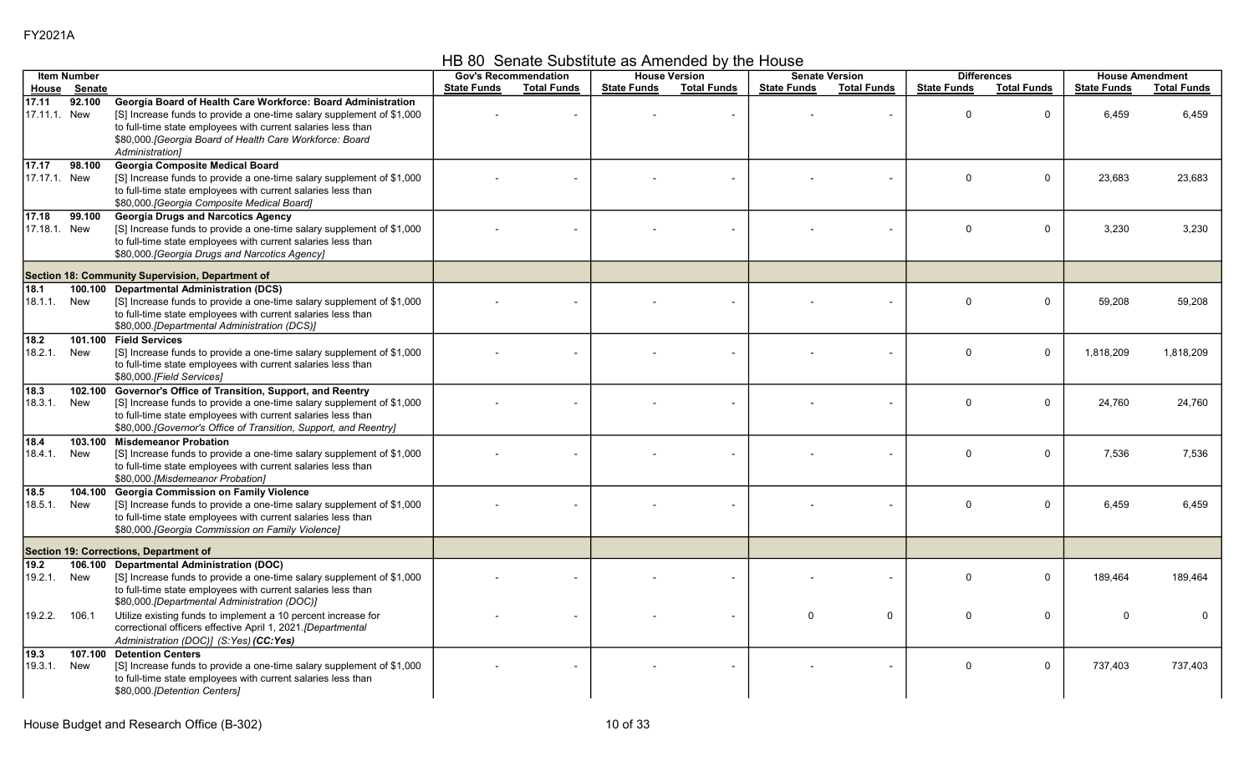HB 80 Senate Substitute as Amended by the House

|                                | <b>Item Number</b> |                                                                                                                                                                                                                                                                                      |                    | <b>Gov's Recommendation</b> |                    | <b>House Version</b> |                    | <b>Senate Version</b> |                    | <b>Differences</b> |                    | <b>House Amendment</b> |
|--------------------------------|--------------------|--------------------------------------------------------------------------------------------------------------------------------------------------------------------------------------------------------------------------------------------------------------------------------------|--------------------|-----------------------------|--------------------|----------------------|--------------------|-----------------------|--------------------|--------------------|--------------------|------------------------|
| House                          | Senate             |                                                                                                                                                                                                                                                                                      | <b>State Funds</b> | <b>Total Funds</b>          | <b>State Funds</b> | <b>Total Funds</b>   | <b>State Funds</b> | <b>Total Funds</b>    | <b>State Funds</b> | <b>Total Funds</b> | <b>State Funds</b> | <b>Total Funds</b>     |
| 17.11<br>17.11.1. New          | 92.100             | Georgia Board of Health Care Workforce: Board Administration<br>[S] Increase funds to provide a one-time salary supplement of \$1,000<br>to full-time state employees with current salaries less than<br>\$80,000. [Georgia Board of Health Care Workforce: Board<br>Administration1 |                    |                             |                    |                      |                    |                       | $\Omega$           | $\mathbf 0$        | 6,459              | 6,459                  |
| $\sqrt{17.17}$<br>17.17.1. New | 98.100             | <b>Georgia Composite Medical Board</b><br>[S] Increase funds to provide a one-time salary supplement of \$1,000<br>to full-time state employees with current salaries less than<br>\$80,000 [Georgia Composite Medical Board]                                                        |                    |                             |                    |                      |                    |                       | $\Omega$           | 0                  | 23,683             | 23,683                 |
| 17.18<br>17.18.1. New          | 99.100             | <b>Georgia Drugs and Narcotics Agency</b><br>[S] Increase funds to provide a one-time salary supplement of \$1,000<br>to full-time state employees with current salaries less than<br>\$80,000. [Georgia Drugs and Narcotics Agency]                                                 |                    |                             |                    |                      |                    |                       | $\Omega$           | $\mathbf 0$        | 3,230              | 3,230                  |
|                                |                    | Section 18: Community Supervision, Department of                                                                                                                                                                                                                                     |                    |                             |                    |                      |                    |                       |                    |                    |                    |                        |
| 18.1<br>18.1.1.                | 100.100<br>New     | <b>Departmental Administration (DCS)</b><br>[S] Increase funds to provide a one-time salary supplement of \$1,000<br>to full-time state employees with current salaries less than<br>\$80,000. [Departmental Administration (DCS)]                                                   |                    |                             |                    |                      |                    |                       | $\Omega$           | $\mathbf 0$        | 59,208             | 59,208                 |
| $18.2$<br>18.2.1.              | New                | 101.100 Field Services<br>[S] Increase funds to provide a one-time salary supplement of \$1,000<br>to full-time state employees with current salaries less than<br>\$80,000.[Field Services]                                                                                         |                    |                             |                    |                      |                    |                       | $\mathbf{0}$       | $\Omega$           | 1.818.209          | 1.818.209              |
| $18.3$<br>18.3.1.              | 102.100<br>New     | Governor's Office of Transition, Support, and Reentry<br>[S] Increase funds to provide a one-time salary supplement of \$1,000<br>to full-time state employees with current salaries less than<br>\$80,000. [Governor's Office of Transition, Support, and Reentry]                  |                    |                             |                    |                      |                    |                       | $\Omega$           | $\mathbf 0$        | 24,760             | 24,760                 |
| 18.4<br>18.4.1.                | 103.100<br>New     | <b>Misdemeanor Probation</b><br>[S] Increase funds to provide a one-time salary supplement of \$1,000<br>to full-time state employees with current salaries less than<br>\$80,000.[Misdemeanor Probation]                                                                            |                    |                             |                    |                      |                    |                       | $\mathbf{0}$       | $\mathbf 0$        | 7,536              | 7,536                  |
| 18.5<br>18.5.1.                | 104.100<br>New     | <b>Georgia Commission on Family Violence</b><br>[S] Increase funds to provide a one-time salary supplement of \$1,000<br>to full-time state employees with current salaries less than<br>\$80,000 [Georgia Commission on Family Violence]                                            |                    |                             |                    |                      |                    |                       | $\mathbf 0$        | $\mathbf 0$        | 6.459              | 6,459                  |
|                                |                    | Section 19: Corrections, Department of                                                                                                                                                                                                                                               |                    |                             |                    |                      |                    |                       |                    |                    |                    |                        |
| 19.2<br>19.2.1.                | 106.100<br>New     | <b>Departmental Administration (DOC)</b><br>[S] Increase funds to provide a one-time salary supplement of \$1,000<br>to full-time state employees with current salaries less than<br>\$80,000.[Departmental Administration (DOC)]                                                    |                    |                             |                    |                      |                    |                       | $\Omega$           | $\mathbf 0$        | 189.464            | 189.464                |
| 19.2.2.                        | 106.1              | Utilize existing funds to implement a 10 percent increase for<br>correctional officers effective April 1, 2021.[Departmental<br>Administration (DOC)] (S:Yes) (CC:Yes)                                                                                                               |                    |                             |                    |                      | $\mathbf{0}$       | $\mathbf 0$           | $\mathbf{0}$       | $\mathbf 0$        | $\Omega$           | $\Omega$               |
| 19.3<br>19.3.1.                | 107.100<br>New     | <b>Detention Centers</b><br>[S] Increase funds to provide a one-time salary supplement of \$1,000<br>to full-time state employees with current salaries less than<br>\$80,000 [Detention Centers]                                                                                    |                    |                             |                    |                      |                    |                       | $\mathbf 0$        | $\mathbf 0$        | 737,403            | 737,403                |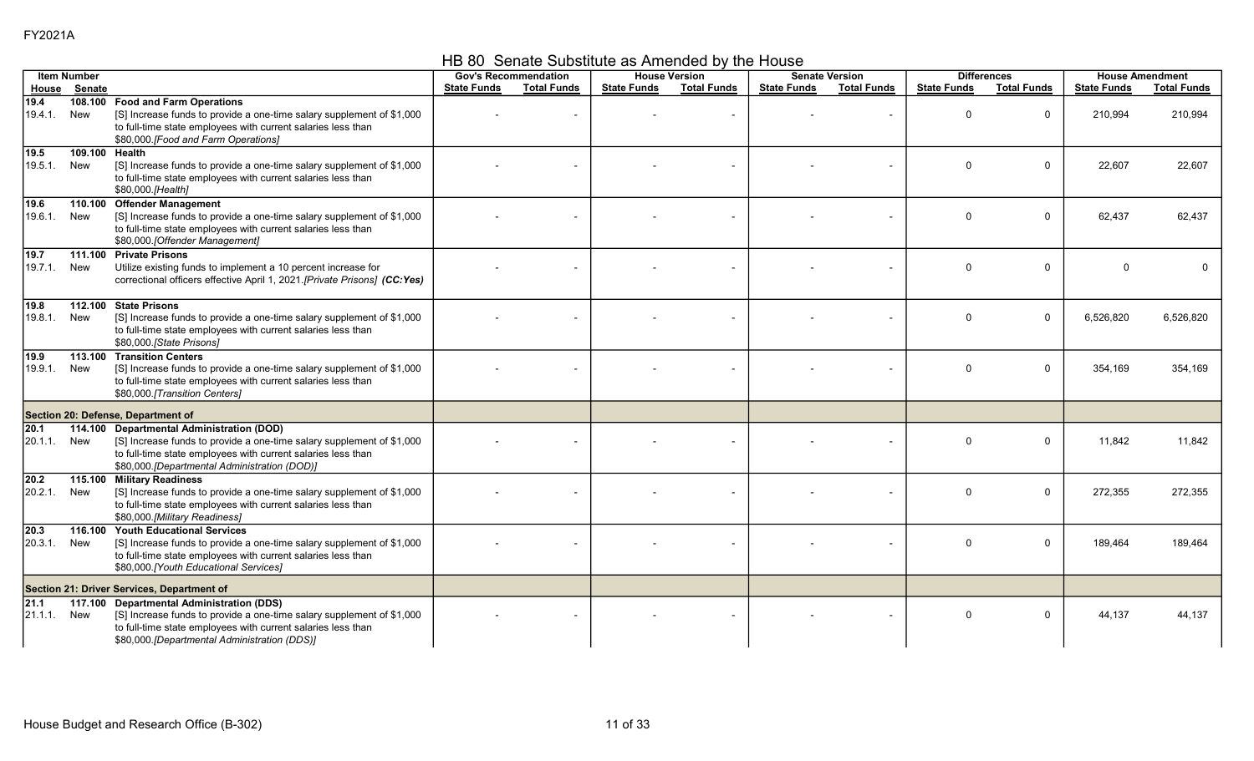HB 80 Senate Substitute as Amended by the House

|                  | <b>Item Number</b>    |                                                                                                                                                                                                                                    |                    | <b>Gov's Recommendation</b> |                    | <b>House Version</b> |                    | <b>Senate Version</b> |                    | <b>Differences</b> |                    | <b>House Amendment</b> |
|------------------|-----------------------|------------------------------------------------------------------------------------------------------------------------------------------------------------------------------------------------------------------------------------|--------------------|-----------------------------|--------------------|----------------------|--------------------|-----------------------|--------------------|--------------------|--------------------|------------------------|
| House            | Senate                |                                                                                                                                                                                                                                    | <b>State Funds</b> | <b>Total Funds</b>          | <b>State Funds</b> | <b>Total Funds</b>   | <b>State Funds</b> | <b>Total Funds</b>    | <b>State Funds</b> | <b>Total Funds</b> | <b>State Funds</b> | <b>Total Funds</b>     |
| 19.4<br>19.4.1.  | New                   | 108.100 Food and Farm Operations<br>[S] Increase funds to provide a one-time salary supplement of \$1,000<br>to full-time state employees with current salaries less than<br>\$80,000. [Food and Farm Operations]                  |                    |                             |                    |                      |                    |                       | $\Omega$           | $\mathbf 0$        | 210,994            | 210,994                |
| 19.5<br>19.5.1.  | 109.100 Health<br>New | [S] Increase funds to provide a one-time salary supplement of \$1,000<br>to full-time state employees with current salaries less than<br>\$80,000.[Health]                                                                         |                    |                             |                    |                      |                    |                       | $\Omega$           | 0                  | 22,607             | 22,607                 |
| 19.6<br>19.6.1.  | New                   | 110.100 Offender Management<br>[S] Increase funds to provide a one-time salary supplement of \$1,000<br>to full-time state employees with current salaries less than<br>\$80,000. [Offender Management]                            |                    |                             |                    |                      |                    | $\sim$                | $\Omega$           | $\mathbf 0$        | 62,437             | 62,437                 |
| 19.7<br>19.7.1.  | New                   | 111.100 Private Prisons<br>Utilize existing funds to implement a 10 percent increase for<br>correctional officers effective April 1, 2021.[Private Prisons] (CC:Yes)                                                               |                    |                             |                    |                      |                    |                       | $\Omega$           | $\mathbf 0$        |                    |                        |
| 19.8<br>19.8.1.  | New                   | 112.100 State Prisons<br>[S] Increase funds to provide a one-time salary supplement of \$1,000<br>to full-time state employees with current salaries less than<br>\$80,000.[State Prisons]                                         |                    |                             |                    |                      |                    |                       | $\Omega$           | $\Omega$           | 6,526,820          | 6,526,820              |
| 19.9<br>19.9.1.  | New                   | 113.100 Transition Centers<br>[S] Increase funds to provide a one-time salary supplement of \$1,000<br>to full-time state employees with current salaries less than<br>\$80,000.[Transition Centers]                               |                    |                             |                    |                      |                    |                       | $\Omega$           | $\mathbf 0$        | 354,169            | 354,169                |
|                  |                       | Section 20: Defense, Department of                                                                                                                                                                                                 |                    |                             |                    |                      |                    |                       |                    |                    |                    |                        |
| 20.1<br>20.1.1.  | New                   | 114.100 Departmental Administration (DOD)<br>[S] Increase funds to provide a one-time salary supplement of \$1,000<br>to full-time state employees with current salaries less than<br>\$80,000.[Departmental Administration (DOD)] |                    |                             |                    |                      |                    |                       | $\Omega$           | $\mathbf 0$        | 11,842             | 11.842                 |
| 20.2<br>20.2.1.  | New                   | 115.100 Military Readiness<br>[S] Increase funds to provide a one-time salary supplement of \$1,000<br>to full-time state employees with current salaries less than<br>\$80,000.[Military Readiness]                               |                    |                             |                    |                      |                    |                       | $\Omega$           | $\mathbf 0$        | 272,355            | 272,355                |
| 20.3<br>20.3.1.  | 116.100<br>New        | <b>Youth Educational Services</b><br>[S] Increase funds to provide a one-time salary supplement of \$1,000<br>to full-time state employees with current salaries less than<br>\$80,000.[Youth Educational Services]                |                    |                             |                    |                      |                    |                       | $\Omega$           | $\mathbf 0$        | 189,464            | 189,464                |
|                  |                       | Section 21: Driver Services, Department of                                                                                                                                                                                         |                    |                             |                    |                      |                    |                       |                    |                    |                    |                        |
| 21.1 <br>21.1.1. | New                   | 117.100 Departmental Administration (DDS)<br>[S] Increase funds to provide a one-time salary supplement of \$1,000<br>to full-time state employees with current salaries less than<br>\$80,000.[Departmental Administration (DDS)] |                    |                             |                    |                      |                    |                       | $\Omega$           | $\mathbf 0$        | 44,137             | 44,137                 |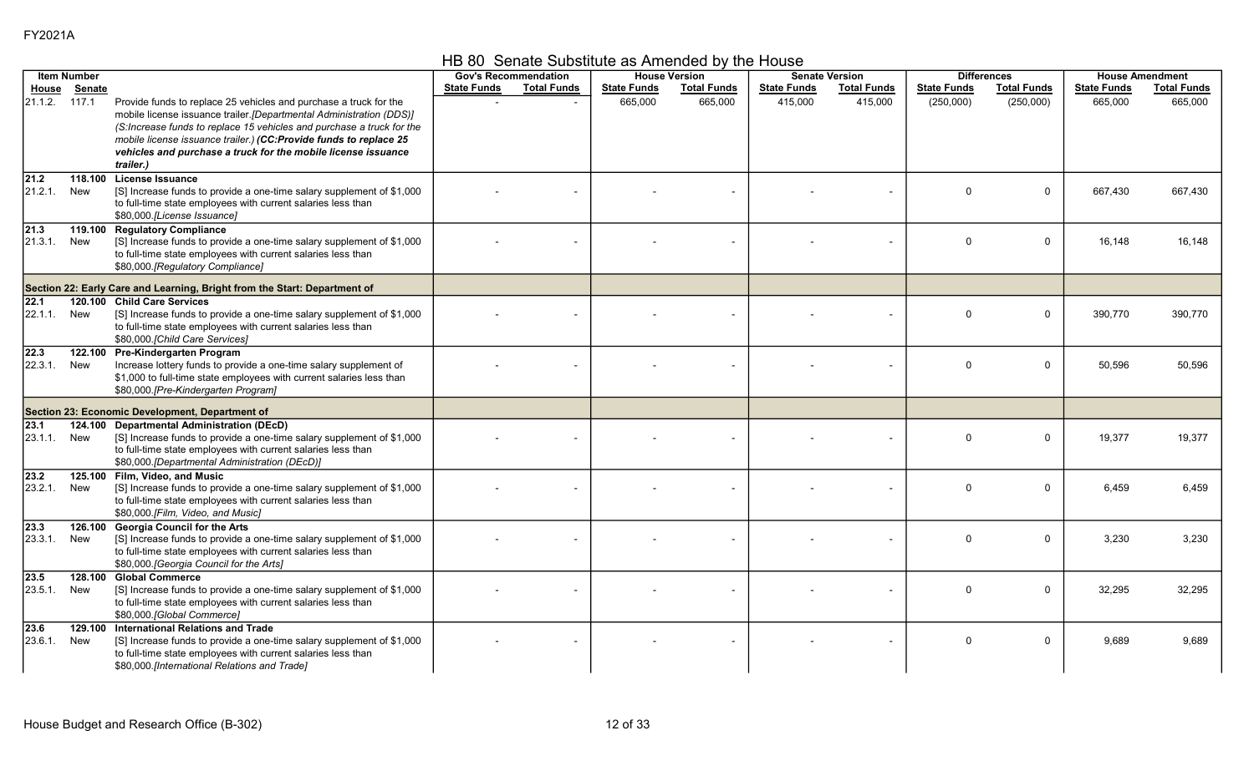HB 80 Senate Substitute as Amended by the House

|                          | <b>Item Number</b> |                                                                                                                                                                                                                                                                                                                                                         |                    | <b>Gov's Recommendation</b> |                    | <b>House Version</b> |                    | <b>Senate Version</b> |                    | <b>Differences</b> |                    | <b>House Amendment</b> |
|--------------------------|--------------------|---------------------------------------------------------------------------------------------------------------------------------------------------------------------------------------------------------------------------------------------------------------------------------------------------------------------------------------------------------|--------------------|-----------------------------|--------------------|----------------------|--------------------|-----------------------|--------------------|--------------------|--------------------|------------------------|
| House                    | <u>Senate</u>      |                                                                                                                                                                                                                                                                                                                                                         | <b>State Funds</b> | <b>Total Funds</b>          | <b>State Funds</b> | <b>Total Funds</b>   | <b>State Funds</b> | <b>Total Funds</b>    | <b>State Funds</b> | <b>Total Funds</b> | <b>State Funds</b> | <b>Total Funds</b>     |
| 21.1.2. 117.1            |                    | Provide funds to replace 25 vehicles and purchase a truck for the<br>mobile license issuance trailer.[Departmental Administration (DDS)]<br>(S:Increase funds to replace 15 vehicles and purchase a truck for the<br>mobile license issuance trailer.) (CC:Provide funds to replace 25<br>vehicles and purchase a truck for the mobile license issuance |                    |                             | 665,000            | 665,000              | 415,000            | 415,000               | (250,000)          | (250,000)          | 665,000            | 665,000                |
|                          |                    | trailer.)                                                                                                                                                                                                                                                                                                                                               |                    |                             |                    |                      |                    |                       |                    |                    |                    |                        |
| 21.2                     | 118.100            | <b>License Issuance</b>                                                                                                                                                                                                                                                                                                                                 |                    |                             |                    |                      |                    |                       |                    |                    |                    |                        |
| 21.2.1.                  | New                | [S] Increase funds to provide a one-time salary supplement of \$1,000<br>to full-time state employees with current salaries less than<br>\$80,000.[License Issuance]                                                                                                                                                                                    |                    |                             |                    |                      |                    |                       | $\Omega$           | $\mathbf 0$        | 667,430            | 667,430                |
| 21.3<br>21.3.1.          | New                | 119.100 Regulatory Compliance<br>[S] Increase funds to provide a one-time salary supplement of \$1,000<br>to full-time state employees with current salaries less than<br>\$80,000.[Regulatory Compliance]                                                                                                                                              |                    |                             |                    |                      |                    |                       | $\Omega$           | 0                  | 16,148             | 16.148                 |
|                          |                    | Section 22: Early Care and Learning, Bright from the Start: Department of                                                                                                                                                                                                                                                                               |                    |                             |                    |                      |                    |                       |                    |                    |                    |                        |
| $\overline{22.1}$        |                    | 120.100 Child Care Services                                                                                                                                                                                                                                                                                                                             |                    |                             |                    |                      |                    |                       |                    |                    |                    |                        |
| 22.1.1.                  | New                | [S] Increase funds to provide a one-time salary supplement of \$1,000<br>to full-time state employees with current salaries less than<br>\$80,000.[Child Care Services]                                                                                                                                                                                 |                    |                             |                    |                      |                    |                       | $\Omega$           | $\mathbf 0$        | 390,770            | 390.770                |
| $\sqrt{22.3}$<br>22.3.1. | New                | 122.100 Pre-Kindergarten Program<br>Increase lottery funds to provide a one-time salary supplement of<br>\$1,000 to full-time state employees with current salaries less than<br>\$80,000.[Pre-Kindergarten Program]                                                                                                                                    |                    |                             |                    |                      |                    |                       | $\Omega$           | $\mathbf 0$        | 50,596             | 50,596                 |
|                          |                    | Section 23: Economic Development, Department of                                                                                                                                                                                                                                                                                                         |                    |                             |                    |                      |                    |                       |                    |                    |                    |                        |
| 23.1<br>23.1.1. New      |                    | 124.100 Departmental Administration (DEcD)<br>[S] Increase funds to provide a one-time salary supplement of \$1,000<br>to full-time state employees with current salaries less than<br>\$80,000.[Departmental Administration (DEcD)]                                                                                                                    |                    |                             |                    |                      |                    |                       | $\Omega$           | $\mathbf 0$        | 19,377             | 19.377                 |
| $\sqrt{23.2}$<br>23.2.1. | New                | 125.100 Film, Video, and Music<br>[S] Increase funds to provide a one-time salary supplement of \$1,000<br>to full-time state employees with current salaries less than<br>\$80,000.[Film, Video, and Music]                                                                                                                                            |                    |                             |                    |                      |                    |                       | $\mathbf 0$        | $\mathbf 0$        | 6,459              | 6,459                  |
| 23.3 <br>23.3.1.         | New                | 126.100 Georgia Council for the Arts<br>[S] Increase funds to provide a one-time salary supplement of \$1,000<br>to full-time state employees with current salaries less than<br>\$80,000. [Georgia Council for the Arts]                                                                                                                               |                    |                             |                    |                      |                    |                       | $\Omega$           | $\mathbf 0$        | 3,230              | 3,230                  |
| 23.5<br>23.5.1.          | New                | 128.100 Global Commerce<br>[S] Increase funds to provide a one-time salary supplement of \$1,000<br>to full-time state employees with current salaries less than<br>\$80,000.[Global Commerce]                                                                                                                                                          |                    |                             |                    |                      |                    |                       | $\Omega$           | $\mathbf 0$        | 32,295             | 32,295                 |
| 23.6<br>23.6.1.          | 129.100<br>New     | <b>International Relations and Trade</b><br>[S] Increase funds to provide a one-time salary supplement of \$1,000<br>to full-time state employees with current salaries less than<br>\$80,000.[International Relations and Trade]                                                                                                                       |                    |                             |                    |                      |                    |                       | $\Omega$           | $\mathbf 0$        | 9.689              | 9,689                  |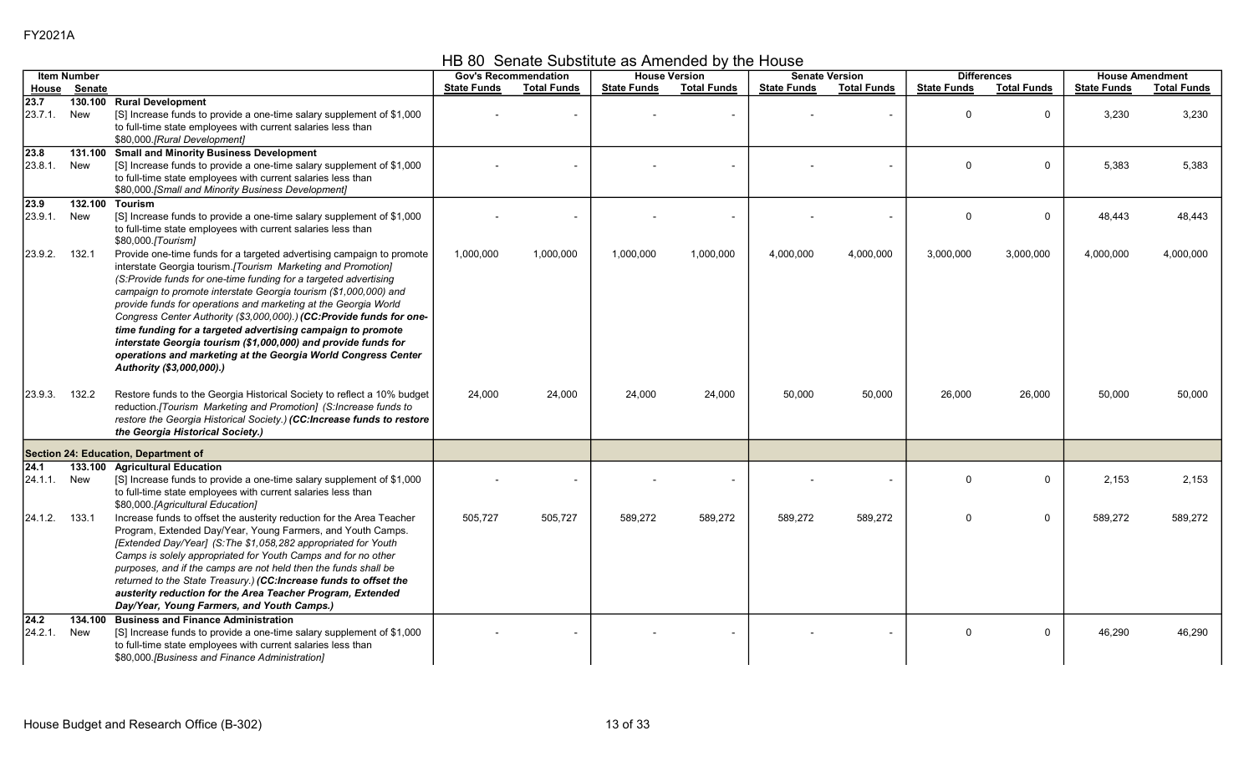HB 80 Senate Substitute as Amended by the House

|                          | <b>Item Number</b> |                                                                                                                                                                                                                                                                                                                                                                                                                                                                                                                                                                                                                                                         |                    | <b>Gov's Recommendation</b> |                    | <b>House Version</b> |                    | <b>Senate Version</b> |                    | <b>Differences</b> |                    | <b>House Amendment</b> |
|--------------------------|--------------------|---------------------------------------------------------------------------------------------------------------------------------------------------------------------------------------------------------------------------------------------------------------------------------------------------------------------------------------------------------------------------------------------------------------------------------------------------------------------------------------------------------------------------------------------------------------------------------------------------------------------------------------------------------|--------------------|-----------------------------|--------------------|----------------------|--------------------|-----------------------|--------------------|--------------------|--------------------|------------------------|
| House                    | <b>Senate</b>      |                                                                                                                                                                                                                                                                                                                                                                                                                                                                                                                                                                                                                                                         | <b>State Funds</b> | <b>Total Funds</b>          | <b>State Funds</b> | <b>Total Funds</b>   | <b>State Funds</b> | <b>Total Funds</b>    | <b>State Funds</b> | <b>Total Funds</b> | <b>State Funds</b> | <b>Total Funds</b>     |
| $\sqrt{23.7}$<br>23.7.1. | 130.100<br>New     | <b>Rural Development</b><br>[S] Increase funds to provide a one-time salary supplement of \$1,000<br>to full-time state employees with current salaries less than<br>\$80,000.[Rural Development]                                                                                                                                                                                                                                                                                                                                                                                                                                                       |                    |                             |                    |                      |                    |                       | $\Omega$           | 0                  | 3,230              | 3,230                  |
| 23.8<br>23.8.1.          | 131.100<br>New     | <b>Small and Minority Business Development</b><br>[S] Increase funds to provide a one-time salary supplement of \$1,000<br>to full-time state employees with current salaries less than<br>\$80,000.[Small and Minority Business Development]                                                                                                                                                                                                                                                                                                                                                                                                           |                    |                             |                    |                      |                    |                       | $\Omega$           | $\mathbf 0$        | 5,383              | 5,383                  |
| 23.9<br>23.9.1.          | 132.100<br>New     | <b>Tourism</b><br>[S] Increase funds to provide a one-time salary supplement of \$1,000<br>to full-time state employees with current salaries less than<br>\$80,000.[Tourism]                                                                                                                                                                                                                                                                                                                                                                                                                                                                           |                    |                             |                    | $\blacksquare$       |                    |                       | $\Omega$           | $\mathbf 0$        | 48,443             | 48,443                 |
| 23.9.2.                  | 132.1              | Provide one-time funds for a targeted advertising campaign to promote<br>interstate Georgia tourism.[Tourism Marketing and Promotion]<br>(S:Provide funds for one-time funding for a targeted advertising<br>campaign to promote interstate Georgia tourism (\$1,000,000) and<br>provide funds for operations and marketing at the Georgia World<br>Congress Center Authority (\$3,000,000).) (CC:Provide funds for one-<br>time funding for a targeted advertising campaign to promote<br>interstate Georgia tourism (\$1,000,000) and provide funds for<br>operations and marketing at the Georgia World Congress Center<br>Authority (\$3,000,000).) | 1,000,000          | 1,000,000                   | 1,000,000          | 1,000,000            | 4,000,000          | 4,000,000             | 3,000,000          | 3,000,000          | 4,000,000          | 4,000,000              |
| 23.9.3.                  | 132.2              | Restore funds to the Georgia Historical Society to reflect a 10% budget<br>reduction. [Tourism Marketing and Promotion] (S: Increase funds to<br>restore the Georgia Historical Society.) (CC:Increase funds to restore<br>the Georgia Historical Society.)                                                                                                                                                                                                                                                                                                                                                                                             | 24,000             | 24,000                      | 24,000             | 24,000               | 50,000             | 50,000                | 26,000             | 26,000             | 50,000             | 50,000                 |
|                          |                    | Section 24: Education, Department of                                                                                                                                                                                                                                                                                                                                                                                                                                                                                                                                                                                                                    |                    |                             |                    |                      |                    |                       |                    |                    |                    |                        |
| 24.1<br>24.1.1.          | 133.100<br>New     | <b>Agricultural Education</b><br>[S] Increase funds to provide a one-time salary supplement of \$1,000<br>to full-time state employees with current salaries less than<br>\$80,000.[Agricultural Education]                                                                                                                                                                                                                                                                                                                                                                                                                                             |                    |                             |                    |                      |                    |                       | $\Omega$           | $\mathbf 0$        | 2,153              | 2,153                  |
| 24.1.2.                  | 133.1              | Increase funds to offset the austerity reduction for the Area Teacher<br>Program, Extended Day/Year, Young Farmers, and Youth Camps.<br>[Extended Day/Year] (S:The \$1,058,282 appropriated for Youth<br>Camps is solely appropriated for Youth Camps and for no other<br>purposes, and if the camps are not held then the funds shall be<br>returned to the State Treasury.) (CC:Increase funds to offset the<br>austerity reduction for the Area Teacher Program, Extended<br>Day/Year, Young Farmers, and Youth Camps.)                                                                                                                              | 505,727            | 505,727                     | 589,272            | 589,272              | 589,272            | 589,272               | $\Omega$           | 0                  | 589,272            | 589,272                |
| 24.2<br>24.2.1.          | 134.100<br>New     | <b>Business and Finance Administration</b><br>[S] Increase funds to provide a one-time salary supplement of \$1,000<br>to full-time state employees with current salaries less than<br>\$80,000.[Business and Finance Administration]                                                                                                                                                                                                                                                                                                                                                                                                                   |                    |                             |                    |                      |                    |                       | $\Omega$           | $\mathbf 0$        | 46,290             | 46,290                 |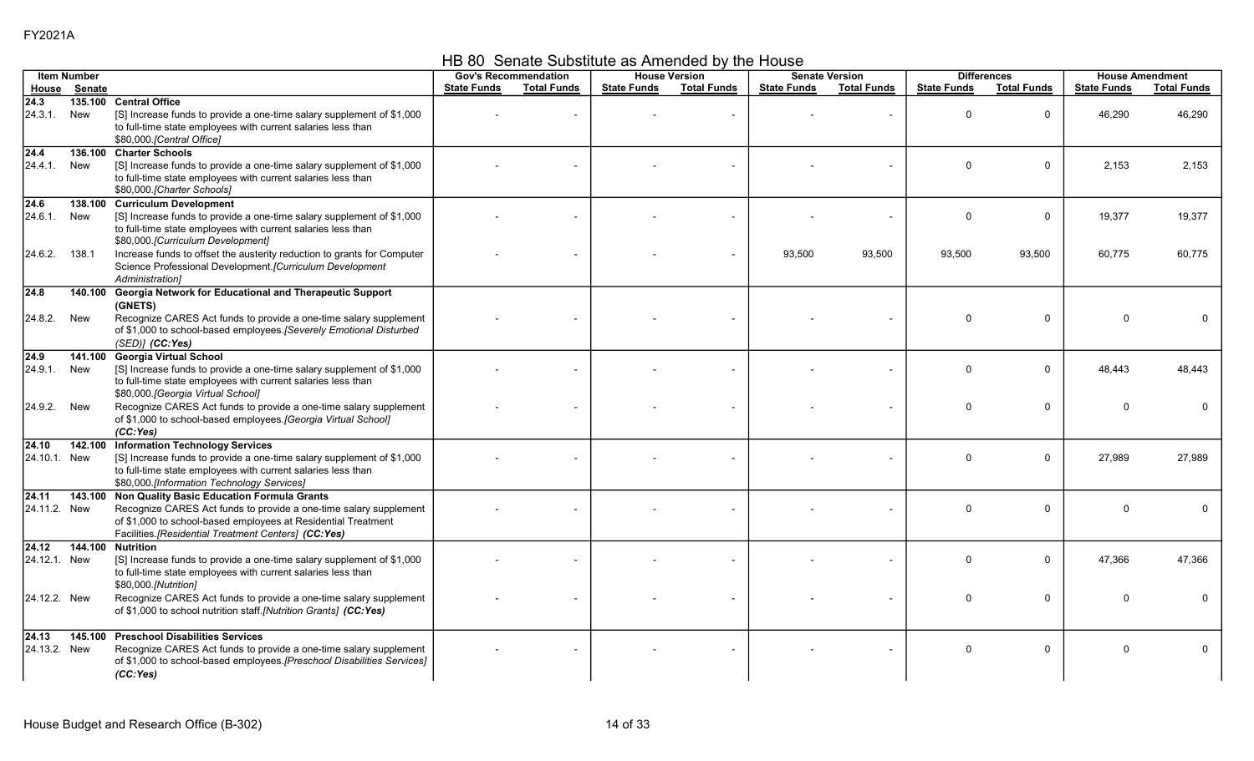HB 80 Senate Substitute as Amended by the House

|                          | <b>Item Number</b> |                                                                                                                                                                                                                                         |                    | <b>Gov's Recommendation</b> |                    | <b>House Version</b>     |                    | <b>Senate Version</b> | <b>Differences</b> |                    |                    | <b>House Amendment</b> |
|--------------------------|--------------------|-----------------------------------------------------------------------------------------------------------------------------------------------------------------------------------------------------------------------------------------|--------------------|-----------------------------|--------------------|--------------------------|--------------------|-----------------------|--------------------|--------------------|--------------------|------------------------|
| House                    | Senate             |                                                                                                                                                                                                                                         | <b>State Funds</b> | <b>Total Funds</b>          | <b>State Funds</b> | <b>Total Funds</b>       | <b>State Funds</b> | <b>Total Funds</b>    | <b>State Funds</b> | <b>Total Funds</b> | <b>State Funds</b> | <b>Total Funds</b>     |
| $\sqrt{24.3}$<br>24.3.1. | New                | 135.100 Central Office<br>[S] Increase funds to provide a one-time salary supplement of \$1,000<br>to full-time state employees with current salaries less than<br>\$80,000.[Central Office]                                            |                    |                             |                    |                          |                    |                       | $\Omega$           | 0                  | 46,290             | 46,290                 |
| $\sqrt{24.4}$<br>24.4.1. | 136.100<br>New     | <b>Charter Schools</b><br>[S] Increase funds to provide a one-time salary supplement of \$1,000<br>to full-time state employees with current salaries less than<br>\$80,000.[Charter Schools]                                           |                    |                             |                    |                          |                    |                       | $\Omega$           | $\mathbf 0$        | 2,153              | 2,153                  |
| 24.6<br>24.6.1.          | New                | 138.100 Curriculum Development<br>[S] Increase funds to provide a one-time salary supplement of \$1,000<br>to full-time state employees with current salaries less than<br>\$80,000. [Curriculum Development]                           |                    |                             |                    |                          |                    |                       | $\mathbf{0}$       | $\Omega$           | 19,377             | 19,377                 |
| 24.6.2.                  | 138.1              | Increase funds to offset the austerity reduction to grants for Computer<br>Science Professional Development.[Curriculum Development<br>Administration]                                                                                  |                    |                             |                    | $\overline{\phantom{a}}$ | 93,500             | 93,500                | 93,500             | 93,500             | 60,775             | 60.775                 |
| 24.8<br>24.8.2.          | 140.100<br>New     | Georgia Network for Educational and Therapeutic Support<br>(GNETS)<br>Recognize CARES Act funds to provide a one-time salary supplement<br>of \$1,000 to school-based employees. [Severely Emotional Disturbed<br>(SED)] (CC:Yes)       |                    |                             |                    |                          |                    |                       | $\mathbf{0}$       | $\Omega$           | <sup>0</sup>       | <sup>0</sup>           |
| $\sqrt{24.9}$<br>24.9.1. | 141.100<br>New     | <b>Georgia Virtual School</b><br>[S] Increase funds to provide a one-time salary supplement of \$1,000<br>to full-time state employees with current salaries less than<br>\$80,000. [Georgia Virtual School]                            |                    |                             |                    | $\blacksquare$           |                    |                       | $\Omega$           | $\mathbf 0$        | 48.443             | 48.443                 |
| 24.9.2.                  | New                | Recognize CARES Act funds to provide a one-time salary supplement<br>of \$1,000 to school-based employees.[Georgia Virtual School]<br>(CC:Yes)                                                                                          |                    |                             |                    | $\overline{\phantom{a}}$ |                    |                       | $\mathbf 0$        | $\mathbf 0$        | $\Omega$           |                        |
| 24.10<br>24.10.1. New    | 142.100            | <b>Information Technology Services</b><br>[S] Increase funds to provide a one-time salary supplement of \$1,000<br>to full-time state employees with current salaries less than<br>\$80,000.[Information Technology Services]           |                    |                             |                    |                          |                    |                       | $\Omega$           | 0                  | 27,989             | 27,989                 |
| 24.11<br>24.11.2. New    | 143.100            | Non Quality Basic Education Formula Grants<br>Recognize CARES Act funds to provide a one-time salary supplement<br>of \$1,000 to school-based employees at Residential Treatment<br>Facilities.[Residential Treatment Centers] (CC:Yes) |                    |                             |                    |                          |                    |                       | $\mathbf 0$        | $\mathbf 0$        | <sup>0</sup>       |                        |
| 24.12<br>24.12.1. New    | 144.100            | <b>Nutrition</b><br>[S] Increase funds to provide a one-time salary supplement of \$1,000<br>to full-time state employees with current salaries less than<br>\$80,000.[Nutrition]                                                       |                    |                             |                    |                          |                    |                       | $\mathbf 0$        | 0                  | 47,366             | 47,366                 |
| 24.12.2. New             |                    | Recognize CARES Act funds to provide a one-time salary supplement<br>of \$1,000 to school nutrition staff.[Nutrition Grants] (CC:Yes)                                                                                                   |                    |                             |                    | $\overline{\phantom{a}}$ |                    |                       | $\Omega$           | 0                  | <sup>0</sup>       |                        |
| 24.13<br>24.13.2. New    | 145.100            | <b>Preschool Disabilities Services</b><br>Recognize CARES Act funds to provide a one-time salary supplement<br>of \$1,000 to school-based employees.[Preschool Disabilities Services]<br>(CC:Yes)                                       |                    |                             |                    |                          |                    |                       | $\mathbf 0$        | $\mathbf 0$        | $\Omega$           | $\Omega$               |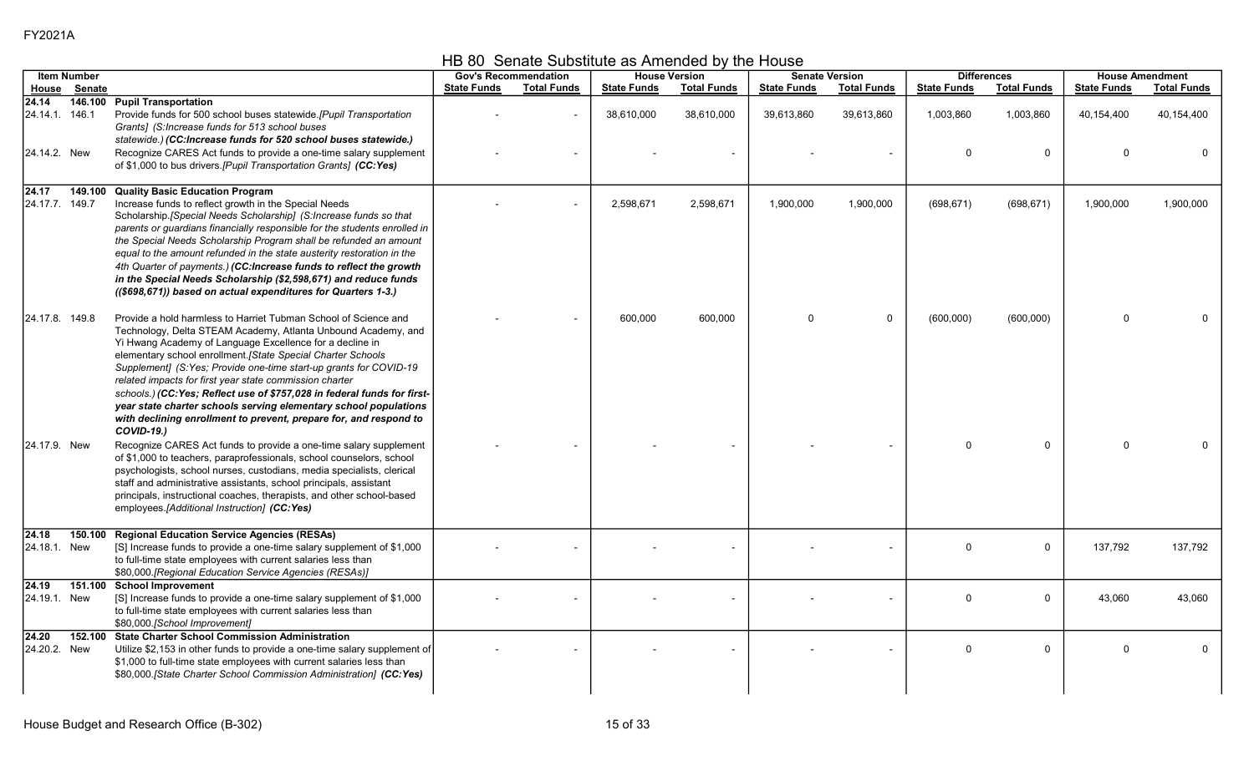HB 80 Senate Substitute as Amended by the House

|                                        | <b>Item Number</b> |                                                                                                                                                                                                                                                                                                                                                                                                                                                                                                                                                                                                                                        |                    | <b>Gov's Recommendation</b> |                    | <b>House Version</b> |                    | <b>Senate Version</b> |                       | <b>Differences</b>       |                            | <b>House Amendment</b> |
|----------------------------------------|--------------------|----------------------------------------------------------------------------------------------------------------------------------------------------------------------------------------------------------------------------------------------------------------------------------------------------------------------------------------------------------------------------------------------------------------------------------------------------------------------------------------------------------------------------------------------------------------------------------------------------------------------------------------|--------------------|-----------------------------|--------------------|----------------------|--------------------|-----------------------|-----------------------|--------------------------|----------------------------|------------------------|
|                                        | House Senate       |                                                                                                                                                                                                                                                                                                                                                                                                                                                                                                                                                                                                                                        | <b>State Funds</b> | <b>Total Funds</b>          | <b>State Funds</b> | <b>Total Funds</b>   | <b>State Funds</b> | <b>Total Funds</b>    | <b>State Funds</b>    | <b>Total Funds</b>       | <b>State Funds</b>         | <b>Total Funds</b>     |
| 24.14<br>24.14.1 146.1<br>24.14.2. New |                    | 146.100 Pupil Transportation<br>Provide funds for 500 school buses statewide.[Pupil Transportation<br>Grants] (S: Increase funds for 513 school buses<br>statewide.) (CC:Increase funds for 520 school buses statewide.)<br>Recognize CARES Act funds to provide a one-time salary supplement<br>of \$1,000 to bus drivers. [Pupil Transportation Grants] (CC:Yes)                                                                                                                                                                                                                                                                     |                    |                             | 38,610,000         | 38,610,000           | 39,613,860         | 39,613,860            | 1,003,860<br>$\Omega$ | 1,003,860<br>$\mathbf 0$ | 40,154,400<br><sup>0</sup> | 40,154,400<br>$\Omega$ |
| 24.17<br>24.17.7. 149.7                | 149.100            | <b>Quality Basic Education Program</b><br>Increase funds to reflect growth in the Special Needs<br>Scholarship. [Special Needs Scholarship] (S:Increase funds so that<br>parents or guardians financially responsible for the students enrolled in<br>the Special Needs Scholarship Program shall be refunded an amount<br>equal to the amount refunded in the state austerity restoration in the<br>4th Quarter of payments.) (CC: Increase funds to reflect the growth<br>in the Special Needs Scholarship (\$2,598,671) and reduce funds<br>((\$698,671)) based on actual expenditures for Quarters 1-3.)                           |                    |                             | 2,598,671          | 2,598,671            | 1,900,000          | 1,900,000             | (698, 671)            | (698, 671)               | 1,900,000                  | 1,900,000              |
| 24.17.8. 149.8                         |                    | Provide a hold harmless to Harriet Tubman School of Science and<br>Technology, Delta STEAM Academy, Atlanta Unbound Academy, and<br>Yi Hwang Academy of Language Excellence for a decline in<br>elementary school enrollment. [State Special Charter Schools<br>Supplement] (S:Yes; Provide one-time start-up grants for COVID-19<br>related impacts for first year state commission charter<br>schools.) (CC: Yes; Reflect use of \$757,028 in federal funds for first-<br>year state charter schools serving elementary school populations<br>with declining enrollment to prevent, prepare for, and respond to<br><b>COVID-19.)</b> |                    |                             | 600,000            | 600,000              | $\mathbf 0$        | 0                     | (600,000)             | (600,000)                | $\Omega$                   |                        |
| 24.17.9. New                           |                    | Recognize CARES Act funds to provide a one-time salary supplement<br>of \$1,000 to teachers, paraprofessionals, school counselors, school<br>psychologists, school nurses, custodians, media specialists, clerical<br>staff and administrative assistants, school principals, assistant<br>principals, instructional coaches, therapists, and other school-based<br>employees.[Additional Instruction] (CC:Yes)                                                                                                                                                                                                                        |                    |                             |                    |                      |                    |                       | $\Omega$              | $\Omega$                 | $\Omega$                   |                        |
| 24.18<br>24.18.1. New                  | 150.100            | <b>Regional Education Service Agencies (RESAs)</b><br>[S] Increase funds to provide a one-time salary supplement of \$1,000<br>to full-time state employees with current salaries less than<br>\$80,000.[Regional Education Service Agencies (RESAs)]                                                                                                                                                                                                                                                                                                                                                                                  |                    |                             |                    |                      |                    |                       | $\Omega$              | $\mathbf 0$              | 137,792                    | 137,792                |
| 24.19<br>24.19.1. New                  | 151.100            | <b>School Improvement</b><br>[S] Increase funds to provide a one-time salary supplement of \$1,000<br>to full-time state employees with current salaries less than<br>\$80,000.[School Improvement]                                                                                                                                                                                                                                                                                                                                                                                                                                    |                    |                             |                    |                      |                    |                       | $\Omega$              | 0                        | 43,060                     | 43,060                 |
| 24.20<br>24.20.2. New                  | 152.100            | <b>State Charter School Commission Administration</b><br>Utilize \$2,153 in other funds to provide a one-time salary supplement of<br>\$1,000 to full-time state employees with current salaries less than<br>\$80,000.[State Charter School Commission Administration] (CC:Yes)                                                                                                                                                                                                                                                                                                                                                       |                    |                             |                    |                      |                    |                       | $\Omega$              | $\mathbf 0$              | $\Omega$                   | $\mathbf 0$            |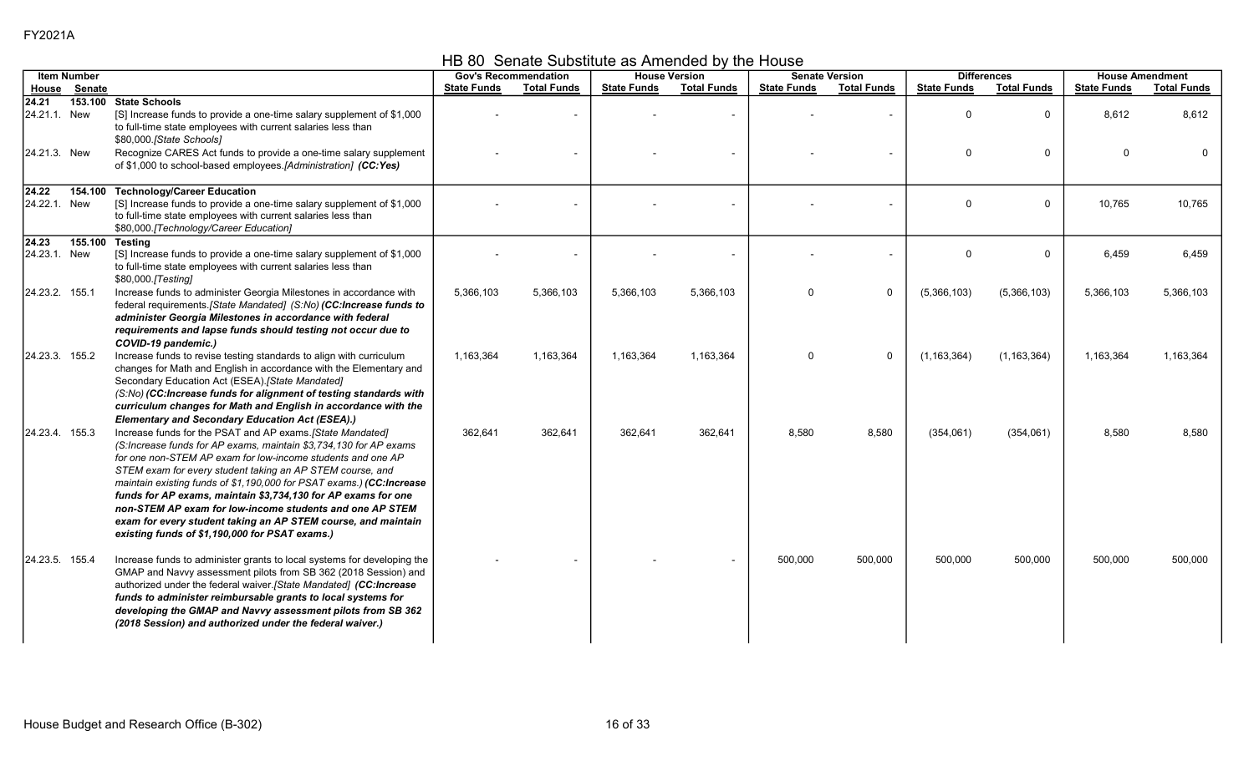HB 80 Senate Substitute as Amended by the House

|                       | <b>Item Number</b> |                                                                                                                                                                                                                                                                                                                                                                                                                                                                                                                                                                                     | <b>Gov's Recommendation</b> |                    |                    | <b>House Version</b> | <b>Senate Version</b> |                          |                    | <b>Differences</b> |                    | <b>House Amendment</b> |
|-----------------------|--------------------|-------------------------------------------------------------------------------------------------------------------------------------------------------------------------------------------------------------------------------------------------------------------------------------------------------------------------------------------------------------------------------------------------------------------------------------------------------------------------------------------------------------------------------------------------------------------------------------|-----------------------------|--------------------|--------------------|----------------------|-----------------------|--------------------------|--------------------|--------------------|--------------------|------------------------|
|                       | House Senate       |                                                                                                                                                                                                                                                                                                                                                                                                                                                                                                                                                                                     | <b>State Funds</b>          | <b>Total Funds</b> | <b>State Funds</b> | <b>Total Funds</b>   | <b>State Funds</b>    | <b>Total Funds</b>       | <b>State Funds</b> | <b>Total Funds</b> | <b>State Funds</b> | <b>Total Funds</b>     |
| 24.21<br>24.21.1. New |                    | 153.100 State Schools<br>[S] Increase funds to provide a one-time salary supplement of \$1,000<br>to full-time state employees with current salaries less than<br>\$80,000.[State Schools]                                                                                                                                                                                                                                                                                                                                                                                          |                             |                    |                    |                      |                       |                          | $\Omega$           | $\mathbf 0$        | 8,612              | 8,612                  |
| 24.21.3. New          |                    | Recognize CARES Act funds to provide a one-time salary supplement<br>of \$1,000 to school-based employees.[Administration] (CC:Yes)                                                                                                                                                                                                                                                                                                                                                                                                                                                 |                             |                    |                    |                      |                       |                          | $\Omega$           | 0                  | $\mathbf 0$        | $\Omega$               |
| 24.22<br>24.22.1. New |                    | 154.100 Technology/Career Education<br>[S] Increase funds to provide a one-time salary supplement of \$1,000<br>to full-time state employees with current salaries less than<br>\$80,000. [Technology/Career Education]                                                                                                                                                                                                                                                                                                                                                             |                             |                    |                    |                      |                       |                          | $\Omega$           | 0                  | 10,765             | 10,765                 |
| 24.23<br>24.23.1. New | 155.100            | Testing<br>[S] Increase funds to provide a one-time salary supplement of \$1,000<br>to full-time state employees with current salaries less than<br>\$80,000.[Testing]                                                                                                                                                                                                                                                                                                                                                                                                              |                             |                    |                    |                      |                       | $\overline{\phantom{a}}$ | $\Omega$           | 0                  | 6,459              | 6,459                  |
| 24.23.2. 155.1        |                    | Increase funds to administer Georgia Milestones in accordance with<br>federal requirements.[State Mandated] (S:No) (CC:Increase funds to<br>administer Georgia Milestones in accordance with federal<br>requirements and lapse funds should testing not occur due to<br>COVID-19 pandemic.)                                                                                                                                                                                                                                                                                         | 5,366,103                   | 5,366,103          | 5,366,103          | 5,366,103            | $\mathbf{0}$          | $\mathbf 0$              | (5,366,103)        | (5,366,103)        | 5,366,103          | 5,366,103              |
| 24.23.3. 155.2        |                    | Increase funds to revise testing standards to align with curriculum<br>changes for Math and English in accordance with the Elementary and<br>Secondary Education Act (ESEA).[State Mandated]<br>(S:No) (CC:Increase funds for alignment of testing standards with<br>curriculum changes for Math and English in accordance with the<br>Elementary and Secondary Education Act (ESEA).)                                                                                                                                                                                              | 1,163,364                   | 1,163,364          | 1,163,364          | 1,163,364            | $\Omega$              | $\mathbf 0$              | (1, 163, 364)      | (1, 163, 364)      | 1,163,364          | 1,163,364              |
| 24.23.4 155.3         |                    | Increase funds for the PSAT and AP exams. [State Mandated]<br>(S:Increase funds for AP exams, maintain \$3,734,130 for AP exams<br>for one non-STEM AP exam for low-income students and one AP<br>STEM exam for every student taking an AP STEM course, and<br>maintain existing funds of \$1,190,000 for PSAT exams.) (CC:Increase<br>funds for AP exams, maintain \$3,734,130 for AP exams for one<br>non-STEM AP exam for low-income students and one AP STEM<br>exam for every student taking an AP STEM course, and maintain<br>existing funds of \$1,190,000 for PSAT exams.) | 362,641                     | 362,641            | 362,641            | 362,641              | 8,580                 | 8,580                    | (354,061)          | (354,061)          | 8,580              | 8,580                  |
| 24.23.5 155.4         |                    | Increase funds to administer grants to local systems for developing the<br>GMAP and Navvy assessment pilots from SB 362 (2018 Session) and<br>authorized under the federal waiver.[State Mandated] (CC:Increase<br>funds to administer reimbursable grants to local systems for<br>developing the GMAP and Navvy assessment pilots from SB 362<br>(2018 Session) and authorized under the federal waiver.)                                                                                                                                                                          |                             |                    |                    |                      | 500,000               | 500,000                  | 500,000            | 500,000            | 500,000            | 500,000                |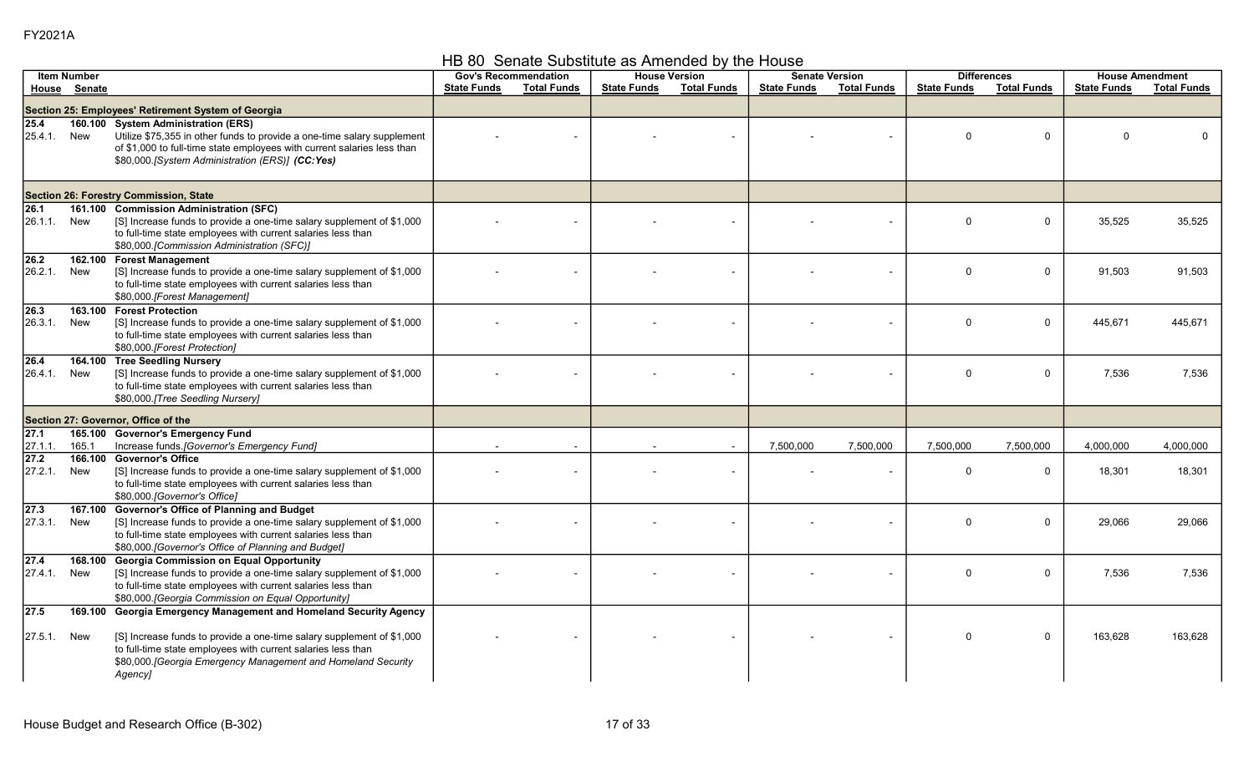## HB 80 Senate Substitute as Amended by the House

|                              | <b>Item Number</b> |                                                                                                                                                                                                                                                                                | <b>Gov's Recommendation</b> |                    |                    | <b>House Version</b> |                    | <b>Senate Version</b> |                    | <b>Differences</b> |                    | <b>House Amendment</b> |
|------------------------------|--------------------|--------------------------------------------------------------------------------------------------------------------------------------------------------------------------------------------------------------------------------------------------------------------------------|-----------------------------|--------------------|--------------------|----------------------|--------------------|-----------------------|--------------------|--------------------|--------------------|------------------------|
|                              | House Senate       |                                                                                                                                                                                                                                                                                | <b>State Funds</b>          | <b>Total Funds</b> | <b>State Funds</b> | <b>Total Funds</b>   | <b>State Funds</b> | <b>Total Funds</b>    | <b>State Funds</b> | <b>Total Funds</b> | <b>State Funds</b> | <b>Total Funds</b>     |
|                              |                    | Section 25: Employees' Retirement System of Georgia                                                                                                                                                                                                                            |                             |                    |                    |                      |                    |                       |                    |                    |                    |                        |
| 25.4<br>25.4.1.              | New                | 160.100 System Administration (ERS)<br>Utilize \$75,355 in other funds to provide a one-time salary supplement<br>of \$1,000 to full-time state employees with current salaries less than<br>\$80,000.[System Administration (ERS)] (CC:Yes)                                   |                             |                    |                    |                      |                    |                       | $\Omega$           | $\mathbf 0$        | $\Omega$           |                        |
|                              |                    | Section 26: Forestry Commission, State                                                                                                                                                                                                                                         |                             |                    |                    |                      |                    |                       |                    |                    |                    |                        |
| $\overline{26.1}$<br>26.1.1. | New                | 161.100 Commission Administration (SFC)<br>[S] Increase funds to provide a one-time salary supplement of \$1,000<br>to full-time state employees with current salaries less than<br>\$80,000.[Commission Administration (SFC)]                                                 |                             |                    |                    |                      |                    |                       | $\Omega$           | 0                  | 35,525             | 35,525                 |
| 26.2<br>26.2.1.              | 162.100<br>New     | <b>Forest Management</b><br>[S] Increase funds to provide a one-time salary supplement of \$1,000<br>to full-time state employees with current salaries less than<br>\$80,000.[Forest Management]                                                                              |                             |                    |                    |                      |                    |                       | $\Omega$           | 0                  | 91,503             | 91,503                 |
| $\sqrt{26.3}$<br>26.3.1.     | 163.100<br>New     | <b>Forest Protection</b><br>[S] Increase funds to provide a one-time salary supplement of \$1,000<br>to full-time state employees with current salaries less than<br>\$80,000.[Forest Protection]                                                                              |                             |                    |                    |                      |                    |                       | $\Omega$           | 0                  | 445.671            | 445,671                |
| 26.4<br>26.4.1.              | 164.100<br>New     | <b>Tree Seedling Nursery</b><br>[S] Increase funds to provide a one-time salary supplement of \$1,000<br>to full-time state employees with current salaries less than<br>\$80,000.[Tree Seedling Nursery]                                                                      |                             |                    |                    |                      |                    |                       | $\Omega$           | $\mathbf 0$        | 7,536              | 7.536                  |
|                              |                    | Section 27: Governor, Office of the                                                                                                                                                                                                                                            |                             |                    |                    |                      |                    |                       |                    |                    |                    |                        |
| $\overline{27.1}$<br>27.1.1  | 165.1              | 165.100 Governor's Emergency Fund<br>Increase funds. [Governor's Emergency Fund]                                                                                                                                                                                               |                             |                    |                    |                      | 7,500,000          | 7,500,000             | 7,500,000          | 7,500,000          | 4,000,000          | 4,000,000              |
| 27.2<br>27.2.1.              | 166.100<br>New     | <b>Governor's Office</b><br>[S] Increase funds to provide a one-time salary supplement of \$1,000<br>to full-time state employees with current salaries less than<br>\$80,000.[Governor's Office]                                                                              |                             |                    |                    | $\blacksquare$       |                    |                       | $\Omega$           | 0                  | 18,301             | 18,301                 |
| $\sqrt{27.3}$<br>27.3.1.     | 167.100<br>New     | <b>Governor's Office of Planning and Budget</b><br>[S] Increase funds to provide a one-time salary supplement of \$1,000<br>to full-time state employees with current salaries less than<br>\$80,000 [Governor's Office of Planning and Budget]                                |                             |                    |                    |                      |                    |                       | $\Omega$           | 0                  | 29,066             | 29,066                 |
| $\sqrt{27.4}$<br>27.4.1.     | 168.100<br>New     | <b>Georgia Commission on Equal Opportunity</b><br>[S] Increase funds to provide a one-time salary supplement of \$1,000<br>to full-time state employees with current salaries less than<br>\$80,000. [Georgia Commission on Equal Opportunity]                                 |                             |                    |                    |                      |                    |                       | $\Omega$           | 0                  | 7,536              | 7,536                  |
| $\sqrt{27.5}$<br>27.5.1.     | 169.100<br>New     | Georgia Emergency Management and Homeland Security Agency<br>[S] Increase funds to provide a one-time salary supplement of \$1,000<br>to full-time state employees with current salaries less than<br>\$80,000. [Georgia Emergency Management and Homeland Security<br>Agency] |                             |                    |                    |                      |                    |                       | $\Omega$           | 0                  | 163,628            | 163,628                |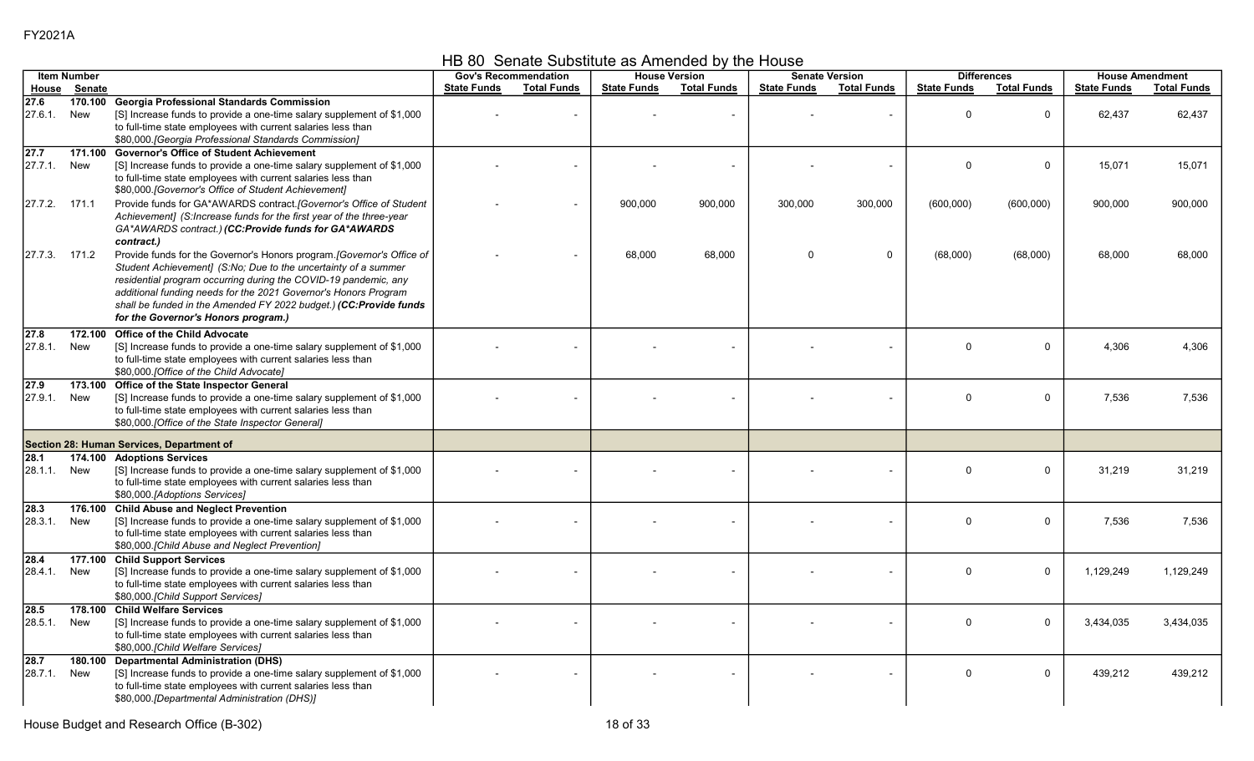HB 80 Senate Substitute as Amended by the House

|                     | <b>Item Number</b> |                                                                                                                                                                                                                                                                                                                                                                                           |                    | <b>Gov's Recommendation</b> |                    | <b>House Version</b> |                    | <b>Senate Version</b> |                    | <b>Differences</b> |                    | <b>House Amendment</b> |
|---------------------|--------------------|-------------------------------------------------------------------------------------------------------------------------------------------------------------------------------------------------------------------------------------------------------------------------------------------------------------------------------------------------------------------------------------------|--------------------|-----------------------------|--------------------|----------------------|--------------------|-----------------------|--------------------|--------------------|--------------------|------------------------|
| <b>House</b>        | Senate             |                                                                                                                                                                                                                                                                                                                                                                                           | <b>State Funds</b> | <b>Total Funds</b>          | <b>State Funds</b> | <b>Total Funds</b>   | <b>State Funds</b> | <b>Total Funds</b>    | <b>State Funds</b> | <b>Total Funds</b> | <b>State Funds</b> | <b>Total Funds</b>     |
| 27.6<br>27.6.1.     | 170.100<br>New     | <b>Georgia Professional Standards Commission</b><br>[S] Increase funds to provide a one-time salary supplement of \$1,000<br>to full-time state employees with current salaries less than<br>\$80,000. [Georgia Professional Standards Commission]                                                                                                                                        |                    |                             |                    | $\blacksquare$       |                    |                       | $\mathbf{0}$       | $\mathbf 0$        | 62,437             | 62,437                 |
| 27.7<br>27.7.1.     | 171.100<br>New     | <b>Governor's Office of Student Achievement</b><br>[S] Increase funds to provide a one-time salary supplement of \$1,000<br>to full-time state employees with current salaries less than<br>\$80,000. [Governor's Office of Student Achievement]                                                                                                                                          |                    |                             |                    |                      |                    |                       | $\mathbf{0}$       | $\Omega$           | 15,071             | 15,071                 |
| 27.7.2.             | 171.1              | Provide funds for GA*AWARDS contract.[Governor's Office of Student<br>Achievement] (S:Increase funds for the first year of the three-year<br>GA*AWARDS contract.) (CC:Provide funds for GA*AWARDS<br>contract.)                                                                                                                                                                           |                    | $\overline{\phantom{a}}$    | 900,000            | 900,000              | 300,000            | 300,000               | (600,000)          | (600,000)          | 900,000            | 900,000                |
| 27.7.3.             | 171.2              | Provide funds for the Governor's Honors program.[Governor's Office of<br>Student Achievement] (S:No; Due to the uncertainty of a summer<br>residential program occurring during the COVID-19 pandemic, any<br>additional funding needs for the 2021 Governor's Honors Program<br>shall be funded in the Amended FY 2022 budget.) (CC:Provide funds<br>for the Governor's Honors program.) |                    |                             | 68.000             | 68,000               | $\Omega$           | 0                     | (68,000)           | (68,000)           | 68,000             | 68,000                 |
| 27.8<br>27.8.1.     | 172.100<br>New     | <b>Office of the Child Advocate</b><br>[S] Increase funds to provide a one-time salary supplement of \$1,000<br>to full-time state employees with current salaries less than<br>\$80,000. [Office of the Child Advocate]                                                                                                                                                                  |                    |                             |                    |                      |                    |                       | $\Omega$           | $\mathbf{0}$       | 4,306              | 4,306                  |
| 27.9<br>27.9.1.     | 173.100<br>New     | Office of the State Inspector General<br>[S] Increase funds to provide a one-time salary supplement of \$1,000<br>to full-time state employees with current salaries less than<br>\$80,000. [Office of the State Inspector General]                                                                                                                                                       |                    |                             |                    |                      |                    |                       | $\Omega$           | $\mathbf 0$        | 7,536              | 7,536                  |
|                     |                    | Section 28: Human Services, Department of                                                                                                                                                                                                                                                                                                                                                 |                    |                             |                    |                      |                    |                       |                    |                    |                    |                        |
| 28.1<br>28.1.1. New | 174.100            | <b>Adoptions Services</b><br>[S] Increase funds to provide a one-time salary supplement of \$1,000<br>to full-time state employees with current salaries less than<br>\$80,000.[Adoptions Services]                                                                                                                                                                                       |                    |                             |                    |                      |                    |                       | $\Omega$           | $\mathbf 0$        | 31,219             | 31,219                 |
| 28.3<br>28.3.1.     | 176.100<br>New     | <b>Child Abuse and Neglect Prevention</b><br>[S] Increase funds to provide a one-time salary supplement of \$1,000<br>to full-time state employees with current salaries less than<br>\$80,000.[Child Abuse and Neglect Prevention]                                                                                                                                                       |                    |                             |                    |                      |                    |                       | $\Omega$           | $\Omega$           | 7,536              | 7,536                  |
| 28.4<br>28.4.1.     | 177.100<br>New     | <b>Child Support Services</b><br>[S] Increase funds to provide a one-time salary supplement of \$1,000<br>to full-time state employees with current salaries less than<br>\$80,000.[Child Support Services]                                                                                                                                                                               |                    |                             |                    |                      |                    |                       | $\Omega$           | $\mathbf 0$        | 1,129,249          | 1,129,249              |
| 28.5<br>28.5.1.     | 178.100<br>New     | <b>Child Welfare Services</b><br>[S] Increase funds to provide a one-time salary supplement of \$1,000<br>to full-time state employees with current salaries less than<br>\$80,000.[Child Welfare Services]                                                                                                                                                                               |                    |                             |                    |                      |                    |                       | $\Omega$           | $\mathbf 0$        | 3,434,035          | 3,434,035              |
| 28.7<br>28.7.1.     | 180.100<br>New     | <b>Departmental Administration (DHS)</b><br>[S] Increase funds to provide a one-time salary supplement of \$1,000<br>to full-time state employees with current salaries less than<br>\$80,000.[Departmental Administration (DHS)]                                                                                                                                                         |                    |                             |                    |                      |                    |                       | $\mathbf 0$        | $\mathbf 0$        | 439,212            | 439,212                |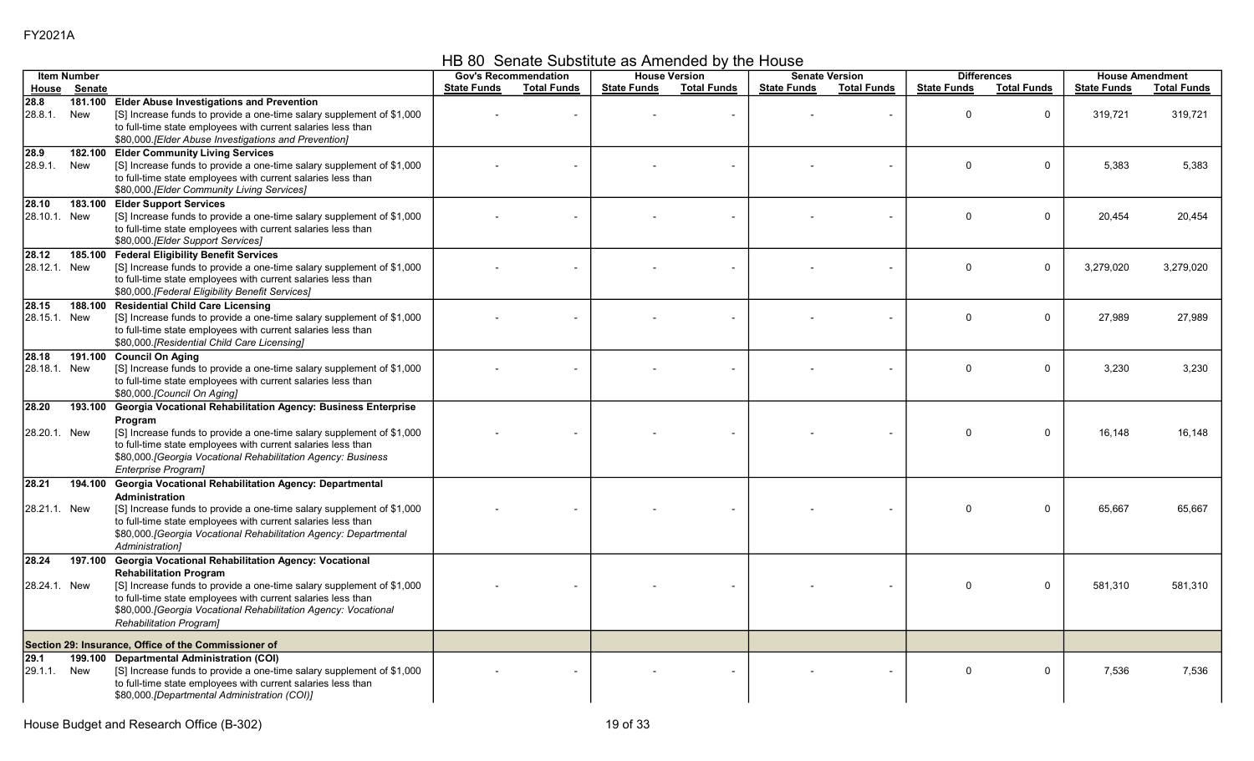HB 80 Senate Substitute as Amended by the House

|                              | <b>Item Number</b> |                                                                                                                                                                                                                                                                                                                              |                    | <b>Gov's Recommendation</b> |                    | <b>House Version</b> |                    | <b>Senate Version</b> |                    | <b>Differences</b> | <b>House Amendment</b> |                    |
|------------------------------|--------------------|------------------------------------------------------------------------------------------------------------------------------------------------------------------------------------------------------------------------------------------------------------------------------------------------------------------------------|--------------------|-----------------------------|--------------------|----------------------|--------------------|-----------------------|--------------------|--------------------|------------------------|--------------------|
| House                        | Senate             |                                                                                                                                                                                                                                                                                                                              | <b>State Funds</b> | <b>Total Funds</b>          | <b>State Funds</b> | <b>Total Funds</b>   | <b>State Funds</b> | <b>Total Funds</b>    | <b>State Funds</b> | <b>Total Funds</b> | <b>State Funds</b>     | <b>Total Funds</b> |
| 28.8<br>28.8.1.              | 181.100<br>New     | <b>Elder Abuse Investigations and Prevention</b><br>[S] Increase funds to provide a one-time salary supplement of \$1,000<br>to full-time state employees with current salaries less than<br>\$80,000. [Elder Abuse Investigations and Prevention]                                                                           |                    |                             |                    | $\overline{a}$       |                    |                       | $\mathbf 0$        | $\mathbf 0$        | 319,721                | 319,721            |
| 28.9<br>28.9.1.              | 182.100<br>New     | <b>Elder Community Living Services</b><br>[S] Increase funds to provide a one-time salary supplement of \$1,000<br>to full-time state employees with current salaries less than<br>\$80,000.[Elder Community Living Services]                                                                                                |                    |                             |                    |                      |                    |                       | $\mathbf{0}$       | $\mathbf 0$        | 5,383                  | 5,383              |
| 28.10<br>28.10.1. New        | 183.100            | <b>Elder Support Services</b><br>[S] Increase funds to provide a one-time salary supplement of \$1,000<br>to full-time state employees with current salaries less than<br>\$80,000.[Elder Support Services]                                                                                                                  |                    |                             |                    |                      |                    |                       | $\mathbf{0}$       | $\mathbf 0$        | 20,454                 | 20,454             |
| 28.12<br>28.12.1. New        | 185.100            | <b>Federal Eligibility Benefit Services</b><br>[S] Increase funds to provide a one-time salary supplement of \$1,000<br>to full-time state employees with current salaries less than<br>\$80,000.[Federal Eligibility Benefit Services]                                                                                      |                    |                             |                    |                      |                    |                       | $\Omega$           | $\mathbf{0}$       | 3.279.020              | 3,279,020          |
| 28.15<br>28.15.1. New        | 188.100            | <b>Residential Child Care Licensing</b><br>[S] Increase funds to provide a one-time salary supplement of \$1,000<br>to full-time state employees with current salaries less than<br>\$80,000 [Residential Child Care Licensing]                                                                                              |                    |                             |                    |                      |                    |                       | $\Omega$           | $\mathbf 0$        | 27,989                 | 27,989             |
| 28.18<br>28.18.1. New        | 191.100            | <b>Council On Aging</b><br>[S] Increase funds to provide a one-time salary supplement of \$1,000<br>to full-time state employees with current salaries less than<br>\$80,000.[Council On Aging]                                                                                                                              |                    |                             |                    |                      |                    |                       | $\mathbf{0}$       | $\mathbf 0$        | 3,230                  | 3,230              |
| 28.20<br>28.20.1. New        | 193.100            | Georgia Vocational Rehabilitation Agency: Business Enterprise<br>Program<br>[S] Increase funds to provide a one-time salary supplement of \$1,000<br>to full-time state employees with current salaries less than<br>\$80,000. [Georgia Vocational Rehabilitation Agency: Business<br>Enterprise Program]                    |                    |                             |                    |                      |                    |                       | $\mathbf 0$        | $\mathbf 0$        | 16,148                 | 16.148             |
| 28.21<br>28.21.1. New        | 194.100            | Georgia Vocational Rehabilitation Agency: Departmental<br>Administration<br>[S] Increase funds to provide a one-time salary supplement of \$1,000<br>to full-time state employees with current salaries less than<br>\$80,000. [Georgia Vocational Rehabilitation Agency: Departmental<br>Administration]                    |                    |                             |                    |                      |                    |                       | $\mathbf 0$        | $\mathbf 0$        | 65,667                 | 65,667             |
| 28.24<br>28.24.1. New        | 197.100            | Georgia Vocational Rehabilitation Agency: Vocational<br><b>Rehabilitation Program</b><br>[S] Increase funds to provide a one-time salary supplement of \$1,000<br>to full-time state employees with current salaries less than<br>\$80,000. [Georgia Vocational Rehabilitation Agency: Vocational<br>Rehabilitation Program] |                    |                             |                    |                      |                    |                       | $\mathbf 0$        | $\mathbf 0$        | 581,310                | 581,310            |
|                              |                    | Section 29: Insurance, Office of the Commissioner of                                                                                                                                                                                                                                                                         |                    |                             |                    |                      |                    |                       |                    |                    |                        |                    |
| $\overline{29.1}$<br>29.1.1. | 199.100<br>New     | <b>Departmental Administration (COI)</b><br>[S] Increase funds to provide a one-time salary supplement of \$1,000<br>to full-time state employees with current salaries less than<br>\$80,000.[Departmental Administration (COI)]                                                                                            |                    |                             |                    |                      |                    |                       | $\mathbf 0$        | $\mathbf 0$        | 7.536                  | 7,536              |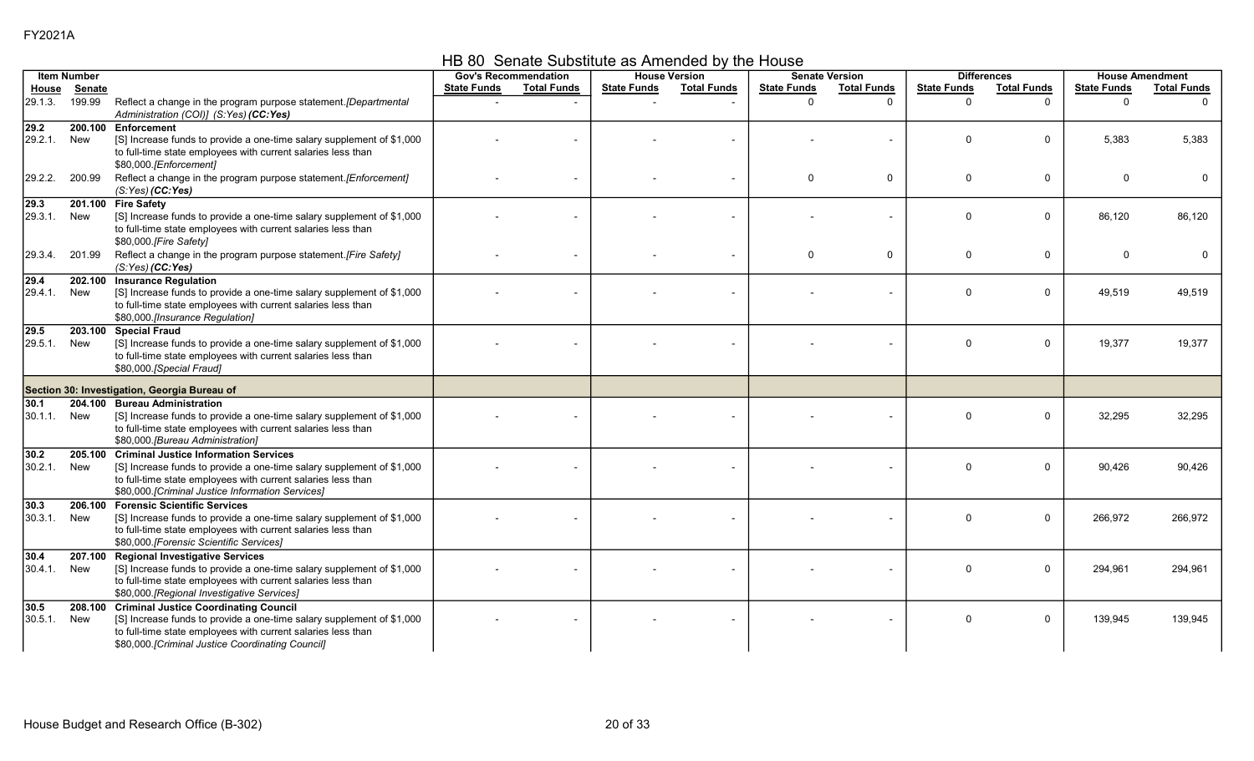HB 80 Senate Substitute as Amended by the House

|                              | <b>Item Number</b> |                                                                                                                                                                                                                                            |                    | <b>Gov's Recommendation</b> |                    | <b>House Version</b> |                    | <b>Senate Version</b> |                    | <b>Differences</b> |                    | <b>House Amendment</b> |
|------------------------------|--------------------|--------------------------------------------------------------------------------------------------------------------------------------------------------------------------------------------------------------------------------------------|--------------------|-----------------------------|--------------------|----------------------|--------------------|-----------------------|--------------------|--------------------|--------------------|------------------------|
| House                        | <b>Senate</b>      |                                                                                                                                                                                                                                            | <b>State Funds</b> | <b>Total Funds</b>          | <b>State Funds</b> | <b>Total Funds</b>   | <b>State Funds</b> | <b>Total Funds</b>    | <b>State Funds</b> | <b>Total Funds</b> | <b>State Funds</b> | <b>Total Funds</b>     |
| 29.1.3.                      | 199.99             | Reflect a change in the program purpose statement. [Departmental<br>Administration (COI)] (S:Yes) (CC:Yes)                                                                                                                                 |                    |                             |                    |                      | $\Omega$           | $\Omega$              | $\Omega$           | $\Omega$           | $\Omega$           |                        |
| $\overline{29.2}$<br>29.2.1. | 200.100<br>New     | Enforcement<br>[S] Increase funds to provide a one-time salary supplement of \$1,000<br>to full-time state employees with current salaries less than<br>\$80,000.[Enforcement]                                                             |                    |                             |                    |                      |                    |                       | $\Omega$           | $\mathbf 0$        | 5.383              | 5.383                  |
| 29.2.2.                      | 200.99             | Reflect a change in the program purpose statement.[Enforcement]<br>$(S:Yes)$ (CC:Yes)                                                                                                                                                      |                    |                             |                    |                      | $\Omega$           | 0                     | $\mathbf 0$        | 0                  | $\Omega$           | $\Omega$               |
| 29.3<br>29.3.1.              | 201.100<br>New     | <b>Fire Safety</b><br>[S] Increase funds to provide a one-time salary supplement of \$1,000<br>to full-time state employees with current salaries less than<br>\$80,000.[Fire Safety]                                                      |                    |                             |                    |                      |                    |                       | $\Omega$           | $\mathbf{0}$       | 86,120             | 86,120                 |
| 29.3.4.                      | 201.99             | Reflect a change in the program purpose statement.[Fire Safety]<br>(S:Yes) (CC:Yes)                                                                                                                                                        |                    |                             |                    |                      | $\Omega$           | 0                     | $\Omega$           | $\mathbf 0$        | $\Omega$           | $\Omega$               |
| 29.4<br>29.4.1.              | 202.100<br>New     | <b>Insurance Regulation</b><br>[S] Increase funds to provide a one-time salary supplement of \$1,000<br>to full-time state employees with current salaries less than<br>\$80,000 [Insurance Regulation]                                    |                    |                             |                    |                      |                    |                       | $\Omega$           | $\mathbf 0$        | 49,519             | 49,519                 |
| 29.5<br>29.5.1.              | New                | 203.100 Special Fraud<br>[S] Increase funds to provide a one-time salary supplement of \$1,000<br>to full-time state employees with current salaries less than<br>\$80,000.[Special Fraud]                                                 |                    |                             |                    |                      |                    |                       | $\Omega$           | $\mathbf 0$        | 19,377             | 19,377                 |
|                              |                    | Section 30: Investigation, Georgia Bureau of                                                                                                                                                                                               |                    |                             |                    |                      |                    |                       |                    |                    |                    |                        |
| 30.1<br>30.1.1.              | New                | 204.100 Bureau Administration<br>[S] Increase funds to provide a one-time salary supplement of \$1,000<br>to full-time state employees with current salaries less than<br>\$80,000.[Bureau Administration]                                 |                    |                             |                    |                      |                    |                       | $\Omega$           | $\mathbf 0$        | 32.295             | 32.295                 |
| 30.2<br>30.2.1.              | 205.100<br>New     | <b>Criminal Justice Information Services</b><br>[S] Increase funds to provide a one-time salary supplement of \$1,000<br>to full-time state employees with current salaries less than<br>\$80,000.[Criminal Justice Information Services]  |                    |                             |                    |                      |                    |                       | $\Omega$           | $\mathbf 0$        | 90,426             | 90,426                 |
| 30.3<br>30.3.1.              | New                | 206.100 Forensic Scientific Services<br>[S] Increase funds to provide a one-time salary supplement of \$1,000<br>to full-time state employees with current salaries less than<br>\$80,000.[Forensic Scientific Services]                   |                    |                             |                    |                      |                    |                       | $\Omega$           | 0                  | 266,972            | 266,972                |
| 30.4<br>30.4.1.              | 207.100<br>New     | <b>Regional Investigative Services</b><br>[S] Increase funds to provide a one-time salary supplement of \$1,000<br>to full-time state employees with current salaries less than<br>\$80,000.[Regional Investigative Services]              |                    |                             |                    |                      |                    |                       | $\Omega$           | $\mathbf 0$        | 294,961            | 294.961                |
| 30.5<br>30.5.1.              | New                | 208.100 Criminal Justice Coordinating Council<br>[S] Increase funds to provide a one-time salary supplement of \$1,000<br>to full-time state employees with current salaries less than<br>\$80,000.[Criminal Justice Coordinating Council] |                    |                             |                    |                      |                    |                       | $\Omega$           | $\mathbf{0}$       | 139,945            | 139,945                |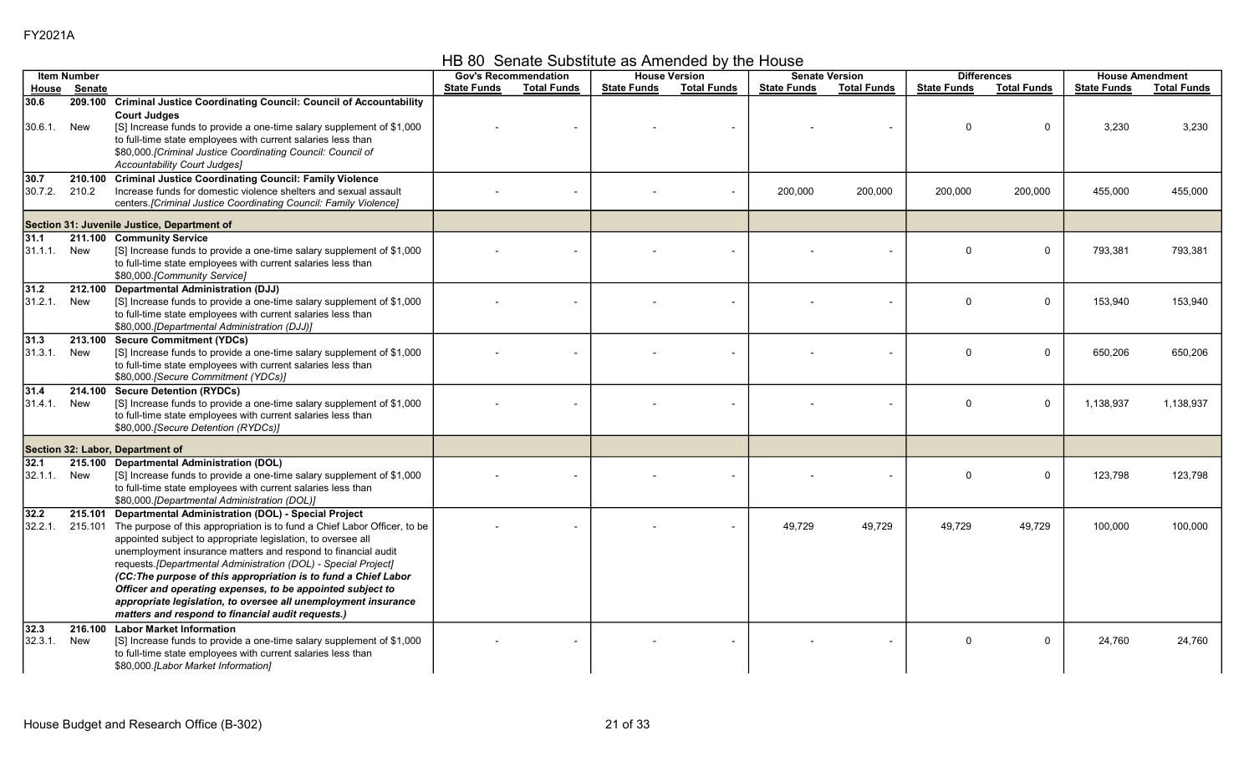HB 80 Senate Substitute as Amended by the House

|                 | <b>Item Number</b> |                                                                                                                                                                                                                                                                                                                                                                                                                                                                                                                                                                                                              |                    | <b>Gov's Recommendation</b> |                    | <b>House Version</b> |                    | <b>Senate Version</b>    |                    | <b>Differences</b> |                    | <b>House Amendment</b> |
|-----------------|--------------------|--------------------------------------------------------------------------------------------------------------------------------------------------------------------------------------------------------------------------------------------------------------------------------------------------------------------------------------------------------------------------------------------------------------------------------------------------------------------------------------------------------------------------------------------------------------------------------------------------------------|--------------------|-----------------------------|--------------------|----------------------|--------------------|--------------------------|--------------------|--------------------|--------------------|------------------------|
| House           | Senate             |                                                                                                                                                                                                                                                                                                                                                                                                                                                                                                                                                                                                              | <b>State Funds</b> | <b>Total Funds</b>          | <b>State Funds</b> | <b>Total Funds</b>   | <b>State Funds</b> | <b>Total Funds</b>       | <b>State Funds</b> | <b>Total Funds</b> | <b>State Funds</b> | <b>Total Funds</b>     |
| 30.6<br>30.6.1. | New                | 209.100 Criminal Justice Coordinating Council: Council of Accountability<br><b>Court Judges</b><br>[S] Increase funds to provide a one-time salary supplement of \$1,000<br>to full-time state employees with current salaries less than<br>\$80,000.[Criminal Justice Coordinating Council: Council of<br>Accountability Court Judges]                                                                                                                                                                                                                                                                      |                    |                             |                    |                      |                    | $\overline{\phantom{a}}$ | $\Omega$           | $\mathbf 0$        | 3,230              | 3,230                  |
| 30.7<br>30.7.2. | 210.100<br>210.2   | <b>Criminal Justice Coordinating Council: Family Violence</b><br>Increase funds for domestic violence shelters and sexual assault<br>centers.[Criminal Justice Coordinating Council: Family Violence]                                                                                                                                                                                                                                                                                                                                                                                                        |                    |                             |                    |                      | 200,000            | 200,000                  | 200,000            | 200,000            | 455,000            | 455,000                |
|                 |                    | Section 31: Juvenile Justice, Department of                                                                                                                                                                                                                                                                                                                                                                                                                                                                                                                                                                  |                    |                             |                    |                      |                    |                          |                    |                    |                    |                        |
| 31.1<br>31.1.1. | New                | 211.100 Community Service<br>[S] Increase funds to provide a one-time salary supplement of \$1,000<br>to full-time state employees with current salaries less than<br>\$80,000.[Community Service]                                                                                                                                                                                                                                                                                                                                                                                                           |                    |                             |                    |                      |                    |                          | $\Omega$           | $\mathbf 0$        | 793,381            | 793,381                |
| 31.2<br>31.2.1. | New                | 212.100 Departmental Administration (DJJ)<br>[S] Increase funds to provide a one-time salary supplement of \$1,000<br>to full-time state employees with current salaries less than<br>\$80,000.[Departmental Administration (DJJ)]                                                                                                                                                                                                                                                                                                                                                                           |                    |                             |                    |                      |                    |                          | $\Omega$           | $\mathbf 0$        | 153,940            | 153,940                |
| 31.3<br>31.3.1. | 213.100<br>New     | <b>Secure Commitment (YDCs)</b><br>[S] Increase funds to provide a one-time salary supplement of \$1,000<br>to full-time state employees with current salaries less than<br>\$80,000. [Secure Commitment (YDCs)]                                                                                                                                                                                                                                                                                                                                                                                             |                    |                             |                    |                      |                    |                          | $\Omega$           | $\mathbf 0$        | 650.206            | 650.206                |
| 31.4<br>31.4.1. | 214.100<br>New     | <b>Secure Detention (RYDCs)</b><br>[S] Increase funds to provide a one-time salary supplement of \$1,000<br>to full-time state employees with current salaries less than<br>\$80,000.[Secure Detention (RYDCs)]                                                                                                                                                                                                                                                                                                                                                                                              |                    |                             |                    |                      |                    |                          | $\Omega$           | $\mathbf 0$        | 1,138,937          | 1,138,937              |
|                 |                    | Section 32: Labor, Department of                                                                                                                                                                                                                                                                                                                                                                                                                                                                                                                                                                             |                    |                             |                    |                      |                    |                          |                    |                    |                    |                        |
| 32.1<br>32.1.1  | New                | 215.100 Departmental Administration (DOL)<br>[S] Increase funds to provide a one-time salary supplement of \$1,000<br>to full-time state employees with current salaries less than<br>\$80,000.[Departmental Administration (DOL)]                                                                                                                                                                                                                                                                                                                                                                           |                    |                             |                    |                      |                    |                          | $\Omega$           | $\mathbf 0$        | 123,798            | 123,798                |
| 32.2<br>32.2.1. |                    | 215.101 Departmental Administration (DOL) - Special Project<br>215.101 The purpose of this appropriation is to fund a Chief Labor Officer, to be<br>appointed subject to appropriate legislation, to oversee all<br>unemployment insurance matters and respond to financial audit<br>requests. [Departmental Administration (DOL) - Special Project]<br>(CC: The purpose of this appropriation is to fund a Chief Labor<br>Officer and operating expenses, to be appointed subject to<br>appropriate legislation, to oversee all unemployment insurance<br>matters and respond to financial audit requests.) |                    |                             |                    |                      | 49,729             | 49,729                   | 49,729             | 49,729             | 100,000            | 100,000                |
| 32.3<br>32.3.1. | New                | 216.100 Labor Market Information<br>[S] Increase funds to provide a one-time salary supplement of \$1,000<br>to full-time state employees with current salaries less than<br>\$80,000.[Labor Market Information]                                                                                                                                                                                                                                                                                                                                                                                             |                    |                             |                    |                      |                    |                          | $\Omega$           | $\mathbf 0$        | 24,760             | 24,760                 |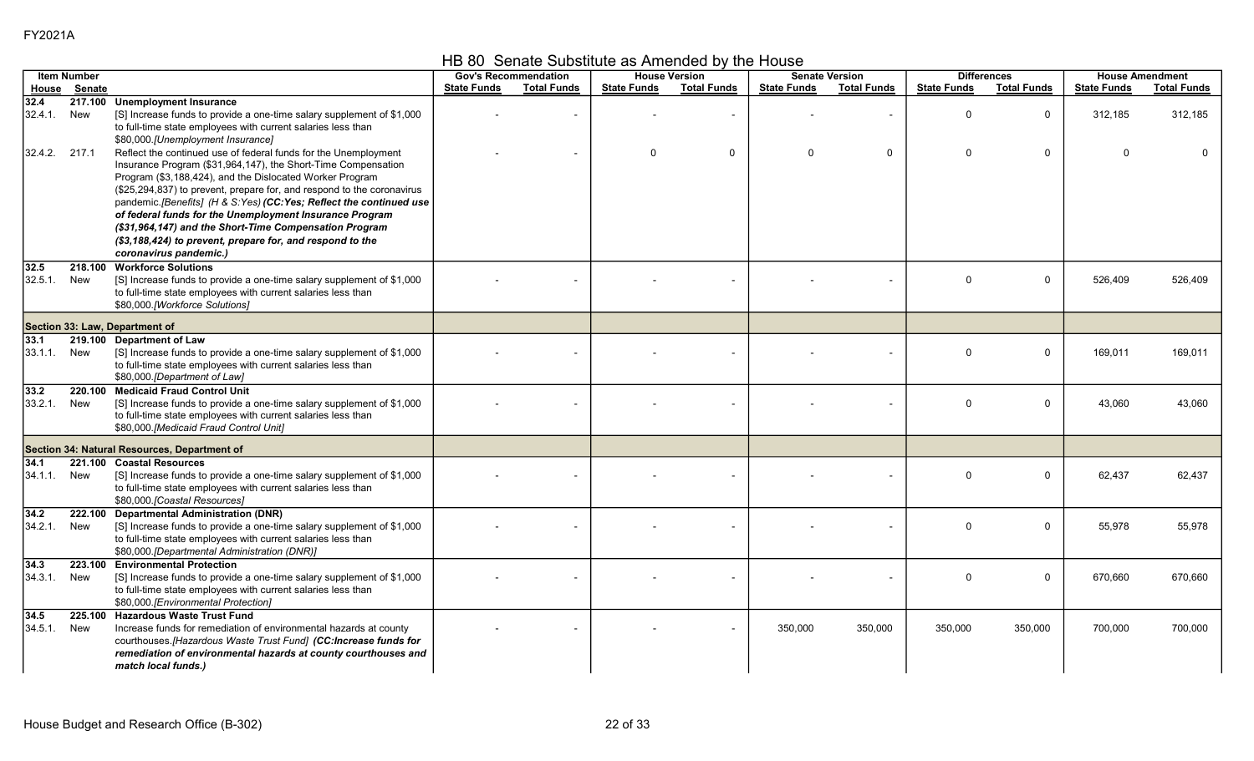HB 80 Senate Substitute as Amended by the House

|                     | <b>Item Number</b> |                                                                                                                                                                                                                                                                                                                                                                                                                                                                                                                                                          |                    | <b>Gov's Recommendation</b> |                    | <b>House Version</b>     |                    | <b>Senate Version</b> |                    | <b>Differences</b> |                    | <b>House Amendment</b> |
|---------------------|--------------------|----------------------------------------------------------------------------------------------------------------------------------------------------------------------------------------------------------------------------------------------------------------------------------------------------------------------------------------------------------------------------------------------------------------------------------------------------------------------------------------------------------------------------------------------------------|--------------------|-----------------------------|--------------------|--------------------------|--------------------|-----------------------|--------------------|--------------------|--------------------|------------------------|
|                     | House Senate       |                                                                                                                                                                                                                                                                                                                                                                                                                                                                                                                                                          | <b>State Funds</b> | <b>Total Funds</b>          | <b>State Funds</b> | <b>Total Funds</b>       | <b>State Funds</b> | <b>Total Funds</b>    | <b>State Funds</b> | <b>Total Funds</b> | <b>State Funds</b> | <b>Total Funds</b>     |
| 32.4<br>32.4.1.     | New                | 217.100 Unemployment Insurance<br>[S] Increase funds to provide a one-time salary supplement of \$1,000<br>to full-time state employees with current salaries less than<br>\$80,000.[Unemployment Insurance]                                                                                                                                                                                                                                                                                                                                             |                    |                             |                    | $\overline{\phantom{a}}$ |                    | $\sim$                | $\Omega$           | $\mathbf 0$        | 312,185            | 312,185                |
| 32.4.2. 217.1       |                    | Reflect the continued use of federal funds for the Unemployment<br>Insurance Program (\$31,964,147), the Short-Time Compensation<br>Program (\$3,188,424), and the Dislocated Worker Program<br>(\$25,294,837) to prevent, prepare for, and respond to the coronavirus<br>pandemic.[Benefits] (H & S:Yes) (CC:Yes; Reflect the continued use<br>of federal funds for the Unemployment Insurance Program<br>(\$31,964,147) and the Short-Time Compensation Program<br>(\$3,188,424) to prevent, prepare for, and respond to the<br>coronavirus pandemic.) |                    |                             | $\Omega$           | $\mathbf 0$              | $\Omega$           | 0                     | $\Omega$           | $\mathbf 0$        | $\Omega$           |                        |
| 32.5<br>32.5.1.     | 218.100<br>New     | <b>Workforce Solutions</b><br>[S] Increase funds to provide a one-time salary supplement of \$1,000<br>to full-time state employees with current salaries less than<br>\$80,000.[Workforce Solutions]                                                                                                                                                                                                                                                                                                                                                    |                    |                             |                    |                          |                    |                       | $\Omega$           | $\mathbf 0$        | 526,409            | 526,409                |
|                     |                    | Section 33: Law, Department of                                                                                                                                                                                                                                                                                                                                                                                                                                                                                                                           |                    |                             |                    |                          |                    |                       |                    |                    |                    |                        |
| 33.1<br>33.1.1. New |                    | 219.100 Department of Law<br>[S] Increase funds to provide a one-time salary supplement of \$1,000<br>to full-time state employees with current salaries less than<br>\$80,000.[Department of Law]                                                                                                                                                                                                                                                                                                                                                       |                    |                             |                    |                          |                    |                       | $\Omega$           | $\Omega$           | 169,011            | 169,011                |
| 33.2<br>33.2.1.     | 220.100<br>New     | <b>Medicaid Fraud Control Unit</b><br>[S] Increase funds to provide a one-time salary supplement of \$1,000<br>to full-time state employees with current salaries less than<br>\$80,000.[Medicaid Fraud Control Unit]                                                                                                                                                                                                                                                                                                                                    |                    |                             |                    |                          |                    |                       | $\Omega$           | $\Omega$           | 43,060             | 43,060                 |
|                     |                    | Section 34: Natural Resources, Department of                                                                                                                                                                                                                                                                                                                                                                                                                                                                                                             |                    |                             |                    |                          |                    |                       |                    |                    |                    |                        |
| 34.1<br>34.1.1.     | New                | 221.100 Coastal Resources<br>[S] Increase funds to provide a one-time salary supplement of \$1,000<br>to full-time state employees with current salaries less than<br>\$80,000.[Coastal Resources]                                                                                                                                                                                                                                                                                                                                                       |                    |                             |                    |                          |                    |                       | $\Omega$           | $\mathbf 0$        | 62,437             | 62,437                 |
| 34.2<br>34.2.1.     | 222.100<br>New     | <b>Departmental Administration (DNR)</b><br>[S] Increase funds to provide a one-time salary supplement of \$1,000<br>to full-time state employees with current salaries less than<br>\$80,000.[Departmental Administration (DNR)]                                                                                                                                                                                                                                                                                                                        |                    |                             |                    |                          |                    |                       | $\Omega$           | $\Omega$           | 55.978             | 55.978                 |
| 34.3<br>34.3.1.     | 223.100<br>New     | <b>Environmental Protection</b><br>[S] Increase funds to provide a one-time salary supplement of \$1,000<br>to full-time state employees with current salaries less than<br>\$80,000.[Environmental Protection]                                                                                                                                                                                                                                                                                                                                          |                    |                             |                    |                          |                    |                       | $\Omega$           | $\mathbf 0$        | 670,660            | 670,660                |
| 34.5<br>34.5.1.     | 225.100<br>New     | <b>Hazardous Waste Trust Fund</b><br>Increase funds for remediation of environmental hazards at county<br>courthouses. [Hazardous Waste Trust Fund] (CC:Increase funds for<br>remediation of environmental hazards at county courthouses and<br>match local funds.)                                                                                                                                                                                                                                                                                      |                    |                             |                    |                          | 350,000            | 350,000               | 350,000            | 350,000            | 700,000            | 700,000                |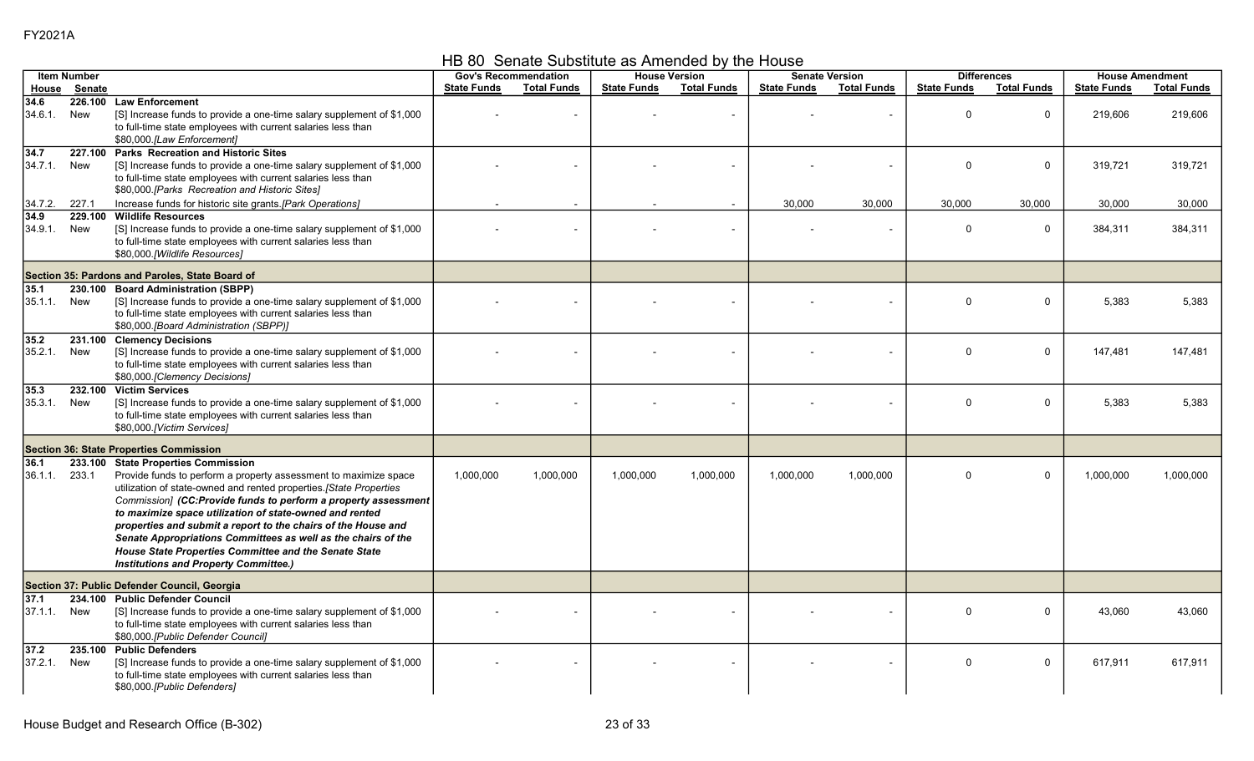HB 80 Senate Substitute as Amended by the House

|                 | <b>Item Number</b> |                                                                                                                                                                                                                                                                                                                                                                                                                                                                                                                                                               |                    | <b>Gov's Recommendation</b> |                    | <b>House Version</b>     |                    | <b>Senate Version</b> |                    | <b>Differences</b> |                    | <b>House Amendment</b> |
|-----------------|--------------------|---------------------------------------------------------------------------------------------------------------------------------------------------------------------------------------------------------------------------------------------------------------------------------------------------------------------------------------------------------------------------------------------------------------------------------------------------------------------------------------------------------------------------------------------------------------|--------------------|-----------------------------|--------------------|--------------------------|--------------------|-----------------------|--------------------|--------------------|--------------------|------------------------|
|                 | House Senate       |                                                                                                                                                                                                                                                                                                                                                                                                                                                                                                                                                               | <b>State Funds</b> | <b>Total Funds</b>          | <b>State Funds</b> | <b>Total Funds</b>       | <b>State Funds</b> | <b>Total Funds</b>    | <b>State Funds</b> | <b>Total Funds</b> | <b>State Funds</b> | <b>Total Funds</b>     |
| 34.6<br>34.6.1. | New                | 226.100 Law Enforcement<br>[S] Increase funds to provide a one-time salary supplement of \$1,000<br>to full-time state employees with current salaries less than<br>\$80,000.[Law Enforcement]                                                                                                                                                                                                                                                                                                                                                                |                    |                             |                    |                          |                    |                       | $\Omega$           | $\mathbf 0$        | 219,606            | 219,606                |
| 34.7<br>34.7.1. | 227.100<br>New     | <b>Parks Recreation and Historic Sites</b><br>[S] Increase funds to provide a one-time salary supplement of \$1,000<br>to full-time state employees with current salaries less than<br>\$80,000.[Parks Recreation and Historic Sites]                                                                                                                                                                                                                                                                                                                         |                    |                             |                    |                          |                    |                       | $\Omega$           | $\mathbf 0$        | 319,721            | 319,721                |
| 34.7.2.         | 227.1              | Increase funds for historic site grants.[Park Operations]                                                                                                                                                                                                                                                                                                                                                                                                                                                                                                     |                    |                             |                    | $\blacksquare$           | 30,000             | 30,000                | 30,000             | 30,000             | 30,000             | 30,000                 |
| 34.9<br>34.9.1. | 229.100<br>New     | <b>Wildlife Resources</b><br>[S] Increase funds to provide a one-time salary supplement of \$1,000<br>to full-time state employees with current salaries less than<br>\$80,000.[Wildlife Resources]                                                                                                                                                                                                                                                                                                                                                           |                    |                             |                    | $\overline{\phantom{a}}$ |                    |                       | $\Omega$           | $\Omega$           | 384,311            | 384,311                |
|                 |                    | Section 35: Pardons and Paroles, State Board of                                                                                                                                                                                                                                                                                                                                                                                                                                                                                                               |                    |                             |                    |                          |                    |                       |                    |                    |                    |                        |
| 35.1<br>35.1.1. | 230.100<br>New     | <b>Board Administration (SBPP)</b><br>[S] Increase funds to provide a one-time salary supplement of \$1,000<br>to full-time state employees with current salaries less than<br>\$80,000.[Board Administration (SBPP)]                                                                                                                                                                                                                                                                                                                                         |                    |                             |                    |                          |                    |                       | $\Omega$           | $\mathbf 0$        | 5,383              | 5,383                  |
| 35.2<br>35.2.1. | New                | 231.100 Clemency Decisions<br>[S] Increase funds to provide a one-time salary supplement of \$1,000<br>to full-time state employees with current salaries less than<br>\$80,000. [Clemency Decisions]                                                                                                                                                                                                                                                                                                                                                         |                    |                             |                    |                          |                    |                       | $\Omega$           | $\mathbf 0$        | 147,481            | 147,481                |
| 35.3<br>35.3.1. | New                | 232.100 Victim Services<br>[S] Increase funds to provide a one-time salary supplement of \$1,000<br>to full-time state employees with current salaries less than<br>\$80,000.[Victim Services]                                                                                                                                                                                                                                                                                                                                                                |                    |                             |                    |                          |                    |                       | $\Omega$           | $\mathbf 0$        | 5,383              | 5,383                  |
|                 |                    | <b>Section 36: State Properties Commission</b>                                                                                                                                                                                                                                                                                                                                                                                                                                                                                                                |                    |                             |                    |                          |                    |                       |                    |                    |                    |                        |
| 36.1<br>36.1.1. | 233.1              | 233.100 State Properties Commission<br>Provide funds to perform a property assessment to maximize space<br>utilization of state-owned and rented properties. [State Properties<br>Commission] (CC:Provide funds to perform a property assessment<br>to maximize space utilization of state-owned and rented<br>properties and submit a report to the chairs of the House and<br>Senate Appropriations Committees as well as the chairs of the<br><b>House State Properties Committee and the Senate State</b><br><b>Institutions and Property Committee.)</b> | 1,000,000          | 1,000,000                   | 1,000,000          | 1,000,000                | 1,000,000          | 1,000,000             | $\Omega$           | $\mathbf 0$        | 1,000,000          | 1,000,000              |
|                 |                    | Section 37: Public Defender Council, Georgia                                                                                                                                                                                                                                                                                                                                                                                                                                                                                                                  |                    |                             |                    |                          |                    |                       |                    |                    |                    |                        |
| 37.1<br>37.1.1  | New                | 234.100 Public Defender Council<br>[S] Increase funds to provide a one-time salary supplement of \$1,000<br>to full-time state employees with current salaries less than<br>\$80,000.[Public Defender Council]                                                                                                                                                                                                                                                                                                                                                |                    |                             |                    |                          |                    |                       | $\Omega$           | $\mathbf 0$        | 43,060             | 43,060                 |
| 37.2<br>37.2.1. | 235.100<br>New     | <b>Public Defenders</b><br>[S] Increase funds to provide a one-time salary supplement of \$1,000<br>to full-time state employees with current salaries less than<br>\$80,000.[Public Defenders]                                                                                                                                                                                                                                                                                                                                                               |                    |                             |                    |                          |                    |                       | $\Omega$           | $\mathbf 0$        | 617,911            | 617,911                |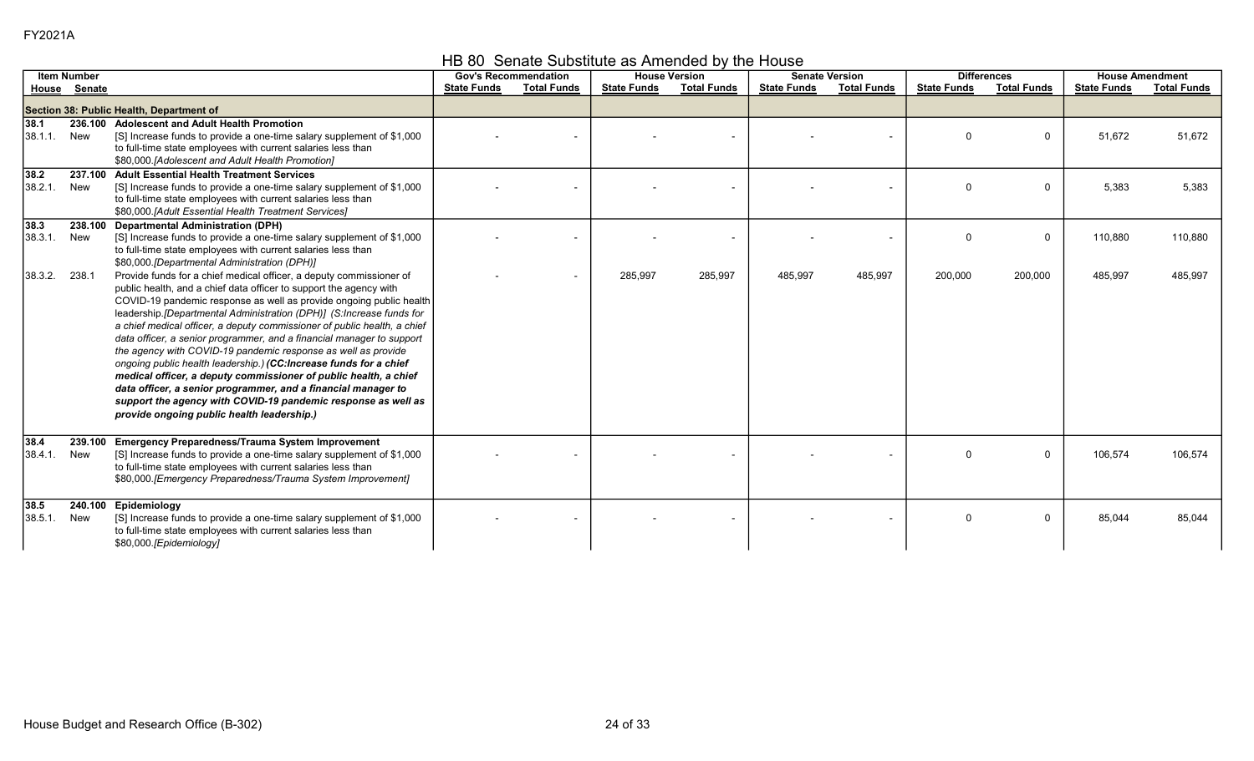HB 80 Senate Substitute as Amended by the House

|                  | <b>Item Number</b> |                                                                                                                                                                                                                                                                                                                                                                                                                                                                                                                                                                                                                                                                                                                                                                                                                                          | <b>Gov's Recommendation</b> |                          |                    | <b>House Version</b> |                    | <b>Senate Version</b> |                    | <b>Differences</b> |                    | <b>House Amendment</b> |
|------------------|--------------------|------------------------------------------------------------------------------------------------------------------------------------------------------------------------------------------------------------------------------------------------------------------------------------------------------------------------------------------------------------------------------------------------------------------------------------------------------------------------------------------------------------------------------------------------------------------------------------------------------------------------------------------------------------------------------------------------------------------------------------------------------------------------------------------------------------------------------------------|-----------------------------|--------------------------|--------------------|----------------------|--------------------|-----------------------|--------------------|--------------------|--------------------|------------------------|
|                  | House Senate       |                                                                                                                                                                                                                                                                                                                                                                                                                                                                                                                                                                                                                                                                                                                                                                                                                                          | <b>State Funds</b>          | <b>Total Funds</b>       | <b>State Funds</b> | <b>Total Funds</b>   | <b>State Funds</b> | <b>Total Funds</b>    | <b>State Funds</b> | <b>Total Funds</b> | <b>State Funds</b> | <b>Total Funds</b>     |
|                  |                    | Section 38: Public Health, Department of                                                                                                                                                                                                                                                                                                                                                                                                                                                                                                                                                                                                                                                                                                                                                                                                 |                             |                          |                    |                      |                    |                       |                    |                    |                    |                        |
| 38.1<br>38.1.1   | New                | 236.100 Adolescent and Adult Health Promotion<br>[S] Increase funds to provide a one-time salary supplement of \$1,000<br>to full-time state employees with current salaries less than<br>\$80,000. [Adolescent and Adult Health Promotion]                                                                                                                                                                                                                                                                                                                                                                                                                                                                                                                                                                                              |                             |                          |                    |                      |                    | $\blacksquare$        | $\Omega$           | 0                  | 51,672             | 51,672                 |
| 38.2 <br>38.2.1. | 237.100<br>New     | <b>Adult Essential Health Treatment Services</b><br>[S] Increase funds to provide a one-time salary supplement of \$1,000<br>to full-time state employees with current salaries less than<br>\$80,000.[Adult Essential Health Treatment Services]                                                                                                                                                                                                                                                                                                                                                                                                                                                                                                                                                                                        |                             |                          |                    |                      |                    |                       | $\Omega$           | $\Omega$           | 5,383              | 5,383                  |
| 38.3 <br>38.3.1. | 238.100<br>New     | <b>Departmental Administration (DPH)</b><br>[S] Increase funds to provide a one-time salary supplement of \$1,000<br>to full-time state employees with current salaries less than<br>\$80,000.[Departmental Administration (DPH)]                                                                                                                                                                                                                                                                                                                                                                                                                                                                                                                                                                                                        |                             |                          |                    |                      |                    |                       | $\Omega$           | $\mathbf{0}$       | 110,880            | 110,880                |
| 38.3.2.          | 238.1              | Provide funds for a chief medical officer, a deputy commissioner of<br>public health, and a chief data officer to support the agency with<br>COVID-19 pandemic response as well as provide ongoing public health<br>leadership.[Departmental Administration (DPH)] (S:Increase funds for<br>a chief medical officer, a deputy commissioner of public health, a chief<br>data officer, a senior programmer, and a financial manager to support<br>the agency with COVID-19 pandemic response as well as provide<br>ongoing public health leadership.) (CC: Increase funds for a chief<br>medical officer, a deputy commissioner of public health, a chief<br>data officer, a senior programmer, and a financial manager to<br>support the agency with COVID-19 pandemic response as well as<br>provide ongoing public health leadership.) |                             | $\overline{\phantom{a}}$ | 285,997            | 285,997              | 485,997            | 485,997               | 200,000            | 200,000            | 485,997            | 485,997                |
| 38.4 <br>38.4.1. | 239.100<br>New     | <b>Emergency Preparedness/Trauma System Improvement</b><br>[S] Increase funds to provide a one-time salary supplement of \$1,000<br>to full-time state employees with current salaries less than<br>\$80,000. [Emergency Preparedness/Trauma System Improvement]                                                                                                                                                                                                                                                                                                                                                                                                                                                                                                                                                                         |                             |                          |                    |                      |                    |                       | $\Omega$           | $\mathbf 0$        | 106,574            | 106,574                |
| 38.5 <br>38.5.1  | 240.100<br>New     | Epidemiology<br>[S] Increase funds to provide a one-time salary supplement of \$1,000<br>to full-time state employees with current salaries less than<br>\$80,000.[Epidemiology]                                                                                                                                                                                                                                                                                                                                                                                                                                                                                                                                                                                                                                                         |                             |                          |                    |                      |                    |                       | $\Omega$           | 0                  | 85,044             | 85,044                 |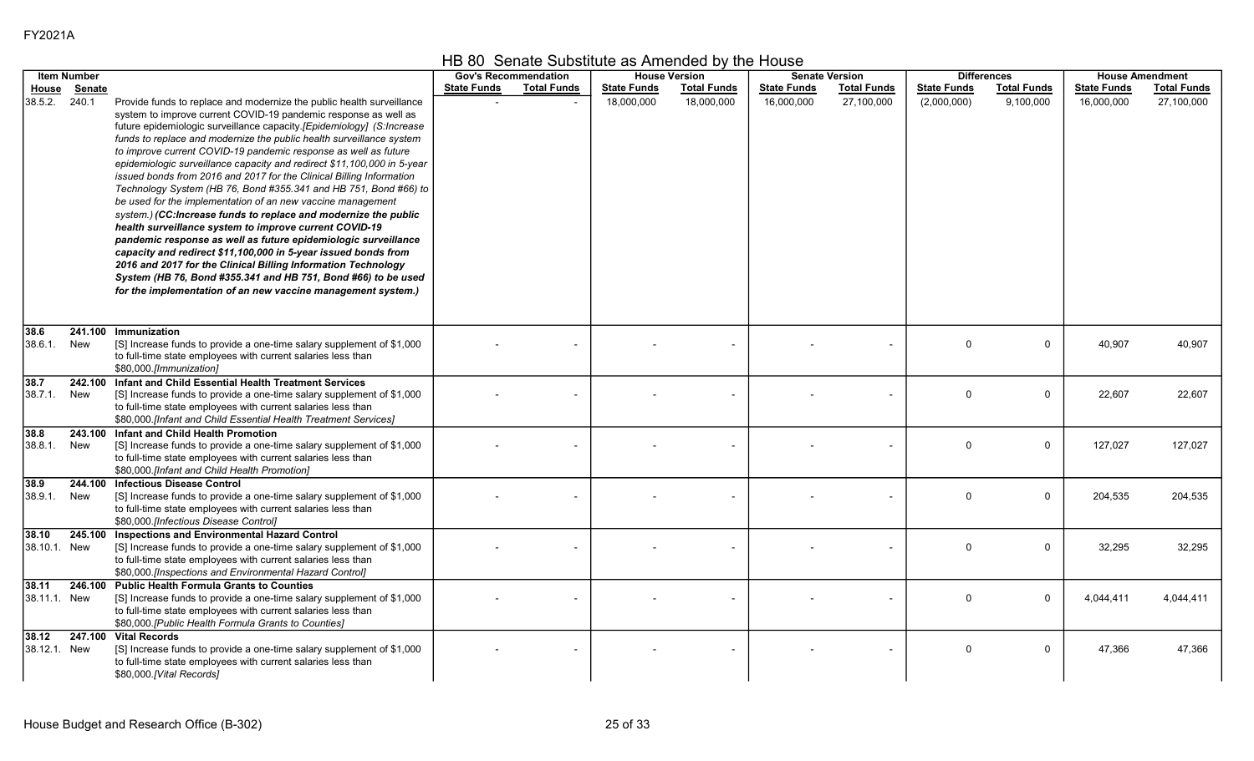|  | HB 80 Senate Substitute as Amended by the House |  |
|--|-------------------------------------------------|--|
|--|-------------------------------------------------|--|

|              | <b>Item Number</b> |                                                                                                                                                 |                    | <b>Gov's Recommendation</b> |                    | <b>House Version</b> |                    | <b>Senate Version</b>    |                    | <b>Differences</b> |                    | <b>House Amendment</b> |
|--------------|--------------------|-------------------------------------------------------------------------------------------------------------------------------------------------|--------------------|-----------------------------|--------------------|----------------------|--------------------|--------------------------|--------------------|--------------------|--------------------|------------------------|
| House        | Senate             |                                                                                                                                                 | <b>State Funds</b> | <b>Total Funds</b>          | <b>State Funds</b> | <b>Total Funds</b>   | <b>State Funds</b> | <b>Total Funds</b>       | <b>State Funds</b> | <b>Total Funds</b> | <b>State Funds</b> | <b>Total Funds</b>     |
| 38.5.2.      | 240.1              | Provide funds to replace and modernize the public health surveillance<br>system to improve current COVID-19 pandemic response as well as        |                    |                             | 18,000,000         | 18,000,000           | 16,000,000         | 27,100,000               | (2,000,000)        | 9,100,000          | 16,000,000         | 27,100,000             |
|              |                    | future epidemiologic surveillance capacity.[Epidemiology] (S:Increase                                                                           |                    |                             |                    |                      |                    |                          |                    |                    |                    |                        |
|              |                    | funds to replace and modernize the public health surveillance system                                                                            |                    |                             |                    |                      |                    |                          |                    |                    |                    |                        |
|              |                    | to improve current COVID-19 pandemic response as well as future                                                                                 |                    |                             |                    |                      |                    |                          |                    |                    |                    |                        |
|              |                    | epidemiologic surveillance capacity and redirect \$11,100,000 in 5-year<br>issued bonds from 2016 and 2017 for the Clinical Billing Information |                    |                             |                    |                      |                    |                          |                    |                    |                    |                        |
|              |                    | Technology System (HB 76, Bond #355.341 and HB 751, Bond #66) to                                                                                |                    |                             |                    |                      |                    |                          |                    |                    |                    |                        |
|              |                    | be used for the implementation of an new vaccine management                                                                                     |                    |                             |                    |                      |                    |                          |                    |                    |                    |                        |
|              |                    | system.) (CC:Increase funds to replace and modernize the public                                                                                 |                    |                             |                    |                      |                    |                          |                    |                    |                    |                        |
|              |                    | health surveillance system to improve current COVID-19<br>pandemic response as well as future epidemiologic surveillance                        |                    |                             |                    |                      |                    |                          |                    |                    |                    |                        |
|              |                    | capacity and redirect \$11,100,000 in 5-year issued bonds from                                                                                  |                    |                             |                    |                      |                    |                          |                    |                    |                    |                        |
|              |                    | 2016 and 2017 for the Clinical Billing Information Technology                                                                                   |                    |                             |                    |                      |                    |                          |                    |                    |                    |                        |
|              |                    | System (HB 76, Bond #355.341 and HB 751, Bond #66) to be used                                                                                   |                    |                             |                    |                      |                    |                          |                    |                    |                    |                        |
|              |                    | for the implementation of an new vaccine management system.)                                                                                    |                    |                             |                    |                      |                    |                          |                    |                    |                    |                        |
|              |                    |                                                                                                                                                 |                    |                             |                    |                      |                    |                          |                    |                    |                    |                        |
| 38.6         |                    | 241.100 Immunization                                                                                                                            |                    |                             |                    |                      |                    |                          |                    |                    |                    |                        |
| 38.6.1       | New                | [S] Increase funds to provide a one-time salary supplement of \$1,000                                                                           |                    |                             |                    |                      |                    |                          | $\Omega$           | $\mathbf 0$        | 40,907             | 40,907                 |
|              |                    | to full-time state employees with current salaries less than<br>\$80,000.[Immunization]                                                         |                    |                             |                    |                      |                    |                          |                    |                    |                    |                        |
| 38.7         |                    | 242.100 Infant and Child Essential Health Treatment Services                                                                                    |                    |                             |                    |                      |                    |                          |                    |                    |                    |                        |
| 38.7.1.      | New                | [S] Increase funds to provide a one-time salary supplement of \$1,000                                                                           |                    |                             |                    |                      |                    |                          | $\mathbf 0$        | $\mathbf 0$        | 22,607             | 22,607                 |
|              |                    | to full-time state employees with current salaries less than                                                                                    |                    |                             |                    |                      |                    |                          |                    |                    |                    |                        |
| 38.8         |                    | \$80,000.[Infant and Child Essential Health Treatment Services]<br>243.100 Infant and Child Health Promotion                                    |                    |                             |                    |                      |                    |                          |                    |                    |                    |                        |
| 38.8.1.      | New                | [S] Increase funds to provide a one-time salary supplement of \$1,000                                                                           |                    |                             |                    |                      |                    |                          | $\Omega$           | $\mathbf 0$        | 127,027            | 127,027                |
|              |                    | to full-time state employees with current salaries less than                                                                                    |                    |                             |                    |                      |                    |                          |                    |                    |                    |                        |
|              |                    | \$80,000.[Infant and Child Health Promotion]                                                                                                    |                    |                             |                    |                      |                    |                          |                    |                    |                    |                        |
| 38.9         |                    | 244.100 Infectious Disease Control                                                                                                              |                    |                             |                    |                      |                    |                          | $\Omega$           | $\mathbf 0$        |                    |                        |
| 38.9.1.      | New                | [S] Increase funds to provide a one-time salary supplement of \$1,000<br>to full-time state employees with current salaries less than           |                    |                             |                    |                      |                    |                          |                    |                    | 204,535            | 204,535                |
|              |                    | \$80,000.[Infectious Disease Control]                                                                                                           |                    |                             |                    |                      |                    |                          |                    |                    |                    |                        |
| 38.10        |                    | 245.100 Inspections and Environmental Hazard Control                                                                                            |                    |                             |                    |                      |                    |                          |                    |                    |                    |                        |
| 38.10.1. New |                    | [S] Increase funds to provide a one-time salary supplement of \$1,000                                                                           |                    |                             |                    |                      |                    |                          | $\mathbf 0$        | $\mathbf 0$        | 32,295             | 32,295                 |
|              |                    | to full-time state employees with current salaries less than<br>\$80,000.[Inspections and Environmental Hazard Control]                         |                    |                             |                    |                      |                    |                          |                    |                    |                    |                        |
| 38.11        |                    | 246.100 Public Health Formula Grants to Counties                                                                                                |                    |                             |                    |                      |                    |                          |                    |                    |                    |                        |
| 38.11.1. New |                    | [S] Increase funds to provide a one-time salary supplement of \$1,000                                                                           |                    |                             |                    |                      |                    |                          | $\Omega$           | $\mathbf 0$        | 4,044,411          | 4,044,411              |
|              |                    | to full-time state employees with current salaries less than                                                                                    |                    |                             |                    |                      |                    |                          |                    |                    |                    |                        |
| 38.12        |                    | \$80,000.[Public Health Formula Grants to Counties]<br>247.100 Vital Records                                                                    |                    |                             |                    |                      |                    |                          |                    |                    |                    |                        |
| 38.12.1. New |                    | [S] Increase funds to provide a one-time salary supplement of \$1,000                                                                           |                    |                             |                    |                      |                    | $\overline{\phantom{a}}$ | $\Omega$           | $\mathbf 0$        | 47,366             | 47,366                 |
|              |                    | to full-time state employees with current salaries less than                                                                                    |                    |                             |                    |                      |                    |                          |                    |                    |                    |                        |
|              |                    | \$80,000.[Vital Records]                                                                                                                        |                    |                             |                    |                      |                    |                          |                    |                    |                    |                        |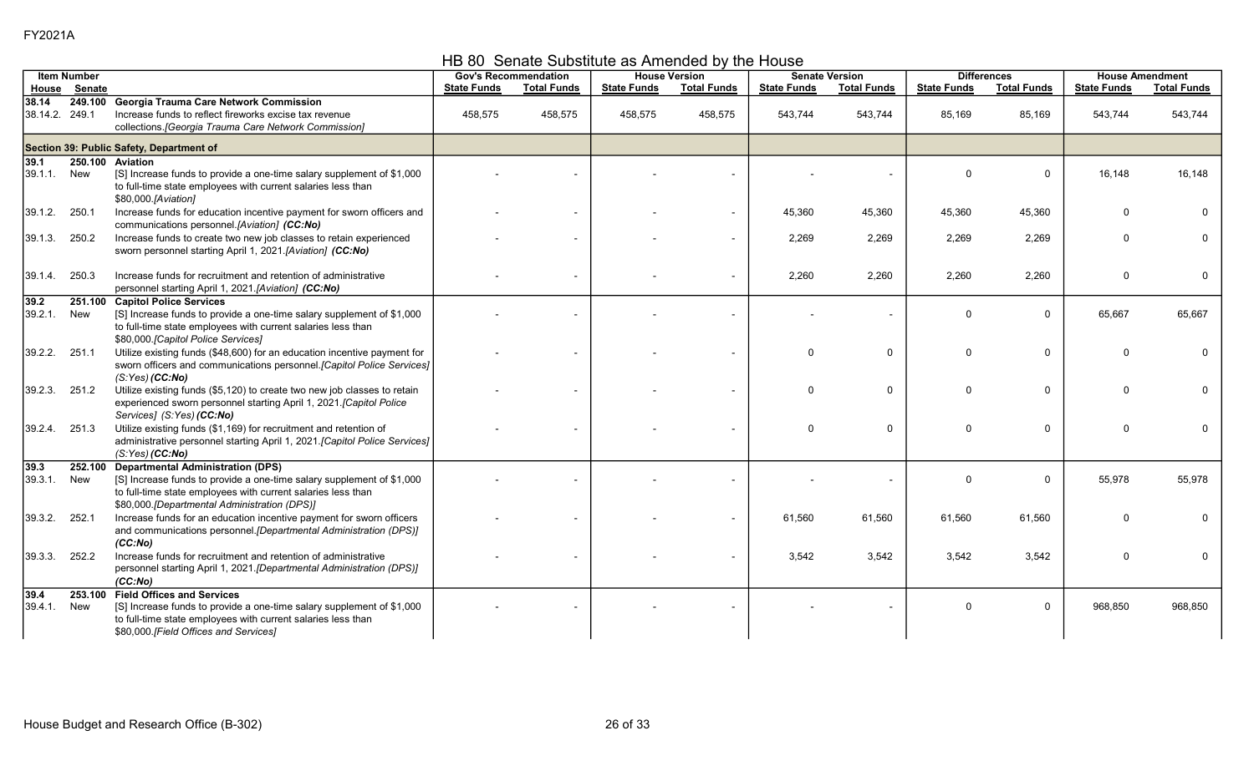HB 80 Senate Substitute as Amended by the House

|                         | <b>Item Number</b> |                                                                                                                                                                                                                      |                    | <b>Gov's Recommendation</b> |                    | <b>House Version</b>     |                    | <b>Senate Version</b> |                    | <b>Differences</b> | <b>House Amendment</b> |                    |
|-------------------------|--------------------|----------------------------------------------------------------------------------------------------------------------------------------------------------------------------------------------------------------------|--------------------|-----------------------------|--------------------|--------------------------|--------------------|-----------------------|--------------------|--------------------|------------------------|--------------------|
|                         | House Senate       |                                                                                                                                                                                                                      | <b>State Funds</b> | <b>Total Funds</b>          | <b>State Funds</b> | <b>Total Funds</b>       | <b>State Funds</b> | <b>Total Funds</b>    | <b>State Funds</b> | <b>Total Funds</b> | <b>State Funds</b>     | <b>Total Funds</b> |
|                         |                    | 249.100 Georgia Trauma Care Network Commission                                                                                                                                                                       |                    |                             |                    |                          |                    |                       |                    |                    |                        |                    |
| 38.14<br>38.14.2. 249.1 |                    | Increase funds to reflect fireworks excise tax revenue<br>collections. [Georgia Trauma Care Network Commission]                                                                                                      | 458,575            | 458,575                     | 458,575            | 458,575                  | 543,744            | 543,744               | 85,169             | 85,169             | 543,744                | 543,744            |
|                         |                    | Section 39: Public Safety, Department of                                                                                                                                                                             |                    |                             |                    |                          |                    |                       |                    |                    |                        |                    |
| 39.1                    | 250.100            | Aviation                                                                                                                                                                                                             |                    |                             |                    |                          |                    |                       |                    |                    |                        |                    |
| 39.1.1                  | New                | [S] Increase funds to provide a one-time salary supplement of \$1,000<br>to full-time state employees with current salaries less than<br>\$80,000.[Aviation]                                                         |                    |                             |                    |                          |                    |                       | $\Omega$           | 0                  | 16,148                 | 16,148             |
| 39.1.2.                 | 250.1              | Increase funds for education incentive payment for sworn officers and<br>communications personnel.[Aviation] (CC:No)                                                                                                 |                    |                             |                    | $\overline{\phantom{a}}$ | 45,360             | 45,360                | 45,360             | 45,360             | O                      |                    |
| 39.1.3.                 | 250.2              | Increase funds to create two new job classes to retain experienced<br>sworn personnel starting April 1, 2021.[Aviation] (CC:No)                                                                                      |                    |                             |                    | $\overline{\phantom{a}}$ | 2,269              | 2,269                 | 2,269              | 2,269              |                        |                    |
| 39.1.4.                 | 250.3              | Increase funds for recruitment and retention of administrative<br>personnel starting April 1, 2021.[Aviation] (CC:No)                                                                                                |                    |                             |                    | $\overline{\phantom{a}}$ | 2,260              | 2,260                 | 2,260              | 2,260              | 0                      |                    |
| 39.2                    | 251.100            | <b>Capitol Police Services</b>                                                                                                                                                                                       |                    |                             |                    |                          |                    |                       |                    |                    |                        |                    |
| 39.2.1.                 | New                | [S] Increase funds to provide a one-time salary supplement of \$1,000<br>to full-time state employees with current salaries less than<br>\$80,000 [Capitol Police Services]                                          |                    |                             |                    |                          |                    |                       | $\Omega$           | $\mathbf 0$        | 65,667                 | 65,667             |
| 39.2.2.                 | 251.1              | Utilize existing funds (\$48,600) for an education incentive payment for<br>sworn officers and communications personnel. [Capitol Police Services]<br>(S:Yes) (CC:No)                                                |                    |                             |                    | ÷                        | $\Omega$           | 0                     | $\Omega$           | $\mathbf 0$        | O                      |                    |
| 39.2.3.                 | 251.2              | Utilize existing funds (\$5,120) to create two new job classes to retain<br>experienced sworn personnel starting April 1, 2021. [Capitol Police<br>Services1 (S:Yes) (CC:No)                                         |                    |                             |                    |                          | $\Omega$           | $\mathbf 0$           | $\Omega$           | $\mathbf 0$        | <sup>0</sup>           |                    |
| 39.2.4.                 | 251.3              | Utilize existing funds (\$1,169) for recruitment and retention of<br>administrative personnel starting April 1, 2021. [Capitol Police Services]<br>(S:Yes) (CC:No)                                                   |                    |                             |                    | $\overline{\phantom{0}}$ | $\Omega$           | $\mathbf 0$           | $\Omega$           | 0                  | <sup>0</sup>           |                    |
| 39.3                    | 252.100            | <b>Departmental Administration (DPS)</b>                                                                                                                                                                             |                    |                             |                    |                          |                    |                       |                    |                    |                        |                    |
| 39.3.1.                 | New                | [S] Increase funds to provide a one-time salary supplement of \$1,000<br>to full-time state employees with current salaries less than<br>\$80,000.[Departmental Administration (DPS)]                                |                    |                             |                    |                          |                    |                       | $\Omega$           | $\mathbf 0$        | 55,978                 | 55,978             |
| 39.3.2.                 | 252.1              | Increase funds for an education incentive payment for sworn officers<br>and communications personnel. [Departmental Administration (DPS)]                                                                            |                    |                             |                    | $\blacksquare$           | 61,560             | 61,560                | 61,560             | 61,560             | U                      |                    |
| 39.3.3.                 | 252.2              | (CC:No)<br>Increase funds for recruitment and retention of administrative<br>personnel starting April 1, 2021. [Departmental Administration (DPS)]<br>(CC:No)                                                        |                    |                             |                    |                          | 3,542              | 3,542                 | 3,542              | 3,542              | $\Omega$               |                    |
| 39.4<br>39.4.1.         | 253.100<br>New     | <b>Field Offices and Services</b><br>[S] Increase funds to provide a one-time salary supplement of \$1,000<br>to full-time state employees with current salaries less than<br>\$80,000. [Field Offices and Services] |                    |                             |                    |                          |                    |                       | $\Omega$           | $\mathbf 0$        | 968,850                | 968,850            |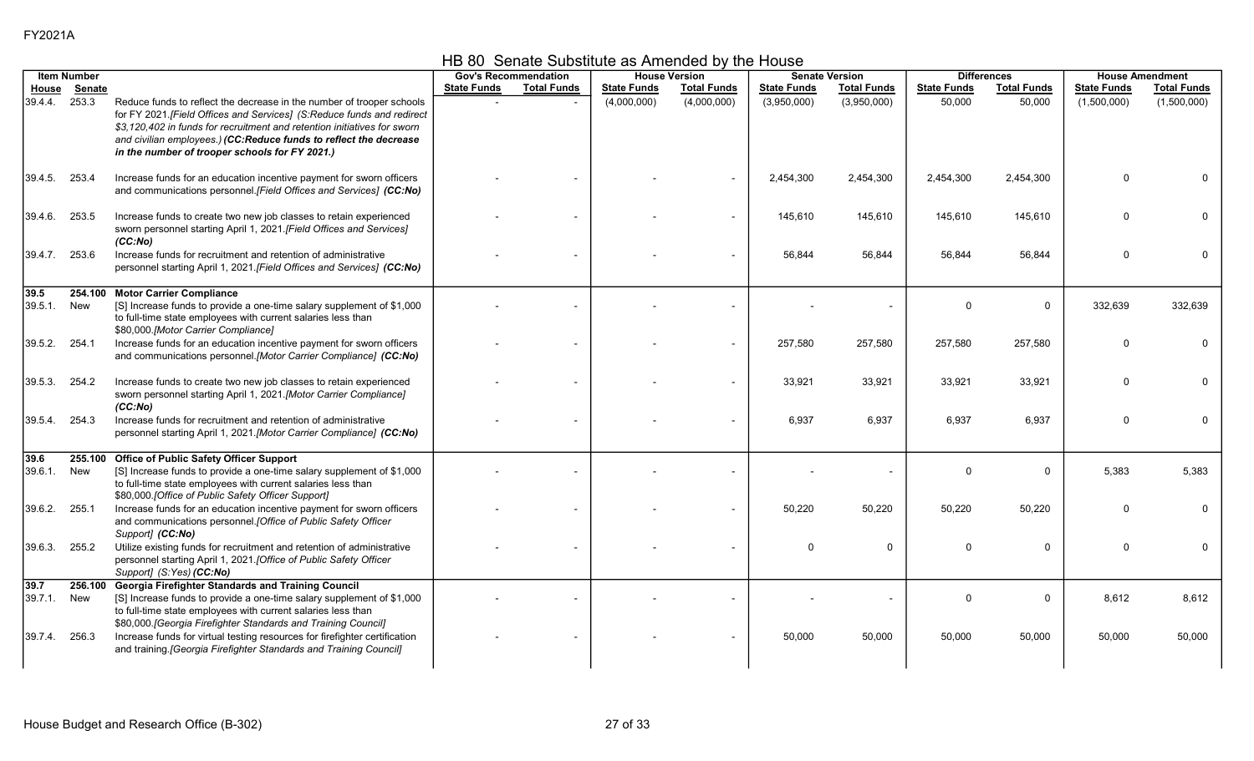|  | HB 80 Senate Substitute as Amended by the House |  |
|--|-------------------------------------------------|--|
|--|-------------------------------------------------|--|

|                 | <b>Item Number</b> |                                                                                                                                                                                                                                                                                                                                                     |                    | <b>Gov's Recommendation</b> |                    | <b>House Version</b>     |                    | <b>Senate Version</b> |                    | <b>Differences</b> |                    | <b>House Amendment</b> |
|-----------------|--------------------|-----------------------------------------------------------------------------------------------------------------------------------------------------------------------------------------------------------------------------------------------------------------------------------------------------------------------------------------------------|--------------------|-----------------------------|--------------------|--------------------------|--------------------|-----------------------|--------------------|--------------------|--------------------|------------------------|
| House           | Senate             |                                                                                                                                                                                                                                                                                                                                                     | <b>State Funds</b> | <b>Total Funds</b>          | <b>State Funds</b> | <b>Total Funds</b>       | <b>State Funds</b> | <b>Total Funds</b>    | <b>State Funds</b> | <b>Total Funds</b> | <b>State Funds</b> | <b>Total Funds</b>     |
| 39.4.4.         | 253.3              | Reduce funds to reflect the decrease in the number of trooper schools<br>for FY 2021. [Field Offices and Services] (S: Reduce funds and redirect<br>\$3.120.402 in funds for recruitment and retention initiatives for sworn<br>and civilian employees.) (CC:Reduce funds to reflect the decrease<br>in the number of trooper schools for FY 2021.) |                    |                             | (4,000,000)        | (4,000,000)              | (3,950,000)        | (3,950,000)           | 50,000             | 50,000             | (1,500,000)        | (1,500,000)            |
| 39.4.5.         | 253.4              | Increase funds for an education incentive payment for sworn officers<br>and communications personnel.[Field Offices and Services] (CC:No)                                                                                                                                                                                                           |                    |                             |                    |                          | 2,454,300          | 2,454,300             | 2,454,300          | 2,454,300          | $\Omega$           |                        |
| 39.4.6.         | 253.5              | Increase funds to create two new job classes to retain experienced<br>sworn personnel starting April 1, 2021. [Field Offices and Services]<br>(CC:No)                                                                                                                                                                                               |                    |                             |                    | $\sim$                   | 145,610            | 145,610               | 145,610            | 145,610            | $\Omega$           |                        |
| 39.4.7. 253.6   |                    | Increase funds for recruitment and retention of administrative<br>personnel starting April 1, 2021. [Field Offices and Services] (CC:No)                                                                                                                                                                                                            |                    |                             |                    |                          | 56.844             | 56,844                | 56,844             | 56,844             | $\Omega$           |                        |
| 39.5<br>39.5.1. | 254.100<br>New     | <b>Motor Carrier Compliance</b><br>[S] Increase funds to provide a one-time salary supplement of \$1,000<br>to full-time state employees with current salaries less than<br>\$80,000.[Motor Carrier Compliance]                                                                                                                                     |                    |                             |                    |                          |                    |                       | $\Omega$           | $\mathbf 0$        | 332,639            | 332,639                |
| 39.5.2.         | 254.1              | Increase funds for an education incentive payment for sworn officers<br>and communications personnel.[Motor Carrier Compliance] (CC:No)                                                                                                                                                                                                             |                    |                             |                    | $\sim$                   | 257,580            | 257,580               | 257,580            | 257,580            | $\Omega$           |                        |
| 39.5.3.         | 254.2              | Increase funds to create two new job classes to retain experienced<br>sworn personnel starting April 1, 2021.[Motor Carrier Compliance]<br>(CC:No)                                                                                                                                                                                                  |                    |                             |                    |                          | 33,921             | 33,921                | 33,921             | 33,921             | $\Omega$           |                        |
| 39.5.4.         | 254.3              | Increase funds for recruitment and retention of administrative<br>personnel starting April 1, 2021.[Motor Carrier Compliance] (CC:No)                                                                                                                                                                                                               |                    |                             |                    |                          | 6,937              | 6,937                 | 6,937              | 6,937              | $\Omega$           |                        |
| 39.6<br>39.6.1. | 255.100<br>New     | <b>Office of Public Safety Officer Support</b><br>[S] Increase funds to provide a one-time salary supplement of \$1,000<br>to full-time state employees with current salaries less than<br>\$80,000. [Office of Public Safety Officer Support]                                                                                                      |                    |                             |                    |                          |                    |                       | $\Omega$           | $\mathbf 0$        | 5,383              | 5,383                  |
| 39.6.2.         | 255.1              | Increase funds for an education incentive payment for sworn officers<br>and communications personnel.[Office of Public Safety Officer<br>Support] (CC:No)                                                                                                                                                                                           |                    |                             |                    | $\overline{\phantom{a}}$ | 50,220             | 50,220                | 50,220             | 50,220             | $\Omega$           |                        |
| 39.6.3.         | 255.2              | Utilize existing funds for recruitment and retention of administrative<br>personnel starting April 1, 2021. [Office of Public Safety Officer<br>Support] (S:Yes) (CC:No)                                                                                                                                                                            |                    |                             |                    |                          | $\mathbf{0}$       | $\mathbf 0$           | $\Omega$           | $\mathbf 0$        | $\Omega$           | 0                      |
| 39.7<br>39.7.1. | 256.100<br>New     | Georgia Firefighter Standards and Training Council<br>[S] Increase funds to provide a one-time salary supplement of \$1,000<br>to full-time state employees with current salaries less than<br>\$80,000. [Georgia Firefighter Standards and Training Council]                                                                                       |                    |                             |                    |                          |                    |                       | $\Omega$           | $\mathbf 0$        | 8,612              | 8,612                  |
| 39.7.4.         | 256.3              | Increase funds for virtual testing resources for firefighter certification<br>and training. [Georgia Firefighter Standards and Training Council]                                                                                                                                                                                                    |                    |                             |                    |                          | 50.000             | 50,000                | 50.000             | 50,000             | 50,000             | 50.000                 |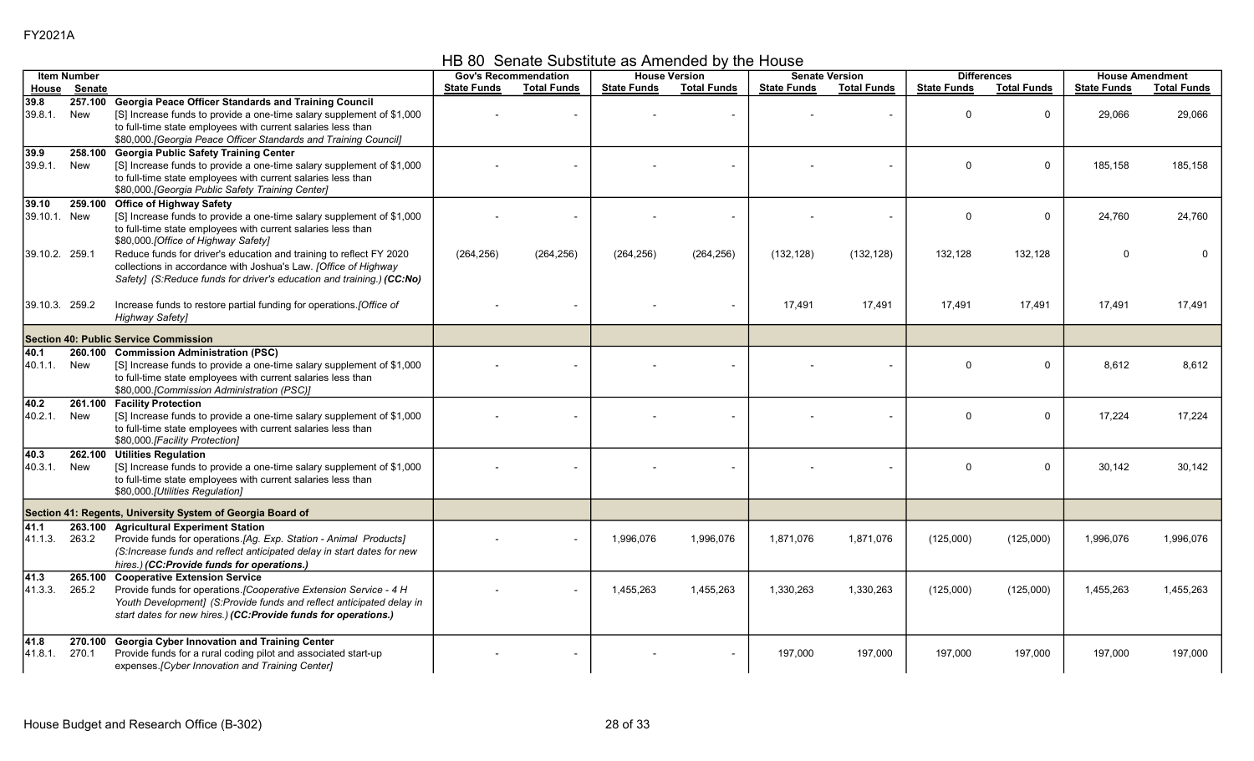HB 80 Senate Substitute as Amended by the House

|                          | <b>Item Number</b> |                                                                                                                                                                                                                                                                          |                    | <b>Gov's Recommendation</b> |                    | <b>House Version</b>     |                    | <b>Senate Version</b> |                    | <b>Differences</b> |                    | <b>House Amendment</b> |
|--------------------------|--------------------|--------------------------------------------------------------------------------------------------------------------------------------------------------------------------------------------------------------------------------------------------------------------------|--------------------|-----------------------------|--------------------|--------------------------|--------------------|-----------------------|--------------------|--------------------|--------------------|------------------------|
| House                    | <u>Senate</u>      |                                                                                                                                                                                                                                                                          | <b>State Funds</b> | <b>Total Funds</b>          | <b>State Funds</b> | <b>Total Funds</b>       | <b>State Funds</b> | <b>Total Funds</b>    | <b>State Funds</b> | <b>Total Funds</b> | <b>State Funds</b> | <b>Total Funds</b>     |
| 39.8<br>39.8.1.          | 257.100<br>New     | <b>Georgia Peace Officer Standards and Training Council</b><br>[S] Increase funds to provide a one-time salary supplement of \$1,000<br>to full-time state employees with current salaries less than<br>\$80,000. [Georgia Peace Officer Standards and Training Council] |                    |                             |                    |                          |                    |                       | $\Omega$           | $\Omega$           | 29,066             | 29,066                 |
| 39.9<br>39.9.1.          | 258.100<br>New     | <b>Georgia Public Safety Training Center</b><br>[S] Increase funds to provide a one-time salary supplement of \$1,000<br>to full-time state employees with current salaries less than<br>\$80,000. [Georgia Public Safety Training Center]                               |                    |                             |                    |                          |                    |                       | $\Omega$           | $\Omega$           | 185,158            | 185,158                |
| 39.10<br>39.10.1 New     | 259.100            | <b>Office of Highway Safety</b><br>[S] Increase funds to provide a one-time salary supplement of \$1,000<br>to full-time state employees with current salaries less than<br>\$80,000. [Office of Highway Safety]                                                         |                    |                             |                    |                          |                    |                       | $\Omega$           | $\Omega$           | 24,760             | 24,760                 |
| 39.10.2. 259.1           |                    | Reduce funds for driver's education and training to reflect FY 2020<br>collections in accordance with Joshua's Law. [Office of Highway<br>Safety] (S:Reduce funds for driver's education and training.) (CC:No)                                                          | (264, 256)         | (264, 256)                  | (264, 256)         | (264, 256)               | (132, 128)         | (132, 128)            | 132,128            | 132,128            |                    |                        |
| 39.10.3. 259.2           |                    | Increase funds to restore partial funding for operations. [Office of<br><b>Highway Safety]</b>                                                                                                                                                                           |                    |                             |                    | $\overline{\phantom{a}}$ | 17,491             | 17,491                | 17,491             | 17,491             | 17,491             | 17,491                 |
|                          |                    | <b>Section 40: Public Service Commission</b>                                                                                                                                                                                                                             |                    |                             |                    |                          |                    |                       |                    |                    |                    |                        |
| 40.1<br>40.1.1.          | 260.100<br>New     | <b>Commission Administration (PSC)</b><br>[S] Increase funds to provide a one-time salary supplement of \$1,000<br>to full-time state employees with current salaries less than<br>\$80,000.[Commission Administration (PSC)]                                            |                    |                             |                    |                          |                    |                       | $\Omega$           | $\Omega$           | 8.612              | 8.612                  |
| $\sqrt{40.2}$<br>40.2.1. | 261.100<br>New     | <b>Facility Protection</b><br>[S] Increase funds to provide a one-time salary supplement of \$1,000<br>to full-time state employees with current salaries less than<br>\$80,000 [Facility Protection]                                                                    |                    |                             |                    |                          |                    |                       | $\Omega$           | 0                  | 17,224             | 17,224                 |
| 40.3<br>40.3.1.          | 262.100<br>New     | <b>Utilities Regulation</b><br>[S] Increase funds to provide a one-time salary supplement of \$1,000<br>to full-time state employees with current salaries less than<br>\$80,000.[Utilities Regulation]                                                                  |                    |                             |                    |                          |                    |                       | $\Omega$           | $\Omega$           | 30,142             | 30,142                 |
|                          |                    | Section 41: Regents, University System of Georgia Board of                                                                                                                                                                                                               |                    |                             |                    |                          |                    |                       |                    |                    |                    |                        |
| 41.1<br>41.1.3.          | 263.100<br>263.2   | <b>Agricultural Experiment Station</b><br>Provide funds for operations.[Ag. Exp. Station - Animal Products]<br>(S:Increase funds and reflect anticipated delay in start dates for new<br>hires.) (CC:Provide funds for operations.)                                      |                    |                             | 1,996,076          | 1,996,076                | 1,871,076          | 1,871,076             | (125,000)          | (125,000)          | 1,996,076          | 1,996,076              |
| 41.3<br>41.3.3.          | 265.100<br>265.2   | <b>Cooperative Extension Service</b><br>Provide funds for operations. [Cooperative Extension Service - 4 H<br>Youth Development] (S:Provide funds and reflect anticipated delay in<br>start dates for new hires.) (CC:Provide funds for operations.)                     |                    | $\sim$                      | 1,455,263          | 1,455,263                | 1,330,263          | 1,330,263             | (125,000)          | (125,000)          | 1,455,263          | 1,455,263              |
| 41.8<br>41.8.1.          | 270.100<br>270.1   | <b>Georgia Cyber Innovation and Training Center</b><br>Provide funds for a rural coding pilot and associated start-up<br>expenses. [Cyber Innovation and Training Center]                                                                                                |                    |                             |                    |                          | 197.000            | 197,000               | 197,000            | 197,000            | 197.000            | 197,000                |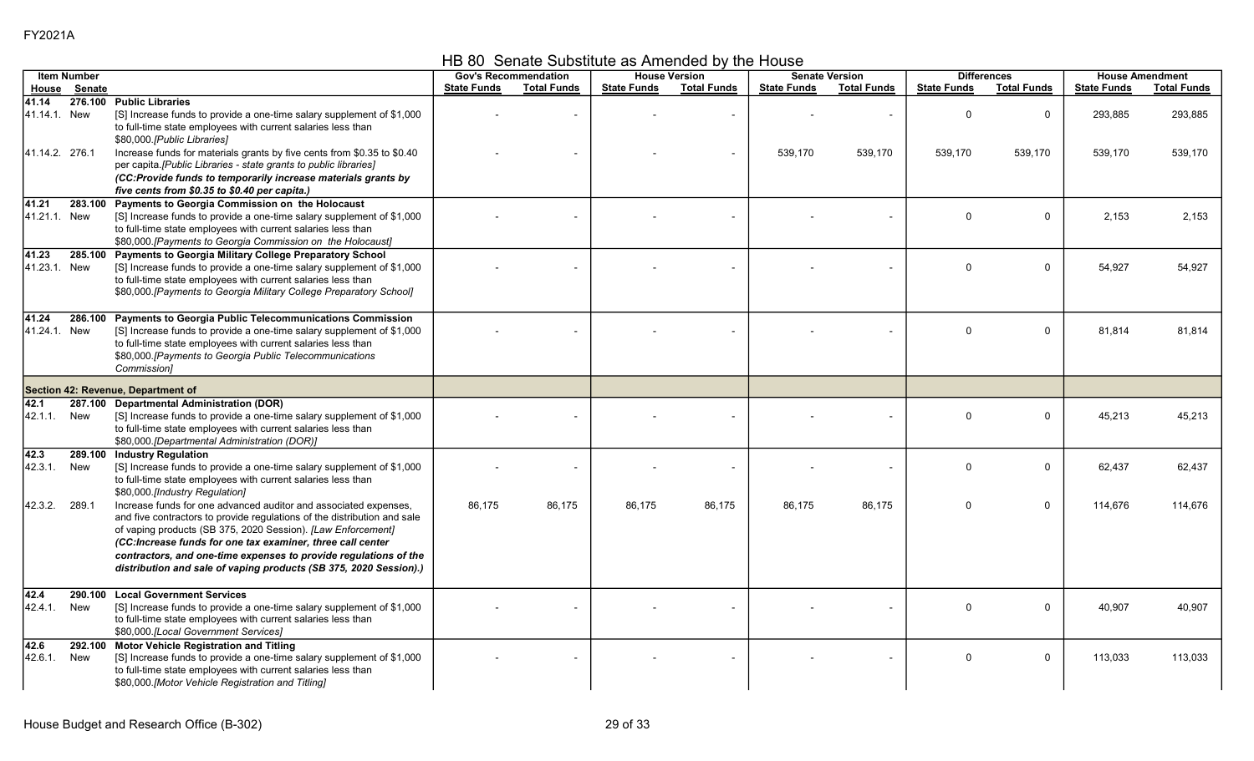HB 80 Senate Substitute as Amended by the House

|                       | <b>Item Number</b> |                                                                                                                                                                                                                                                                                                                                                                                                                     | <b>Gov's Recommendation</b> |                    |                    | <b>House Version</b> |                    | <b>Senate Version</b> |                    | <b>Differences</b> |                    | <b>House Amendment</b> |
|-----------------------|--------------------|---------------------------------------------------------------------------------------------------------------------------------------------------------------------------------------------------------------------------------------------------------------------------------------------------------------------------------------------------------------------------------------------------------------------|-----------------------------|--------------------|--------------------|----------------------|--------------------|-----------------------|--------------------|--------------------|--------------------|------------------------|
| House                 | Senate             |                                                                                                                                                                                                                                                                                                                                                                                                                     | <b>State Funds</b>          | <b>Total Funds</b> | <b>State Funds</b> | <b>Total Funds</b>   | <b>State Funds</b> | <b>Total Funds</b>    | <b>State Funds</b> | <b>Total Funds</b> | <b>State Funds</b> | <b>Total Funds</b>     |
| 41.14<br>41.14.1. New |                    | 276.100 Public Libraries<br>[S] Increase funds to provide a one-time salary supplement of \$1,000<br>to full-time state employees with current salaries less than<br>\$80,000. [Public Libraries]                                                                                                                                                                                                                   |                             |                    |                    |                      |                    |                       | $\Omega$           | $\mathbf 0$        | 293,885            | 293,885                |
| 41.14.2. 276.1        |                    | Increase funds for materials grants by five cents from \$0.35 to \$0.40<br>per capita.[Public Libraries - state grants to public libraries]<br>(CC:Provide funds to temporarily increase materials grants by<br>five cents from \$0.35 to \$0.40 per capita.)                                                                                                                                                       |                             |                    |                    |                      | 539,170            | 539,170               | 539,170            | 539,170            | 539,170            | 539,170                |
| 41.21<br>41.21.1. New | 283.100            | Payments to Georgia Commission on the Holocaust<br>[S] Increase funds to provide a one-time salary supplement of \$1,000<br>to full-time state employees with current salaries less than<br>\$80,000. [Payments to Georgia Commission on the Holocaust]                                                                                                                                                             |                             |                    |                    |                      |                    |                       | $\Omega$           | $\mathbf 0$        | 2,153              | 2,153                  |
| 41.23<br>41.23.1. New | 285.100            | Payments to Georgia Military College Preparatory School<br>[S] Increase funds to provide a one-time salary supplement of \$1,000<br>to full-time state employees with current salaries less than<br>\$80,000.[Payments to Georgia Military College Preparatory School]                                                                                                                                              |                             |                    |                    |                      |                    |                       | $\Omega$           | $\mathbf 0$        | 54,927             | 54,927                 |
| 41.24<br>41.24.1. New | 286.100            | <b>Payments to Georgia Public Telecommunications Commission</b><br>[S] Increase funds to provide a one-time salary supplement of \$1,000<br>to full-time state employees with current salaries less than<br>\$80,000. [Payments to Georgia Public Telecommunications<br>Commission]                                                                                                                                 |                             |                    |                    |                      |                    |                       | $\Omega$           | $\mathbf 0$        | 81.814             | 81.814                 |
|                       |                    | <b>Section 42: Revenue, Department of</b>                                                                                                                                                                                                                                                                                                                                                                           |                             |                    |                    |                      |                    |                       |                    |                    |                    |                        |
| 42.1<br>42.1.1.       | New                | 287.100 Departmental Administration (DOR)<br>[S] Increase funds to provide a one-time salary supplement of \$1,000<br>to full-time state employees with current salaries less than<br>\$80,000.[Departmental Administration (DOR)]                                                                                                                                                                                  |                             |                    |                    |                      |                    |                       | $\Omega$           | 0                  | 45,213             | 45,213                 |
| 42.3<br>42.3.1.       | New                | 289.100 Industry Regulation<br>[S] Increase funds to provide a one-time salary supplement of \$1,000<br>to full-time state employees with current salaries less than<br>\$80,000.[Industry Regulation]                                                                                                                                                                                                              |                             |                    |                    |                      |                    |                       | $\Omega$           | $\mathbf 0$        | 62,437             | 62,437                 |
| 42.3.2.               | 289.1              | Increase funds for one advanced auditor and associated expenses,<br>and five contractors to provide regulations of the distribution and sale<br>of vaping products (SB 375, 2020 Session). [Law Enforcement]<br>(CC:Increase funds for one tax examiner, three call center<br>contractors, and one-time expenses to provide regulations of the<br>distribution and sale of vaping products (SB 375, 2020 Session).) | 86,175                      | 86,175             | 86,175             | 86,175               | 86,175             | 86,175                | $\Omega$           | $\mathbf 0$        | 114,676            | 114,676                |
| 42.4<br>42.4.1.       | 290.100<br>New     | <b>Local Government Services</b><br>[S] Increase funds to provide a one-time salary supplement of \$1,000<br>to full-time state employees with current salaries less than<br>\$80,000.[Local Government Services]                                                                                                                                                                                                   |                             |                    |                    |                      |                    |                       | $\Omega$           | $\mathbf 0$        | 40,907             | 40.907                 |
| 42.6<br>42.6.1.       | 292.100<br>New     | <b>Motor Vehicle Registration and Titling</b><br>[S] Increase funds to provide a one-time salary supplement of \$1,000<br>to full-time state employees with current salaries less than<br>\$80,000 [Motor Vehicle Registration and Titling]                                                                                                                                                                         |                             |                    |                    |                      |                    |                       | $\Omega$           | 0                  | 113,033            | 113,033                |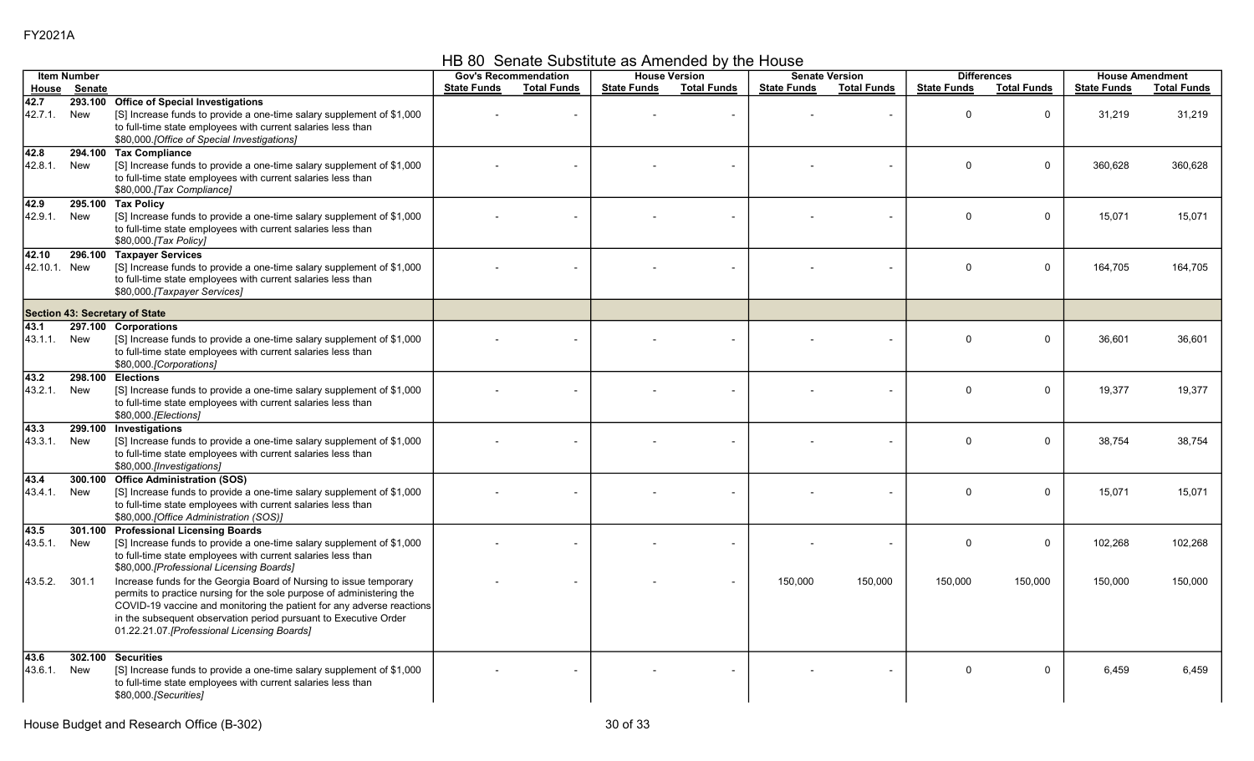HB 80 Senate Substitute as Amended by the House

|                       | <b>Item Number</b> |                                                                                                                                                                                                                                                                                                                                          |                    | <b>Gov's Recommendation</b> |                    | <b>House Version</b>     |                    | <b>Senate Version</b> |                    | <b>Differences</b> |                    | <b>House Amendment</b> |
|-----------------------|--------------------|------------------------------------------------------------------------------------------------------------------------------------------------------------------------------------------------------------------------------------------------------------------------------------------------------------------------------------------|--------------------|-----------------------------|--------------------|--------------------------|--------------------|-----------------------|--------------------|--------------------|--------------------|------------------------|
| House                 | <b>Senate</b>      |                                                                                                                                                                                                                                                                                                                                          | <b>State Funds</b> | <b>Total Funds</b>          | <b>State Funds</b> | <b>Total Funds</b>       | <b>State Funds</b> | <b>Total Funds</b>    | <b>State Funds</b> | <b>Total Funds</b> | <b>State Funds</b> | <b>Total Funds</b>     |
| 42.7<br>42.7.1.       | 293.100<br>New     | <b>Office of Special Investigations</b><br>[S] Increase funds to provide a one-time salary supplement of \$1,000<br>to full-time state employees with current salaries less than<br>\$80,000 [Office of Special Investigations]                                                                                                          |                    |                             |                    | L,                       |                    |                       | $\mathbf{0}$       | $\mathbf 0$        | 31,219             | 31,219                 |
| 42.8<br>42.8.1.       | 294.100<br>New     | <b>Tax Compliance</b><br>[S] Increase funds to provide a one-time salary supplement of \$1,000<br>to full-time state employees with current salaries less than<br>\$80,000.[Tax Compliance]                                                                                                                                              |                    |                             |                    |                          |                    |                       | $\mathbf{0}$       | $\mathbf 0$        | 360,628            | 360,628                |
| 42.9<br>42.9.1.       | 295.100<br>New     | <b>Tax Policy</b><br>[S] Increase funds to provide a one-time salary supplement of \$1,000<br>to full-time state employees with current salaries less than<br>\$80,000.[Tax Policy]                                                                                                                                                      |                    |                             |                    |                          |                    |                       | $\Omega$           | $\Omega$           | 15,071             | 15,071                 |
| 42.10<br>42.10.1. New | 296.100            | <b>Taxpayer Services</b><br>[S] Increase funds to provide a one-time salary supplement of \$1,000<br>to full-time state employees with current salaries less than<br>\$80,000.[Taxpayer Services]                                                                                                                                        |                    |                             |                    |                          |                    |                       | $\mathbf{0}$       | $\mathbf 0$        | 164,705            | 164,705                |
|                       |                    | Section 43: Secretary of State                                                                                                                                                                                                                                                                                                           |                    |                             |                    |                          |                    |                       |                    |                    |                    |                        |
| 43.1<br>43.1.1.       | New                | 297.100 Corporations<br>[S] Increase funds to provide a one-time salary supplement of \$1,000<br>to full-time state employees with current salaries less than<br>\$80,000.[Corporations]                                                                                                                                                 |                    |                             |                    |                          |                    |                       | $\mathbf{0}$       | $\mathbf 0$        | 36,601             | 36,601                 |
| 43.2<br>43.2.1.       | 298.100<br>New     | <b>Elections</b><br>[S] Increase funds to provide a one-time salary supplement of \$1,000<br>to full-time state employees with current salaries less than<br>\$80,000.[Elections]                                                                                                                                                        |                    |                             |                    |                          |                    |                       | $\mathbf{0}$       | $\Omega$           | 19,377             | 19,377                 |
| 43.3<br>43.3.1.       | 299.100<br>New     | Investigations<br>[S] Increase funds to provide a one-time salary supplement of \$1,000<br>to full-time state employees with current salaries less than<br>\$80,000.[Investigations]                                                                                                                                                     |                    |                             |                    |                          |                    |                       | $\mathbf{0}$       | $\mathbf 0$        | 38,754             | 38,754                 |
| 43.4<br>43.4.1.       | 300.100<br>New     | <b>Office Administration (SOS)</b><br>[S] Increase funds to provide a one-time salary supplement of \$1,000<br>to full-time state employees with current salaries less than<br>\$80,000 [Office Administration (SOS)]                                                                                                                    |                    |                             |                    |                          |                    |                       | $\Omega$           | $\mathbf 0$        | 15,071             | 15,071                 |
| 43.5<br>43.5.1.       | 301.100<br>New     | <b>Professional Licensing Boards</b><br>[S] Increase funds to provide a one-time salary supplement of \$1,000<br>to full-time state employees with current salaries less than<br>\$80,000.[Professional Licensing Boards]                                                                                                                |                    |                             |                    | $\blacksquare$           |                    |                       | $\Omega$           | $\mathbf 0$        | 102,268            | 102,268                |
| 43.5.2.               | 301.1              | Increase funds for the Georgia Board of Nursing to issue temporary<br>permits to practice nursing for the sole purpose of administering the<br>COVID-19 vaccine and monitoring the patient for any adverse reactions<br>in the subsequent observation period pursuant to Executive Order<br>01.22.21.07. [Professional Licensing Boards] |                    |                             |                    | $\overline{\phantom{a}}$ | 150,000            | 150,000               | 150,000            | 150,000            | 150,000            | 150,000                |
| 43.6<br>43.6.1.       | 302.100<br>New     | <b>Securities</b><br>[S] Increase funds to provide a one-time salary supplement of \$1,000<br>to full-time state employees with current salaries less than<br>\$80,000.[Securities]                                                                                                                                                      |                    |                             |                    |                          |                    |                       | $\Omega$           | $\mathbf 0$        | 6,459              | 6,459                  |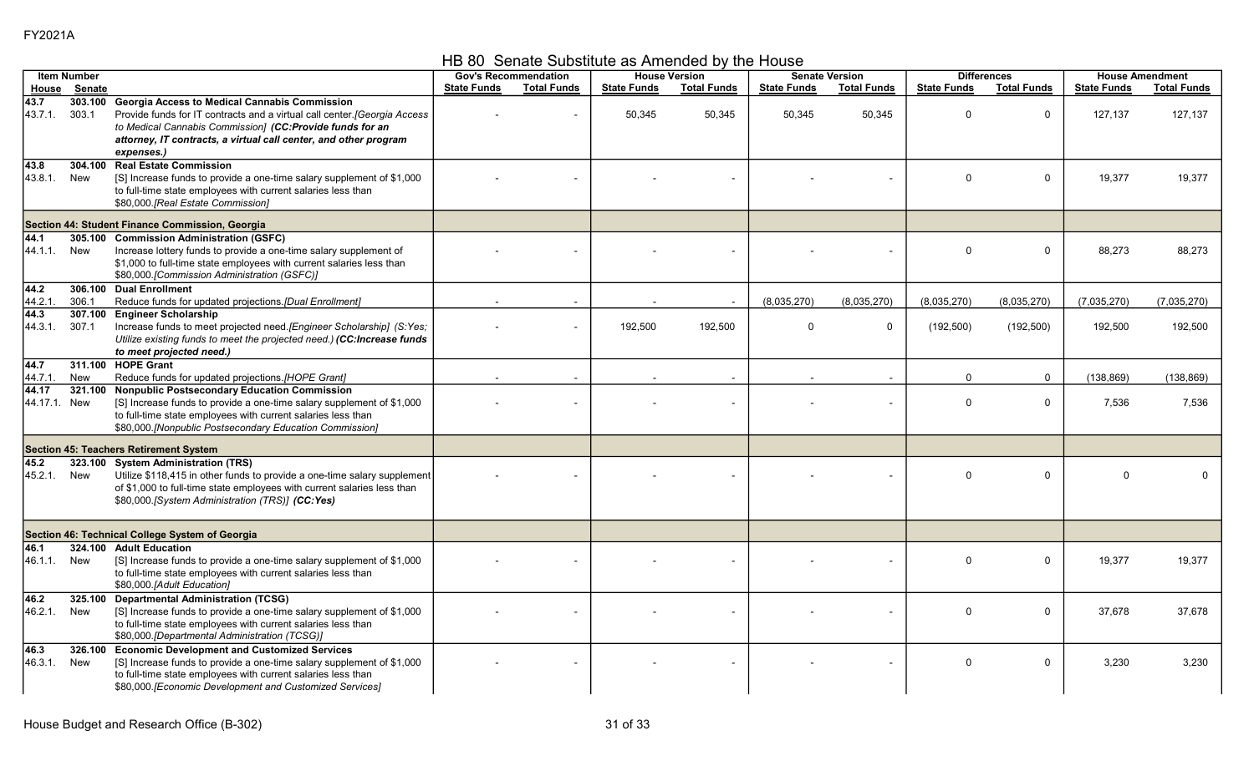HB 80 Senate Substitute as Amended by the House

|                      | <b>Item Number</b> |                                                                                                                                                                                                                                                          |                    | <b>Gov's Recommendation</b> |                    | <b>House Version</b> |                    | <b>Senate Version</b> | <b>Differences</b> |                    |                    | <b>House Amendment</b> |
|----------------------|--------------------|----------------------------------------------------------------------------------------------------------------------------------------------------------------------------------------------------------------------------------------------------------|--------------------|-----------------------------|--------------------|----------------------|--------------------|-----------------------|--------------------|--------------------|--------------------|------------------------|
| House                | Senate             |                                                                                                                                                                                                                                                          | <b>State Funds</b> | <b>Total Funds</b>          | <b>State Funds</b> | <b>Total Funds</b>   | <b>State Funds</b> | <b>Total Funds</b>    | <b>State Funds</b> | <b>Total Funds</b> | <b>State Funds</b> | <b>Total Funds</b>     |
| 43.7<br>43.7.1.      | 303.100<br>303.1   | <b>Georgia Access to Medical Cannabis Commission</b><br>Provide funds for IT contracts and a virtual call center. [Georgia Access<br>to Medical Cannabis Commission] (CC:Provide funds for an                                                            |                    |                             | 50,345             | 50,345               | 50,345             | 50,345                | $\Omega$           | $\mathbf 0$        | 127,137            | 127,137                |
|                      |                    | attorney, IT contracts, a virtual call center, and other program<br>expenses.)                                                                                                                                                                           |                    |                             |                    |                      |                    |                       |                    |                    |                    |                        |
| 43.8<br>43.8.1.      | 304.100<br>New     | <b>Real Estate Commission</b><br>[S] Increase funds to provide a one-time salary supplement of \$1,000<br>to full-time state employees with current salaries less than<br>\$80,000.[Real Estate Commission]                                              |                    |                             |                    |                      |                    |                       | $\Omega$           | $\Omega$           | 19,377             | 19,377                 |
|                      |                    | Section 44: Student Finance Commission, Georgia                                                                                                                                                                                                          |                    |                             |                    |                      |                    |                       |                    |                    |                    |                        |
| 44.1<br>44.1.1.      | 305.100<br>New     | <b>Commission Administration (GSFC)</b><br>Increase lottery funds to provide a one-time salary supplement of                                                                                                                                             |                    |                             |                    |                      |                    |                       | $\Omega$           | $\Omega$           | 88,273             | 88.273                 |
|                      |                    | \$1,000 to full-time state employees with current salaries less than<br>\$80,000.[Commission Administration (GSFC)]                                                                                                                                      |                    |                             |                    |                      |                    |                       |                    |                    |                    |                        |
| 44.2<br>44.2.1       | 306.1              | 306.100 Dual Enrollment<br>Reduce funds for updated projections.[Dual Enrollment]                                                                                                                                                                        |                    |                             |                    |                      | (8,035,270)        | (8,035,270)           | (8,035,270)        | (8,035,270)        | (7,035,270)        | (7,035,270)            |
| 44.3<br>44.3.1.      | 307.100<br>307.1   | <b>Engineer Scholarship</b><br>Increase funds to meet projected need. [Engineer Scholarship] (S:Yes;<br>Utilize existing funds to meet the projected need.) (CC:Increase funds<br>to meet projected need.)                                               |                    |                             | 192,500            | 192,500              | $\Omega$           | $\mathbf 0$           | (192, 500)         | (192, 500)         | 192,500            | 192,500                |
| 44.7<br>44 7 1       | New                | 311.100 HOPE Grant<br>Reduce funds for updated projections.[HOPE Grant]                                                                                                                                                                                  |                    |                             |                    |                      |                    |                       | $\mathbf 0$        | $\mathbf 0$        | (138, 869)         | (138, 869)             |
| 44.17<br>44.17.1 New | 321.100            | <b>Nonpublic Postsecondary Education Commission</b><br>[S] Increase funds to provide a one-time salary supplement of \$1,000<br>to full-time state employees with current salaries less than<br>\$80,000. [Nonpublic Postsecondary Education Commission] |                    |                             |                    |                      |                    |                       | $\mathbf 0$        | $\mathbf 0$        | 7,536              | 7,536                  |
|                      |                    | Section 45: Teachers Retirement System                                                                                                                                                                                                                   |                    |                             |                    |                      |                    |                       |                    |                    |                    |                        |
| 45.2<br>45.2.1.      | New                | 323.100 System Administration (TRS)<br>Utilize \$118,415 in other funds to provide a one-time salary supplement<br>of \$1,000 to full-time state employees with current salaries less than<br>\$80,000.[System Administration (TRS)] (CC:Yes)            |                    |                             |                    |                      |                    |                       | $\Omega$           | $\mathbf 0$        | U                  |                        |
|                      |                    | Section 46: Technical College System of Georgia                                                                                                                                                                                                          |                    |                             |                    |                      |                    |                       |                    |                    |                    |                        |
| 46.1<br>46.1.1.      | 324.100<br>New     | <b>Adult Education</b><br>[S] Increase funds to provide a one-time salary supplement of \$1,000<br>to full-time state employees with current salaries less than<br>\$80,000.[Adult Education]                                                            |                    |                             |                    |                      |                    |                       | $\mathbf{0}$       | $\mathbf 0$        | 19,377             | 19,377                 |
| 46.2<br>46.2.1.      | 325.100<br>New     | <b>Departmental Administration (TCSG)</b><br>[S] Increase funds to provide a one-time salary supplement of \$1,000<br>to full-time state employees with current salaries less than<br>\$80,000.[Departmental Administration (TCSG)]                      |                    |                             |                    |                      |                    |                       | $\mathbf{0}$       | $\mathbf 0$        | 37,678             | 37,678                 |
| 46.3<br>46.3.1.      | 326.100<br>New     | <b>Economic Development and Customized Services</b><br>[S] Increase funds to provide a one-time salary supplement of \$1,000<br>to full-time state employees with current salaries less than<br>\$80,000. [Economic Development and Customized Services] |                    |                             |                    |                      |                    |                       | $\mathbf 0$        | $\mathbf 0$        | 3,230              | 3,230                  |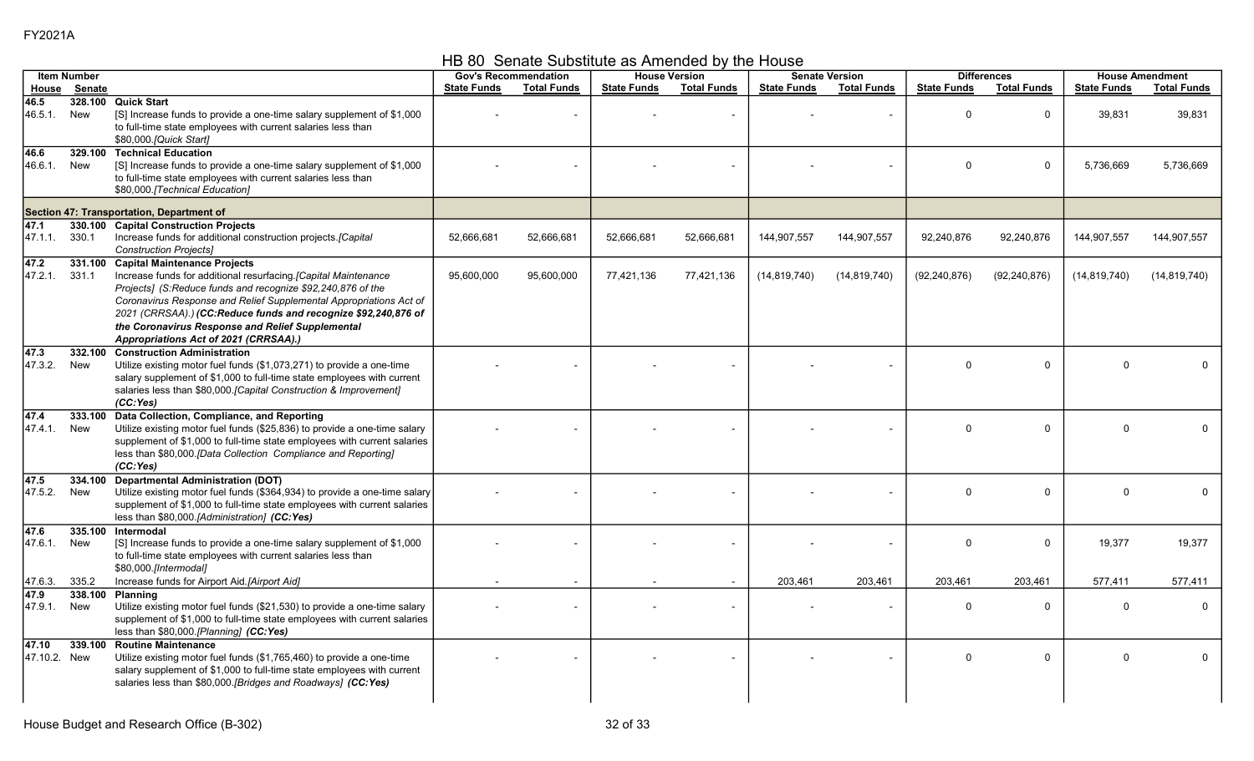HB 80 Senate Substitute as Amended by the House

|                       | <b>Item Number</b> |                                                                                                                                                                                                                                                                                                                                                                                                             |                    | <b>Gov's Recommendation</b> |                    | <b>House Version</b>     |                    | <b>Senate Version</b> |                    | <b>Differences</b> |                    | <b>House Amendment</b> |
|-----------------------|--------------------|-------------------------------------------------------------------------------------------------------------------------------------------------------------------------------------------------------------------------------------------------------------------------------------------------------------------------------------------------------------------------------------------------------------|--------------------|-----------------------------|--------------------|--------------------------|--------------------|-----------------------|--------------------|--------------------|--------------------|------------------------|
| House                 | Senate             |                                                                                                                                                                                                                                                                                                                                                                                                             | <b>State Funds</b> | <b>Total Funds</b>          | <b>State Funds</b> | <b>Total Funds</b>       | <b>State Funds</b> | <b>Total Funds</b>    | <b>State Funds</b> | <b>Total Funds</b> | <b>State Funds</b> | <b>Total Funds</b>     |
| 46.5<br>46.5.1.       | New                | 328.100 Quick Start<br>[S] Increase funds to provide a one-time salary supplement of \$1,000<br>to full-time state employees with current salaries less than<br>\$80,000. [Quick Start]                                                                                                                                                                                                                     |                    |                             |                    |                          |                    |                       | $\Omega$           | $\mathbf 0$        | 39,831             | 39,831                 |
| 46.6<br>46.6.1.       | New                | 329.100 Technical Education<br>[S] Increase funds to provide a one-time salary supplement of \$1,000<br>to full-time state employees with current salaries less than<br>\$80,000.[Technical Education]                                                                                                                                                                                                      |                    |                             |                    |                          |                    |                       | $\Omega$           | 0                  | 5,736,669          | 5,736,669              |
|                       |                    | Section 47: Transportation, Department of                                                                                                                                                                                                                                                                                                                                                                   |                    |                             |                    |                          |                    |                       |                    |                    |                    |                        |
| 47.1<br>47.1.1.       | 330.1              | 330.100 Capital Construction Projects<br>Increase funds for additional construction projects.[Capital<br><b>Construction Projects]</b>                                                                                                                                                                                                                                                                      | 52,666,681         | 52,666,681                  | 52,666,681         | 52,666,681               | 144,907,557        | 144,907,557           | 92,240,876         | 92,240,876         | 144,907,557        | 144,907,557            |
| 47.2<br>47.2.1.       | 331.1              | 331.100 Capital Maintenance Projects<br>Increase funds for additional resurfacing. [Capital Maintenance<br>Projects] (S:Reduce funds and recognize \$92,240,876 of the<br>Coronavirus Response and Relief Supplemental Appropriations Act of<br>2021 (CRRSAA).) (CC:Reduce funds and recognize \$92,240,876 of<br>the Coronavirus Response and Relief Supplemental<br>Appropriations Act of 2021 (CRRSAA).) | 95,600,000         | 95,600,000                  | 77,421,136         | 77,421,136               | (14, 819, 740)     | (14, 819, 740)        | (92, 240, 876)     | (92, 240, 876)     | (14, 819, 740)     | (14, 819, 740)         |
| 47.3<br>47.3.2.       | 332.100<br>New     | <b>Construction Administration</b><br>Utilize existing motor fuel funds (\$1,073,271) to provide a one-time<br>salary supplement of \$1,000 to full-time state employees with current<br>salaries less than \$80,000.[Capital Construction & Improvement]<br>(CC:Yes)                                                                                                                                       |                    |                             |                    |                          |                    |                       | $\Omega$           | $\mathbf{0}$       | $\Omega$           |                        |
| 47.4<br>47.4.1.       | 333.100<br>New     | Data Collection, Compliance, and Reporting<br>Utilize existing motor fuel funds (\$25,836) to provide a one-time salary<br>supplement of \$1,000 to full-time state employees with current salaries<br>less than \$80,000.[Data Collection Compliance and Reporting]<br>(CC:Yes)                                                                                                                            |                    |                             |                    |                          |                    |                       | $\Omega$           | $\Omega$           | $\Omega$           |                        |
| 47.5<br>47.5.2.       | 334.100<br>New     | <b>Departmental Administration (DOT)</b><br>Utilize existing motor fuel funds (\$364,934) to provide a one-time salary<br>supplement of \$1,000 to full-time state employees with current salaries<br>less than \$80,000.[Administration] (CC:Yes)                                                                                                                                                          |                    |                             |                    |                          |                    |                       | $\Omega$           | $\mathbf 0$        | $\mathbf{0}$       | $\Omega$               |
| 47.6<br>47.6.1.       | 335.100<br>New     | Intermodal<br>[S] Increase funds to provide a one-time salary supplement of \$1,000<br>to full-time state employees with current salaries less than<br>\$80,000.[Intermodal]                                                                                                                                                                                                                                |                    |                             |                    |                          |                    |                       | $\Omega$           | $\mathbf 0$        | 19,377             | 19,377                 |
| 47.6.3.               | 335.2              | Increase funds for Airport Aid.[Airport Aid]                                                                                                                                                                                                                                                                                                                                                                |                    |                             |                    | $\overline{\phantom{a}}$ | 203,461            | 203,461               | 203,461            | 203,461            | 577,411            | 577.411                |
| 47.9<br>47.9.1.       | 338.100<br>New     | <b>Planning</b><br>Utilize existing motor fuel funds (\$21,530) to provide a one-time salary<br>supplement of \$1,000 to full-time state employees with current salaries<br>less than \$80,000 [Planning] (CC:Yes)                                                                                                                                                                                          |                    |                             |                    |                          |                    |                       | $\Omega$           | $\Omega$           | $\Omega$           | $\Omega$               |
| 47.10<br>47.10.2. New | 339.100            | <b>Routine Maintenance</b><br>Utilize existing motor fuel funds (\$1,765,460) to provide a one-time<br>salary supplement of \$1,000 to full-time state employees with current<br>salaries less than \$80,000.[Bridges and Roadways] (CC:Yes)                                                                                                                                                                |                    |                             |                    |                          |                    |                       | $\Omega$           | $\mathbf 0$        | $\Omega$           | 0                      |